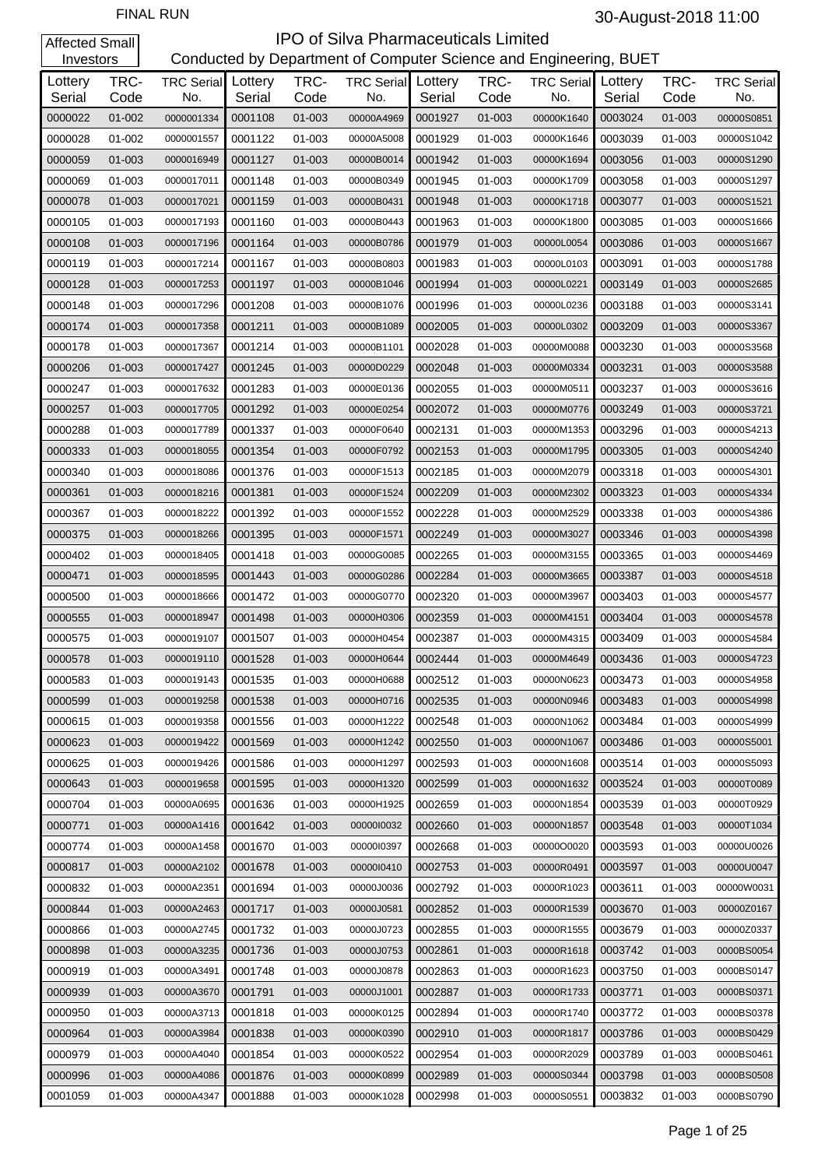#### **IPO of Silva Pharmaceuticals Limited**<br>Conducted by Department of Computer Science and Eng Conducted by Department of Computer Science and Engineering, BUET

| Investors         |              |                          |                   |              | Conducted by Department of Computer Science and Engineering, BUET |                   |              |                          |                   |              |                          |
|-------------------|--------------|--------------------------|-------------------|--------------|-------------------------------------------------------------------|-------------------|--------------|--------------------------|-------------------|--------------|--------------------------|
| Lottery<br>Serial | TRC-<br>Code | <b>TRC Serial</b><br>No. | Lottery<br>Serial | TRC-<br>Code | <b>TRC Serial</b><br>No.                                          | Lottery<br>Serial | TRC-<br>Code | <b>TRC Serial</b><br>No. | Lottery<br>Serial | TRC-<br>Code | <b>TRC Serial</b><br>No. |
| 0000022           | 01-002       | 0000001334               | 0001108           | 01-003       | 00000A4969                                                        | 0001927           | 01-003       | 00000K1640               | 0003024           | 01-003       | 00000S0851               |
| 0000028           | 01-002       | 0000001557               | 0001122           | 01-003       | 00000A5008                                                        | 0001929           | 01-003       | 00000K1646               | 0003039           | 01-003       | 00000S1042               |
| 0000059           | 01-003       | 0000016949               | 0001127           | 01-003       | 00000B0014                                                        | 0001942           | 01-003       | 00000K1694               | 0003056           | 01-003       | 00000S1290               |
| 0000069           | 01-003       | 0000017011               | 0001148           | 01-003       | 00000B0349                                                        | 0001945           | 01-003       | 00000K1709               | 0003058           | 01-003       | 00000S1297               |
| 0000078           | 01-003       | 0000017021               | 0001159           | 01-003       | 00000B0431                                                        | 0001948           | 01-003       | 00000K1718               | 0003077           | 01-003       | 00000S1521               |
| 0000105           | 01-003       | 0000017193               | 0001160           | 01-003       | 00000B0443                                                        | 0001963           | 01-003       | 00000K1800               | 0003085           | 01-003       | 00000S1666               |
| 0000108           | 01-003       | 0000017196               | 0001164           | 01-003       | 00000B0786                                                        | 0001979           | 01-003       | 00000L0054               | 0003086           | 01-003       | 00000S1667               |
| 0000119           | 01-003       | 0000017214               | 0001167           | 01-003       | 00000B0803                                                        | 0001983           | 01-003       | 00000L0103               | 0003091           | 01-003       | 00000S1788               |
| 0000128           | 01-003       | 0000017253               | 0001197           | 01-003       | 00000B1046                                                        | 0001994           | 01-003       | 00000L0221               | 0003149           | 01-003       | 00000S2685               |
| 0000148           | 01-003       | 0000017296               | 0001208           | 01-003       | 00000B1076                                                        | 0001996           | 01-003       | 00000L0236               | 0003188           | 01-003       | 00000S3141               |
| 0000174           | 01-003       | 0000017358               | 0001211           | 01-003       | 00000B1089                                                        | 0002005           | 01-003       | 00000L0302               | 0003209           | 01-003       | 00000S3367               |
| 0000178           | 01-003       | 0000017367               | 0001214           | 01-003       | 00000B1101                                                        | 0002028           | 01-003       | 00000M0088               | 0003230           | 01-003       | 00000S3568               |
| 0000206           | 01-003       | 0000017427               | 0001245           | 01-003       | 00000D0229                                                        | 0002048           | 01-003       | 00000M0334               | 0003231           | 01-003       | 00000S3588               |
| 0000247           | 01-003       | 0000017632               | 0001283           | 01-003       | 00000E0136                                                        | 0002055           | 01-003       | 00000M0511               | 0003237           | 01-003       | 00000S3616               |
| 0000257           | 01-003       | 0000017705               | 0001292           | 01-003       | 00000E0254                                                        | 0002072           | 01-003       | 00000M0776               | 0003249           | 01-003       | 00000S3721               |
| 0000288           | 01-003       | 0000017789               | 0001337           | 01-003       | 00000F0640                                                        | 0002131           | 01-003       | 00000M1353               | 0003296           | 01-003       | 00000S4213               |
| 0000333           | 01-003       | 0000018055               | 0001354           | 01-003       | 00000F0792                                                        | 0002153           | 01-003       | 00000M1795               | 0003305           | 01-003       | 00000S4240               |
| 0000340           | 01-003       | 0000018086               | 0001376           | 01-003       | 00000F1513                                                        | 0002185           | 01-003       | 00000M2079               | 0003318           | 01-003       | 00000S4301               |
| 0000361           | 01-003       | 0000018216               | 0001381           | 01-003       | 00000F1524                                                        | 0002209           | 01-003       | 00000M2302               | 0003323           | 01-003       | 00000S4334               |
| 0000367           | 01-003       | 0000018222               | 0001392           | 01-003       | 00000F1552                                                        | 0002228           | 01-003       | 00000M2529               | 0003338           | 01-003       | 00000S4386               |
| 0000375           | 01-003       | 0000018266               | 0001395           | 01-003       | 00000F1571                                                        | 0002249           | 01-003       | 00000M3027               | 0003346           | 01-003       | 00000S4398               |
| 0000402           | 01-003       | 0000018405               | 0001418           | 01-003       | 00000G0085                                                        | 0002265           | 01-003       | 00000M3155               | 0003365           | 01-003       | 00000S4469               |
| 0000471           | 01-003       | 0000018595               | 0001443           | 01-003       | 00000G0286                                                        | 0002284           | 01-003       | 00000M3665               | 0003387           | 01-003       | 00000S4518               |
| 0000500           | 01-003       | 0000018666               | 0001472           | 01-003       | 00000G0770                                                        | 0002320           | 01-003       | 00000M3967               | 0003403           | 01-003       | 00000S4577               |
| 0000555           | 01-003       | 0000018947               | 0001498           | 01-003       | 00000H0306                                                        | 0002359           | 01-003       | 00000M4151               | 0003404           | 01-003       | 00000S4578               |
| 0000575           | 01-003       | 0000019107               | 0001507           | 01-003       | 00000H0454                                                        | 0002387           | 01-003       | 00000M4315               | 0003409           | 01-003       | 00000S4584               |
| 0000578           | 01-003       | 0000019110               | 0001528           | 01-003       | 00000H0644                                                        | 0002444           | 01-003       | 00000M4649               | 0003436           | 01-003       | 00000S4723               |
| 0000583           | 01-003       | 0000019143               | 0001535           | 01-003       | 00000H0688                                                        | 0002512           | 01-003       | 00000N0623               | 0003473           | 01-003       | 00000S4958               |
| 0000599           | 01-003       | 0000019258               | 0001538           | 01-003       | 00000H0716                                                        | 0002535           | 01-003       | 00000N0946               | 0003483           | 01-003       | 00000S4998               |
| 0000615           | 01-003       | 0000019358               | 0001556           | 01-003       | 00000H1222                                                        | 0002548           | 01-003       | 00000N1062               | 0003484           | 01-003       | 00000S4999               |
| 0000623           | 01-003       | 0000019422               | 0001569           | 01-003       | 00000H1242                                                        | 0002550           | 01-003       | 00000N1067               | 0003486           | 01-003       | 00000S5001               |
| 0000625           | 01-003       | 0000019426               | 0001586           | 01-003       | 00000H1297                                                        | 0002593           | 01-003       | 00000N1608               | 0003514           | 01-003       | 00000S5093               |
| 0000643           | 01-003       | 0000019658               | 0001595           | 01-003       | 00000H1320                                                        | 0002599           | 01-003       | 00000N1632               | 0003524           | 01-003       | 00000T0089               |
| 0000704           | 01-003       | 00000A0695               | 0001636           | 01-003       | 00000H1925                                                        | 0002659           | 01-003       | 00000N1854               | 0003539           | 01-003       | 00000T0929               |
| 0000771           | 01-003       | 00000A1416               | 0001642           | 01-003       | 0000010032                                                        | 0002660           | 01-003       | 00000N1857               | 0003548           | 01-003       | 00000T1034               |
| 0000774           | 01-003       | 00000A1458               | 0001670           | 01-003       | 0000010397                                                        | 0002668           | 01-003       | 00000O0020               | 0003593           | 01-003       | 00000U0026               |
| 0000817           | 01-003       | 00000A2102               | 0001678           | 01-003       | 00000l0410                                                        | 0002753           | 01-003       | 00000R0491               | 0003597           | 01-003       | 00000U0047               |
| 0000832           | 01-003       | 00000A2351               | 0001694           | 01-003       | 00000J0036                                                        | 0002792           | 01-003       | 00000R1023               | 0003611           | 01-003       | 00000W0031               |
| 0000844           | 01-003       | 00000A2463               | 0001717           | 01-003       | 00000J0581                                                        | 0002852           | 01-003       | 00000R1539               | 0003670           | 01-003       | 00000Z0167               |
| 0000866           | 01-003       | 00000A2745               | 0001732           | 01-003       | 00000J0723                                                        | 0002855           | 01-003       | 00000R1555               | 0003679           | 01-003       | 00000Z0337               |
| 0000898           | 01-003       | 00000A3235               | 0001736           | 01-003       | 00000J0753                                                        | 0002861           | 01-003       | 00000R1618               | 0003742           | 01-003       | 0000BS0054               |
| 0000919           | 01-003       | 00000A3491               | 0001748           | 01-003       | 00000J0878                                                        | 0002863           | 01-003       | 00000R1623               | 0003750           | 01-003       | 0000BS0147               |
| 0000939           | 01-003       | 00000A3670               | 0001791           | 01-003       | 00000J1001                                                        | 0002887           | 01-003       | 00000R1733               | 0003771           | 01-003       | 0000BS0371               |
| 0000950           | 01-003       | 00000A3713               | 0001818           | 01-003       | 00000K0125                                                        | 0002894           | 01-003       | 00000R1740               | 0003772           | 01-003       | 0000BS0378               |
| 0000964           | 01-003       | 00000A3984               | 0001838           | 01-003       | 00000K0390                                                        | 0002910           | 01-003       | 00000R1817               | 0003786           | 01-003       | 0000BS0429               |
| 0000979           | 01-003       | 00000A4040               | 0001854           | 01-003       | 00000K0522                                                        | 0002954           | 01-003       | 00000R2029               | 0003789           | 01-003       | 0000BS0461               |
| 0000996           | 01-003       | 00000A4086               | 0001876           | 01-003       | 00000K0899                                                        | 0002989           | 01-003       | 00000S0344               | 0003798           | 01-003       | 0000BS0508               |
| 0001059           | 01-003       | 00000A4347               | 0001888           | 01-003       | 00000K1028                                                        | 0002998           | 01-003       | 00000S0551               | 0003832           | 01-003       | 0000BS0790               |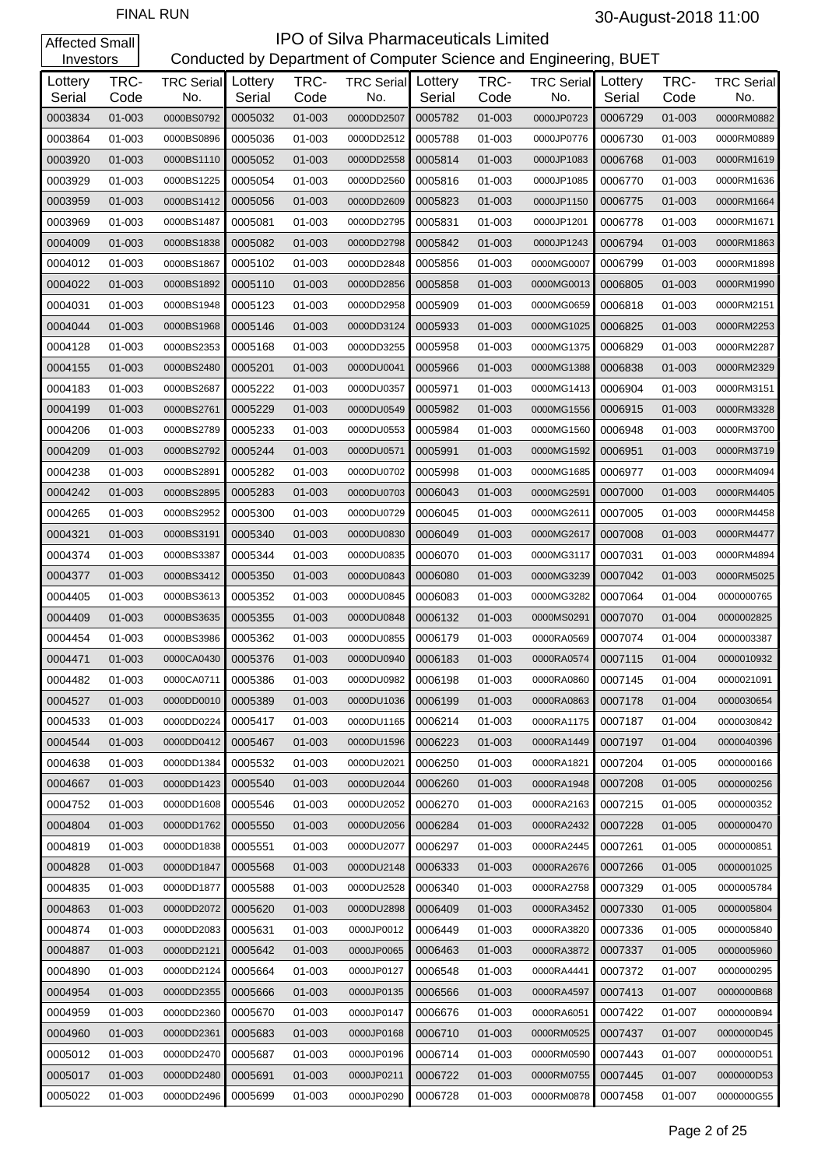| Investors         |              |                          |                   |              | Conducted by Department of Computer Science and Engineering, BUET |                   |              |                          |                   |              |                          |
|-------------------|--------------|--------------------------|-------------------|--------------|-------------------------------------------------------------------|-------------------|--------------|--------------------------|-------------------|--------------|--------------------------|
| Lottery<br>Serial | TRC-<br>Code | <b>TRC Serial</b><br>No. | Lottery<br>Serial | TRC-<br>Code | <b>TRC Serial</b><br>No.                                          | Lottery<br>Serial | TRC-<br>Code | <b>TRC Serial</b><br>No. | Lottery<br>Serial | TRC-<br>Code | <b>TRC Serial</b><br>No. |
| 0003834           | 01-003       | 0000BS0792               | 0005032           | 01-003       | 0000DD2507                                                        | 0005782           | 01-003       | 0000JP0723               | 0006729           | 01-003       | 0000RM0882               |
| 0003864           | 01-003       | 0000BS0896               | 0005036           | 01-003       | 0000DD2512                                                        | 0005788           | 01-003       | 0000JP0776               | 0006730           | 01-003       | 0000RM0889               |
| 0003920           | 01-003       | 0000BS1110               | 0005052           | 01-003       | 0000DD2558                                                        | 0005814           | 01-003       | 0000JP1083               | 0006768           | 01-003       | 0000RM1619               |
| 0003929           | 01-003       | 0000BS1225               | 0005054           | 01-003       | 0000DD2560                                                        | 0005816           | 01-003       | 0000JP1085               | 0006770           | 01-003       | 0000RM1636               |
| 0003959           | 01-003       | 0000BS1412               | 0005056           | 01-003       | 0000DD2609                                                        | 0005823           | 01-003       | 0000JP1150               | 0006775           | 01-003       | 0000RM1664               |
| 0003969           | 01-003       | 0000BS1487               | 0005081           | 01-003       | 0000DD2795                                                        | 0005831           | 01-003       | 0000JP1201               | 0006778           | 01-003       | 0000RM1671               |
| 0004009           | 01-003       | 0000BS1838               | 0005082           | 01-003       | 0000DD2798                                                        | 0005842           | 01-003       | 0000JP1243               | 0006794           | 01-003       | 0000RM1863               |
| 0004012           | 01-003       | 0000BS1867               | 0005102           | 01-003       | 0000DD2848                                                        | 0005856           | 01-003       | 0000MG0007               | 0006799           | 01-003       | 0000RM1898               |
| 0004022           | 01-003       | 0000BS1892               | 0005110           | 01-003       | 0000DD2856                                                        | 0005858           | 01-003       | 0000MG0013               | 0006805           | 01-003       | 0000RM1990               |
| 0004031           | 01-003       | 0000BS1948               | 0005123           | 01-003       | 0000DD2958                                                        | 0005909           | 01-003       | 0000MG0659               | 0006818           | 01-003       | 0000RM2151               |
| 0004044           | 01-003       | 0000BS1968               | 0005146           | 01-003       | 0000DD3124                                                        | 0005933           | 01-003       | 0000MG1025               | 0006825           | 01-003       | 0000RM2253               |
| 0004128           | 01-003       | 0000BS2353               | 0005168           | 01-003       | 0000DD3255                                                        | 0005958           | 01-003       | 0000MG1375               | 0006829           | 01-003       | 0000RM2287               |
| 0004155           | 01-003       | 0000BS2480               | 0005201           | 01-003       | 0000DU0041                                                        | 0005966           | 01-003       | 0000MG1388               | 0006838           | 01-003       | 0000RM2329               |
| 0004183           | 01-003       | 0000BS2687               | 0005222           | 01-003       | 0000DU0357                                                        | 0005971           | 01-003       | 0000MG1413               | 0006904           | 01-003       | 0000RM3151               |
| 0004199           | 01-003       | 0000BS2761               | 0005229           | 01-003       | 0000DU0549                                                        | 0005982           | 01-003       | 0000MG1556               | 0006915           | 01-003       | 0000RM3328               |
| 0004206           | 01-003       | 0000BS2789               | 0005233           | 01-003       | 0000DU0553                                                        | 0005984           | 01-003       | 0000MG1560               | 0006948           | 01-003       | 0000RM3700               |
| 0004209           | 01-003       | 0000BS2792               | 0005244           | 01-003       | 0000DU0571                                                        | 0005991           | 01-003       | 0000MG1592               | 0006951           | 01-003       | 0000RM3719               |
| 0004238           | 01-003       | 0000BS2891               | 0005282           | 01-003       | 0000DU0702                                                        | 0005998           | 01-003       | 0000MG1685               | 0006977           | 01-003       | 0000RM4094               |
| 0004242           | 01-003       | 0000BS2895               | 0005283           | 01-003       | 0000DU0703                                                        | 0006043           | 01-003       | 0000MG2591               | 0007000           | 01-003       | 0000RM4405               |
| 0004265           | 01-003       | 0000BS2952               | 0005300           | 01-003       | 0000DU0729                                                        | 0006045           | 01-003       | 0000MG2611               | 0007005           | 01-003       | 0000RM4458               |
| 0004321           | 01-003       | 0000BS3191               | 0005340           | 01-003       | 0000DU0830                                                        | 0006049           | 01-003       | 0000MG2617               | 0007008           | 01-003       | 0000RM4477               |
| 0004374           | 01-003       | 0000BS3387               | 0005344           | 01-003       | 0000DU0835                                                        | 0006070           | 01-003       | 0000MG3117               | 0007031           | 01-003       | 0000RM4894               |
| 0004377           | 01-003       | 0000BS3412               | 0005350           | 01-003       | 0000DU0843                                                        | 0006080           | 01-003       | 0000MG3239               | 0007042           | 01-003       | 0000RM5025               |
| 0004405           | 01-003       | 0000BS3613               | 0005352           | 01-003       | 0000DU0845                                                        | 0006083           | 01-003       | 0000MG3282               | 0007064           | 01-004       | 0000000765               |
| 0004409           | 01-003       | 0000BS3635               | 0005355           | 01-003       | 0000DU0848                                                        | 0006132           | 01-003       | 0000MS0291               | 0007070           | 01-004       | 0000002825               |
| 0004454           | 01-003       | 0000BS3986               | 0005362           | 01-003       | 0000DU0855                                                        | 0006179           | 01-003       | 0000RA0569               | 0007074           | 01-004       | 0000003387               |
| 0004471           | 01-003       | 0000CA0430               | 0005376           | 01-003       | 0000DU0940                                                        | 0006183           | 01-003       | 0000RA0574               | 0007115           | 01-004       | 0000010932               |
| 0004482           | 01-003       | 0000CA0711               | 0005386           | 01-003       | 0000DU0982                                                        | 0006198           | 01-003       | 0000RA0860               | 0007145           | 01-004       | 0000021091               |
| 0004527           | 01-003       | 0000DD0010               | 0005389           | 01-003       | 0000DU1036                                                        | 0006199           | 01-003       | 0000RA0863               | 0007178           | 01-004       | 0000030654               |
| 0004533           | 01-003       | 0000DD0224               | 0005417           | 01-003       | 0000DU1165                                                        | 0006214           | 01-003       | 0000RA1175               | 0007187           | 01-004       | 0000030842               |
| 0004544           | 01-003       | 0000DD0412               | 0005467           | 01-003       | 0000DU1596                                                        | 0006223           | 01-003       | 0000RA1449               | 0007197           | 01-004       | 0000040396               |
| 0004638           | 01-003       | 0000DD1384               | 0005532           | 01-003       | 0000DU2021                                                        | 0006250           | 01-003       | 0000RA1821               | 0007204           | 01-005       | 0000000166               |
| 0004667           | 01-003       | 0000DD1423               | 0005540           | 01-003       | 0000DU2044                                                        | 0006260           | 01-003       | 0000RA1948               | 0007208           | 01-005       | 0000000256               |
| 0004752           | 01-003       | 0000DD1608               | 0005546           | 01-003       | 0000DU2052                                                        | 0006270           | 01-003       | 0000RA2163               | 0007215           | 01-005       | 0000000352               |
| 0004804           | 01-003       | 0000DD1762               | 0005550           | 01-003       | 0000DU2056                                                        | 0006284           | 01-003       | 0000RA2432               | 0007228           | $01 - 005$   | 0000000470               |
| 0004819           | 01-003       | 0000DD1838               | 0005551           | 01-003       | 0000DU2077                                                        | 0006297           | 01-003       | 0000RA2445               | 0007261           | 01-005       | 0000000851               |
| 0004828           | 01-003       | 0000DD1847               | 0005568           | 01-003       | 0000DU2148                                                        | 0006333           | 01-003       | 0000RA2676               | 0007266           | 01-005       | 0000001025               |
| 0004835           | 01-003       | 0000DD1877               | 0005588           | 01-003       | 0000DU2528                                                        | 0006340           | 01-003       | 0000RA2758               | 0007329           | 01-005       | 0000005784               |
| 0004863           | 01-003       | 0000DD2072               | 0005620           | 01-003       | 0000DU2898                                                        | 0006409           | 01-003       | 0000RA3452               | 0007330           | 01-005       | 0000005804               |
| 0004874           | 01-003       | 0000DD2083               | 0005631           | 01-003       | 0000JP0012                                                        | 0006449           | 01-003       | 0000RA3820               | 0007336           | 01-005       | 0000005840               |
| 0004887           | 01-003       | 0000DD2121               | 0005642           | 01-003       | 0000JP0065                                                        | 0006463           | 01-003       | 0000RA3872               | 0007337           | 01-005       | 0000005960               |
| 0004890           | 01-003       | 0000DD2124               | 0005664           | 01-003       | 0000JP0127                                                        | 0006548           | 01-003       | 0000RA4441               | 0007372           | 01-007       | 0000000295               |
| 0004954           | 01-003       | 0000DD2355               | 0005666           | 01-003       | 0000JP0135                                                        | 0006566           | 01-003       | 0000RA4597               | 0007413           | 01-007       | 0000000B68               |
| 0004959           | 01-003       | 0000DD2360               | 0005670           | 01-003       | 0000JP0147                                                        | 0006676           | 01-003       | 0000RA6051               | 0007422           | 01-007       | 0000000B94               |
| 0004960           | 01-003       | 0000DD2361               | 0005683           | 01-003       | 0000JP0168                                                        | 0006710           | 01-003       | 0000RM0525               | 0007437           | 01-007       | 0000000D45               |
| 0005012           | 01-003       | 0000DD2470               | 0005687           | 01-003       | 0000JP0196                                                        | 0006714           | 01-003       | 0000RM0590               | 0007443           | 01-007       | 0000000D51               |
| 0005017           | 01-003       | 0000DD2480               | 0005691           | 01-003       | 0000JP0211                                                        | 0006722           | 01-003       | 0000RM0755               | 0007445           | 01-007       | 0000000D53               |
| 0005022           | 01-003       | 0000DD2496               | 0005699           | 01-003       | 0000JP0290                                                        | 0006728           | 01-003       | 0000RM0878               | 0007458           | 01-007       | 0000000G55               |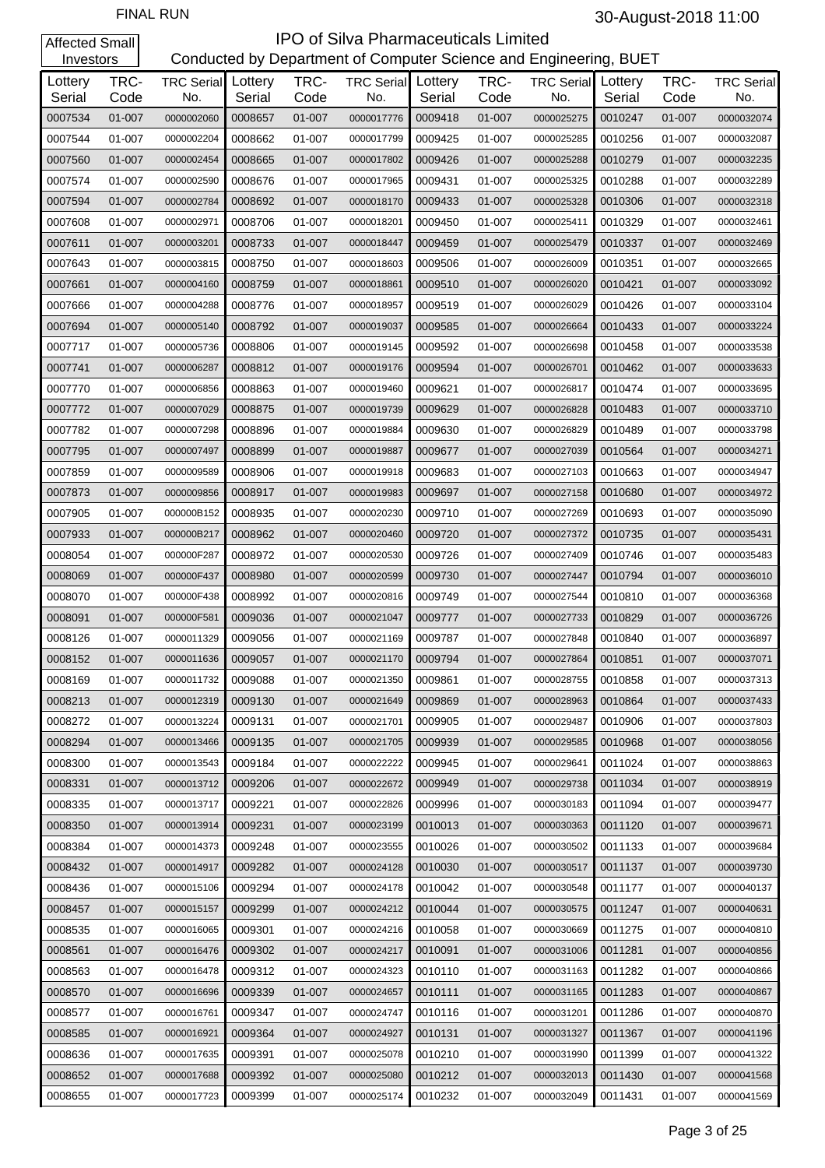| Investors         |              |                          |                   |              | Conducted by Department of Computer Science and Engineering, BUET |                   |              |                          |                   |              |                          |
|-------------------|--------------|--------------------------|-------------------|--------------|-------------------------------------------------------------------|-------------------|--------------|--------------------------|-------------------|--------------|--------------------------|
| Lottery<br>Serial | TRC-<br>Code | <b>TRC Serial</b><br>No. | Lottery<br>Serial | TRC-<br>Code | <b>TRC Serial</b><br>No.                                          | Lottery<br>Serial | TRC-<br>Code | <b>TRC Serial</b><br>No. | Lottery<br>Serial | TRC-<br>Code | <b>TRC Serial</b><br>No. |
| 0007534           | 01-007       | 0000002060               | 0008657           | 01-007       | 0000017776                                                        | 0009418           | 01-007       | 0000025275               | 0010247           | 01-007       | 0000032074               |
| 0007544           | 01-007       | 0000002204               | 0008662           | 01-007       | 0000017799                                                        | 0009425           | 01-007       | 0000025285               | 0010256           | 01-007       | 0000032087               |
| 0007560           | 01-007       | 0000002454               | 0008665           | 01-007       | 0000017802                                                        | 0009426           | 01-007       | 0000025288               | 0010279           | 01-007       | 0000032235               |
| 0007574           | 01-007       | 0000002590               | 0008676           | 01-007       | 0000017965                                                        | 0009431           | 01-007       | 0000025325               | 0010288           | 01-007       | 0000032289               |
| 0007594           | $01 - 007$   | 0000002784               | 0008692           | 01-007       | 0000018170                                                        | 0009433           | 01-007       | 0000025328               | 0010306           | 01-007       | 0000032318               |
| 0007608           | 01-007       | 0000002971               | 0008706           | 01-007       | 0000018201                                                        | 0009450           | 01-007       | 0000025411               | 0010329           | 01-007       | 0000032461               |
| 0007611           | 01-007       | 0000003201               | 0008733           | 01-007       | 0000018447                                                        | 0009459           | 01-007       | 0000025479               | 0010337           | 01-007       | 0000032469               |
| 0007643           | 01-007       | 0000003815               | 0008750           | 01-007       | 0000018603                                                        | 0009506           | 01-007       | 0000026009               | 0010351           | 01-007       | 0000032665               |
| 0007661           | 01-007       | 0000004160               | 0008759           | 01-007       | 0000018861                                                        | 0009510           | 01-007       | 0000026020               | 0010421           | 01-007       | 0000033092               |
| 0007666           | 01-007       | 0000004288               | 0008776           | 01-007       | 0000018957                                                        | 0009519           | 01-007       | 0000026029               | 0010426           | 01-007       | 0000033104               |
| 0007694           | 01-007       | 0000005140               | 0008792           | 01-007       | 0000019037                                                        | 0009585           | 01-007       | 0000026664               | 0010433           | 01-007       | 0000033224               |
| 0007717           | 01-007       | 0000005736               | 0008806           | 01-007       | 0000019145                                                        | 0009592           | 01-007       | 0000026698               | 0010458           | 01-007       | 0000033538               |
| 0007741           | $01 - 007$   | 0000006287               | 0008812           | 01-007       | 0000019176                                                        | 0009594           | 01-007       | 0000026701               | 0010462           | 01-007       | 0000033633               |
| 0007770           | 01-007       | 0000006856               | 0008863           | 01-007       | 0000019460                                                        | 0009621           | 01-007       | 0000026817               | 0010474           | 01-007       | 0000033695               |
| 0007772           | 01-007       | 0000007029               | 0008875           | 01-007       | 0000019739                                                        | 0009629           | 01-007       | 0000026828               | 0010483           | 01-007       | 0000033710               |
| 0007782           | 01-007       | 0000007298               | 0008896           | 01-007       | 0000019884                                                        | 0009630           | 01-007       | 0000026829               | 0010489           | 01-007       | 0000033798               |
| 0007795           | 01-007       | 0000007497               | 0008899           | 01-007       | 0000019887                                                        | 0009677           | 01-007       | 0000027039               | 0010564           | 01-007       | 0000034271               |
| 0007859           | 01-007       | 0000009589               | 0008906           | 01-007       | 0000019918                                                        | 0009683           | 01-007       | 0000027103               | 0010663           | 01-007       | 0000034947               |
| 0007873           | 01-007       | 0000009856               | 0008917           | 01-007       | 0000019983                                                        | 0009697           | 01-007       | 0000027158               | 0010680           | 01-007       | 0000034972               |
| 0007905           | 01-007       | 000000B152               | 0008935           | 01-007       | 0000020230                                                        | 0009710           | 01-007       | 0000027269               | 0010693           | 01-007       | 0000035090               |
| 0007933           | 01-007       | 000000B217               | 0008962           | 01-007       | 0000020460                                                        | 0009720           | 01-007       | 0000027372               | 0010735           | 01-007       | 0000035431               |
| 0008054           | 01-007       | 000000F287               | 0008972           | 01-007       | 0000020530                                                        | 0009726           | 01-007       | 0000027409               | 0010746           | 01-007       | 0000035483               |
| 0008069           | 01-007       | 000000F437               | 0008980           | 01-007       | 0000020599                                                        | 0009730           | 01-007       | 0000027447               | 0010794           | 01-007       | 0000036010               |
| 0008070           | 01-007       | 000000F438               | 0008992           | 01-007       | 0000020816                                                        | 0009749           | 01-007       | 0000027544               | 0010810           | 01-007       | 0000036368               |
| 0008091           | 01-007       | 000000F581               | 0009036           | 01-007       | 0000021047                                                        | 0009777           | 01-007       | 0000027733               | 0010829           | 01-007       | 0000036726               |
| 0008126           | 01-007       | 0000011329               | 0009056           | 01-007       | 0000021169                                                        | 0009787           | 01-007       | 0000027848               | 0010840           | 01-007       | 0000036897               |
| 0008152           | 01-007       | 0000011636               | 0009057           | 01-007       | 0000021170                                                        | 0009794           | 01-007       | 0000027864               | 0010851           | 01-007       | 0000037071               |
| 0008169           | 01-007       | 0000011732               | 0009088           | 01-007       | 0000021350                                                        | 0009861           | 01-007       | 0000028755               | 0010858           | 01-007       | 0000037313               |
| 0008213           | 01-007       | 0000012319               | 0009130           | 01-007       | 0000021649                                                        | 0009869           | 01-007       | 0000028963               | 0010864           | 01-007       | 0000037433               |
| 0008272           | 01-007       | 0000013224               | 0009131           | 01-007       | 0000021701                                                        | 0009905           | 01-007       | 0000029487               | 0010906           | 01-007       | 0000037803               |
| 0008294           | 01-007       | 0000013466               | 0009135           | 01-007       | 0000021705                                                        | 0009939           | 01-007       | 0000029585               | 0010968           | 01-007       | 0000038056               |
| 0008300           | 01-007       | 0000013543               | 0009184           | 01-007       | 0000022222                                                        | 0009945           | 01-007       | 0000029641               | 0011024           | 01-007       | 0000038863               |
| 0008331           | 01-007       | 0000013712               | 0009206           | 01-007       | 0000022672                                                        | 0009949           | 01-007       | 0000029738               | 0011034           | 01-007       | 0000038919               |
| 0008335           | 01-007       | 0000013717               | 0009221           | 01-007       | 0000022826                                                        | 0009996           | 01-007       | 0000030183               | 0011094           | 01-007       | 0000039477               |
| 0008350           | 01-007       | 0000013914               | 0009231           | 01-007       | 0000023199                                                        | 0010013           | 01-007       | 0000030363               | 0011120           | 01-007       | 0000039671               |
| 0008384           | 01-007       | 0000014373               | 0009248           | 01-007       | 0000023555                                                        | 0010026           | 01-007       | 0000030502               | 0011133           | 01-007       | 0000039684               |
| 0008432           | 01-007       | 0000014917               | 0009282           | 01-007       | 0000024128                                                        | 0010030           | 01-007       | 0000030517               | 0011137           | 01-007       | 0000039730               |
| 0008436           | 01-007       | 0000015106               | 0009294           | 01-007       | 0000024178                                                        | 0010042           | 01-007       | 0000030548               | 0011177           | 01-007       | 0000040137               |
| 0008457           | 01-007       | 0000015157               | 0009299           | 01-007       | 0000024212                                                        | 0010044           | 01-007       | 0000030575               | 0011247           | 01-007       | 0000040631               |
| 0008535           | 01-007       | 0000016065               | 0009301           | 01-007       | 0000024216                                                        | 0010058           | 01-007       | 0000030669               | 0011275           | 01-007       | 0000040810               |
| 0008561           | 01-007       | 0000016476               | 0009302           | 01-007       | 0000024217                                                        | 0010091           | 01-007       | 0000031006               | 0011281           | 01-007       | 0000040856               |
| 0008563           | 01-007       | 0000016478               | 0009312           | 01-007       | 0000024323                                                        | 0010110           | 01-007       | 0000031163               | 0011282           | 01-007       | 0000040866               |
| 0008570           | 01-007       | 0000016696               | 0009339           | 01-007       | 0000024657                                                        | 0010111           | 01-007       | 0000031165               | 0011283           | 01-007       | 0000040867               |
| 0008577           | 01-007       | 0000016761               | 0009347           | 01-007       | 0000024747                                                        | 0010116           | 01-007       | 0000031201               | 0011286           | 01-007       | 0000040870               |
| 0008585           | 01-007       | 0000016921               | 0009364           | 01-007       | 0000024927                                                        | 0010131           | 01-007       | 0000031327               | 0011367           | 01-007       | 0000041196               |
| 0008636           | 01-007       | 0000017635               | 0009391           | 01-007       | 0000025078                                                        | 0010210           | 01-007       | 0000031990               | 0011399           | 01-007       | 0000041322               |
| 0008652           | 01-007       | 0000017688               | 0009392           | 01-007       | 0000025080                                                        | 0010212           | 01-007       | 0000032013               | 0011430           | 01-007       | 0000041568               |
| 0008655           | 01-007       | 0000017723               | 0009399           | 01-007       | 0000025174                                                        | 0010232           | 01-007       | 0000032049               | 0011431           | 01-007       | 0000041569               |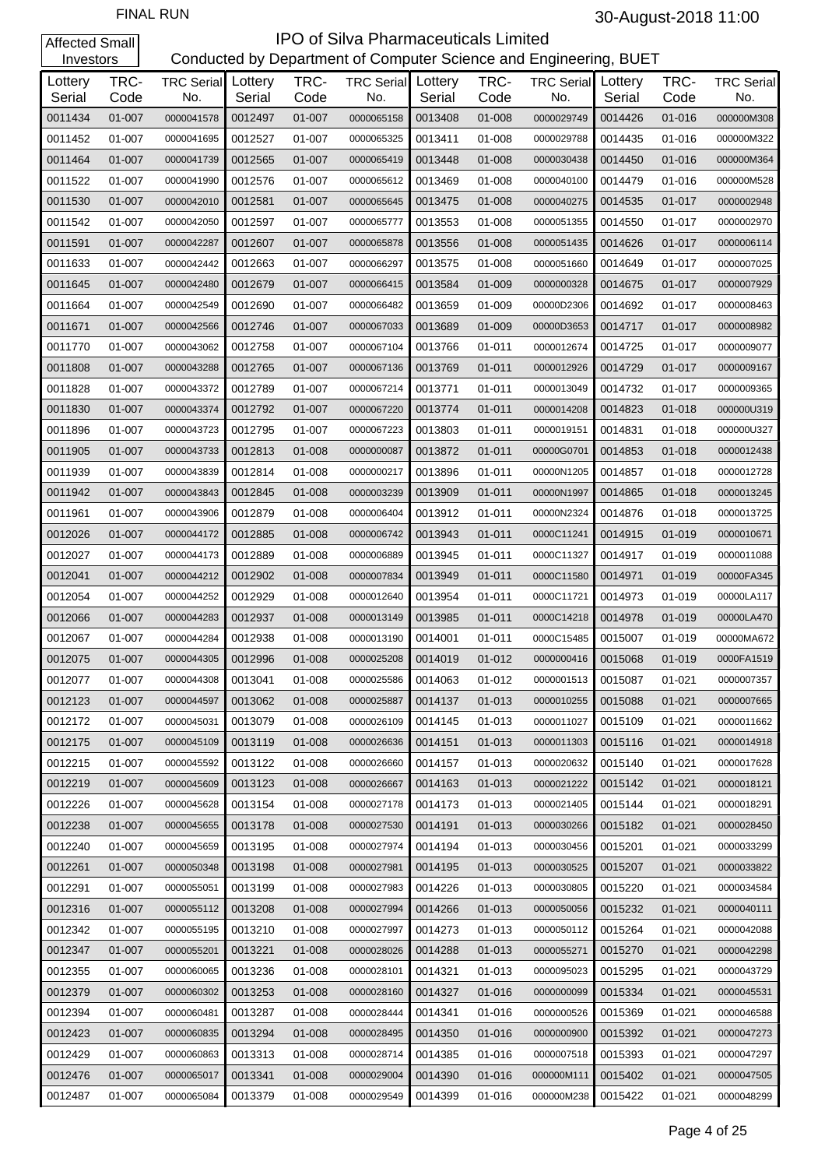#### **IPO of Silva Pharmaceuticals Limited**<br>Conducted by Department of Computer Science and Eng artment of Computer Science and Engineering, BUET

| Investors         |              |                          |                   |              | Conducted by Department of Computer Science and Engineering, BUET |                   |              |                          |                   |              |                          |
|-------------------|--------------|--------------------------|-------------------|--------------|-------------------------------------------------------------------|-------------------|--------------|--------------------------|-------------------|--------------|--------------------------|
| Lottery<br>Serial | TRC-<br>Code | <b>TRC Serial</b><br>No. | Lottery<br>Serial | TRC-<br>Code | <b>TRC Serial</b><br>No.                                          | Lottery<br>Serial | TRC-<br>Code | <b>TRC Serial</b><br>No. | Lottery<br>Serial | TRC-<br>Code | <b>TRC Serial</b><br>No. |
| 0011434           | 01-007       | 0000041578               | 0012497           | 01-007       | 0000065158                                                        | 0013408           | 01-008       | 0000029749               | 0014426           | 01-016       | 000000M308               |
| 0011452           | 01-007       | 0000041695               | 0012527           | 01-007       | 0000065325                                                        | 0013411           | 01-008       | 0000029788               | 0014435           | 01-016       | 000000M322               |
| 0011464           | 01-007       | 0000041739               | 0012565           | 01-007       | 0000065419                                                        | 0013448           | 01-008       | 0000030438               | 0014450           | 01-016       | 000000M364               |
| 0011522           | 01-007       | 0000041990               | 0012576           | 01-007       | 0000065612                                                        | 0013469           | 01-008       | 0000040100               | 0014479           | 01-016       | 000000M528               |
| 0011530           | 01-007       | 0000042010               | 0012581           | 01-007       | 0000065645                                                        | 0013475           | 01-008       | 0000040275               | 0014535           | $01 - 017$   | 0000002948               |
| 0011542           | 01-007       | 0000042050               | 0012597           | 01-007       | 0000065777                                                        | 0013553           | 01-008       | 0000051355               | 0014550           | 01-017       | 0000002970               |
| 0011591           | 01-007       | 0000042287               | 0012607           | 01-007       | 0000065878                                                        | 0013556           | 01-008       | 0000051435               | 0014626           | 01-017       | 0000006114               |
| 0011633           | 01-007       | 0000042442               | 0012663           | 01-007       | 0000066297                                                        | 0013575           | 01-008       | 0000051660               | 0014649           | 01-017       | 0000007025               |
| 0011645           | 01-007       | 0000042480               | 0012679           | 01-007       | 0000066415                                                        | 0013584           | 01-009       | 0000000328               | 0014675           | 01-017       | 0000007929               |
| 0011664           | 01-007       | 0000042549               | 0012690           | 01-007       | 0000066482                                                        | 0013659           | 01-009       | 00000D2306               | 0014692           | 01-017       | 0000008463               |
| 0011671           | 01-007       | 0000042566               | 0012746           | 01-007       | 0000067033                                                        | 0013689           | 01-009       | 00000D3653               | 0014717           | $01 - 017$   | 0000008982               |
| 0011770           | 01-007       | 0000043062               | 0012758           | 01-007       | 0000067104                                                        | 0013766           | 01-011       | 0000012674               | 0014725           | 01-017       | 0000009077               |
| 0011808           | 01-007       | 0000043288               | 0012765           | 01-007       | 0000067136                                                        | 0013769           | $01 - 011$   | 0000012926               | 0014729           | $01 - 017$   | 0000009167               |
| 0011828           | 01-007       | 0000043372               | 0012789           | 01-007       | 0000067214                                                        | 0013771           | 01-011       | 0000013049               | 0014732           | 01-017       | 0000009365               |
| 0011830           | 01-007       | 0000043374               | 0012792           | 01-007       | 0000067220                                                        | 0013774           | 01-011       | 0000014208               | 0014823           | 01-018       | 000000U319               |
| 0011896           | 01-007       | 0000043723               | 0012795           | 01-007       | 0000067223                                                        | 0013803           | 01-011       | 0000019151               | 0014831           | 01-018       | 000000U327               |
| 0011905           | 01-007       | 0000043733               | 0012813           | 01-008       | 0000000087                                                        | 0013872           | $01 - 011$   | 00000G0701               | 0014853           | 01-018       | 0000012438               |
| 0011939           | 01-007       | 0000043839               | 0012814           | 01-008       | 0000000217                                                        | 0013896           | 01-011       | 00000N1205               | 0014857           | 01-018       | 0000012728               |
| 0011942           | 01-007       | 0000043843               | 0012845           | 01-008       | 0000003239                                                        | 0013909           | 01-011       | 00000N1997               | 0014865           | 01-018       | 0000013245               |
| 0011961           | 01-007       | 0000043906               | 0012879           | 01-008       | 0000006404                                                        | 0013912           | 01-011       | 00000N2324               | 0014876           | 01-018       | 0000013725               |
| 0012026           | 01-007       | 0000044172               | 0012885           | 01-008       | 0000006742                                                        | 0013943           | $01 - 011$   | 0000C11241               | 0014915           | 01-019       | 0000010671               |
| 0012027           | 01-007       | 0000044173               | 0012889           | 01-008       | 0000006889                                                        | 0013945           | 01-011       | 0000C11327               | 0014917           | 01-019       | 0000011088               |
| 0012041           | 01-007       | 0000044212               | 0012902           | 01-008       | 0000007834                                                        | 0013949           | 01-011       | 0000C11580               | 0014971           | 01-019       | 00000FA345               |
| 0012054           | 01-007       | 0000044252               | 0012929           | 01-008       | 0000012640                                                        | 0013954           | 01-011       | 0000C11721               | 0014973           | 01-019       | 00000LA117               |
| 0012066           | 01-007       | 0000044283               | 0012937           | 01-008       | 0000013149                                                        | 0013985           | 01-011       | 0000C14218               | 0014978           | 01-019       | 00000LA470               |
| 0012067           | 01-007       | 0000044284               | 0012938           | 01-008       | 0000013190                                                        | 0014001           | 01-011       | 0000C15485               | 0015007           | 01-019       | 00000MA672               |
| 0012075           | 01-007       | 0000044305               | 0012996           | 01-008       | 0000025208                                                        | 0014019           | 01-012       | 0000000416               | 0015068           | 01-019       | 0000FA1519               |
| 0012077           | 01-007       | 0000044308               | 0013041           | 01-008       | 0000025586                                                        | 0014063           | 01-012       | 0000001513               | 0015087           | 01-021       | 0000007357               |
| 0012123           | 01-007       | 0000044597               | 0013062           | 01-008       | 0000025887                                                        | 0014137           | 01-013       | 0000010255               | 0015088           | $01 - 021$   | 0000007665               |
| 0012172           | 01-007       | 0000045031               | 0013079           | 01-008       | 0000026109                                                        | 0014145           | 01-013       | 0000011027               | 0015109           | $01 - 021$   | 0000011662               |
| 0012175           | 01-007       | 0000045109               | 0013119           | 01-008       | 0000026636                                                        | 0014151           | 01-013       | 0000011303               | 0015116           | $01 - 021$   | 0000014918               |
| 0012215           | 01-007       | 0000045592               | 0013122           | 01-008       | 0000026660                                                        | 0014157           | 01-013       | 0000020632               | 0015140           | $01 - 021$   | 0000017628               |
| 0012219           | 01-007       | 0000045609               | 0013123           | 01-008       | 0000026667                                                        | 0014163           | 01-013       | 0000021222               | 0015142           | $01 - 021$   | 0000018121               |
| 0012226           | 01-007       | 0000045628               | 0013154           | 01-008       | 0000027178                                                        | 0014173           | 01-013       | 0000021405               | 0015144           | $01 - 021$   | 0000018291               |
| 0012238           | 01-007       | 0000045655               | 0013178           | 01-008       | 0000027530                                                        | 0014191           | 01-013       | 0000030266               | 0015182           | $01 - 021$   | 0000028450               |
| 0012240           | 01-007       | 0000045659               | 0013195           | 01-008       | 0000027974                                                        | 0014194           | 01-013       | 0000030456               | 0015201           | $01 - 021$   | 0000033299               |
| 0012261           | 01-007       | 0000050348               | 0013198           | 01-008       | 0000027981                                                        | 0014195           | 01-013       | 0000030525               | 0015207           | $01 - 021$   | 0000033822               |
| 0012291           | 01-007       | 0000055051               | 0013199           | 01-008       | 0000027983                                                        | 0014226           | 01-013       | 0000030805               | 0015220           | $01 - 021$   | 0000034584               |
| 0012316           | 01-007       | 0000055112               | 0013208           | 01-008       | 0000027994                                                        | 0014266           | 01-013       | 0000050056               | 0015232           | $01 - 021$   | 0000040111               |
| 0012342           | 01-007       | 0000055195               | 0013210           | 01-008       | 0000027997                                                        | 0014273           | 01-013       | 0000050112               | 0015264           | $01 - 021$   | 0000042088               |
| 0012347           | 01-007       | 0000055201               | 0013221           | 01-008       | 0000028026                                                        | 0014288           | 01-013       | 0000055271               | 0015270           | $01 - 021$   | 0000042298               |
| 0012355           | 01-007       | 0000060065               | 0013236           | 01-008       | 0000028101                                                        | 0014321           | 01-013       | 0000095023               | 0015295           | $01 - 021$   | 0000043729               |
| 0012379           | 01-007       | 0000060302               | 0013253           | 01-008       | 0000028160                                                        | 0014327           | 01-016       | 0000000099               | 0015334           | $01 - 021$   | 0000045531               |
| 0012394           | 01-007       | 0000060481               | 0013287           | 01-008       | 0000028444                                                        | 0014341           | 01-016       | 0000000526               | 0015369           | $01 - 021$   | 0000046588               |
| 0012423           | 01-007       | 0000060835               | 0013294           | 01-008       | 0000028495                                                        | 0014350           | 01-016       | 0000000900               | 0015392           | $01 - 021$   | 0000047273               |
| 0012429           | 01-007       | 0000060863               | 0013313           | 01-008       | 0000028714                                                        | 0014385           | 01-016       | 0000007518               | 0015393           | $01 - 021$   | 0000047297               |
| 0012476           | 01-007       | 0000065017               | 0013341           | 01-008       | 0000029004                                                        | 0014390           | 01-016       | 000000M111               | 0015402           | $01 - 021$   | 0000047505               |
| 0012487           | 01-007       | 0000065084               | 0013379           | 01-008       | 0000029549                                                        | 0014399           | 01-016       | 000000M238               | 0015422           | 01-021       | 0000048299               |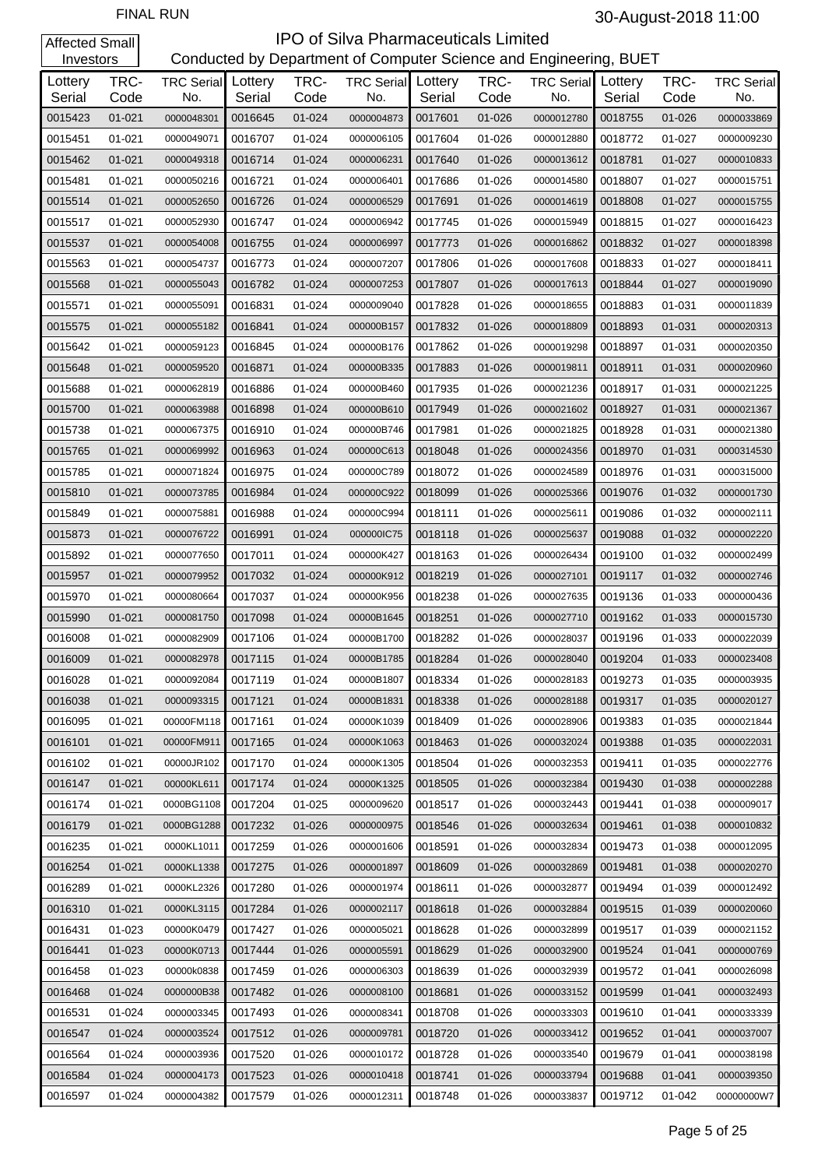| Investors         |              |                                  |         |              | Conducted by Department of Computer Science and Engineering, BUET |                   |              |                          |                   |              |                          |
|-------------------|--------------|----------------------------------|---------|--------------|-------------------------------------------------------------------|-------------------|--------------|--------------------------|-------------------|--------------|--------------------------|
| Lottery<br>Serial | TRC-<br>Code | <b>TRC Serial</b> Lottery<br>No. | Serial  | TRC-<br>Code | <b>TRC Serial</b><br>No.                                          | Lottery<br>Serial | TRC-<br>Code | <b>TRC Serial</b><br>No. | Lottery<br>Serial | TRC-<br>Code | <b>TRC Serial</b><br>No. |
| 0015423           | $01 - 021$   | 0000048301                       | 0016645 | 01-024       | 0000004873                                                        | 0017601           | 01-026       | 0000012780               | 0018755           | 01-026       | 0000033869               |
| 0015451           | $01 - 021$   | 0000049071                       | 0016707 | 01-024       | 0000006105                                                        | 0017604           | 01-026       | 0000012880               | 0018772           | $01 - 027$   | 0000009230               |
| 0015462           | $01 - 021$   | 0000049318                       | 0016714 | 01-024       | 0000006231                                                        | 0017640           | 01-026       | 0000013612               | 0018781           | $01 - 027$   | 0000010833               |
| 0015481           | $01 - 021$   | 0000050216                       | 0016721 | 01-024       | 0000006401                                                        | 0017686           | 01-026       | 0000014580               | 0018807           | $01 - 027$   | 0000015751               |
| 0015514           | $01 - 021$   | 0000052650                       | 0016726 | 01-024       | 0000006529                                                        | 0017691           | 01-026       | 0000014619               | 0018808           | $01 - 027$   | 0000015755               |
| 0015517           | $01 - 021$   | 0000052930                       | 0016747 | 01-024       | 0000006942                                                        | 0017745           | 01-026       | 0000015949               | 0018815           | $01 - 027$   | 0000016423               |
| 0015537           | $01 - 021$   | 0000054008                       | 0016755 | 01-024       | 0000006997                                                        | 0017773           | 01-026       | 0000016862               | 0018832           | $01 - 027$   | 0000018398               |
| 0015563           | $01 - 021$   | 0000054737                       | 0016773 | 01-024       | 0000007207                                                        | 0017806           | 01-026       | 0000017608               | 0018833           | $01 - 027$   | 0000018411               |
| 0015568           | $01 - 021$   | 0000055043                       | 0016782 | 01-024       | 0000007253                                                        | 0017807           | 01-026       | 0000017613               | 0018844           | $01 - 027$   | 0000019090               |
| 0015571           | $01 - 021$   | 0000055091                       | 0016831 | 01-024       | 0000009040                                                        | 0017828           | 01-026       | 0000018655               | 0018883           | 01-031       | 0000011839               |
| 0015575           | $01 - 021$   | 0000055182                       | 0016841 | 01-024       | 000000B157                                                        | 0017832           | 01-026       | 0000018809               | 0018893           | 01-031       | 0000020313               |
| 0015642           | $01 - 021$   | 0000059123                       | 0016845 | 01-024       | 000000B176                                                        | 0017862           | 01-026       | 0000019298               | 0018897           | 01-031       | 0000020350               |
| 0015648           | $01 - 021$   | 0000059520                       | 0016871 | 01-024       | 000000B335                                                        | 0017883           | 01-026       | 0000019811               | 0018911           | 01-031       | 0000020960               |
| 0015688           | $01 - 021$   | 0000062819                       | 0016886 | 01-024       | 000000B460                                                        | 0017935           | 01-026       | 0000021236               | 0018917           | 01-031       | 0000021225               |
| 0015700           | $01 - 021$   | 0000063988                       | 0016898 | 01-024       | 000000B610                                                        | 0017949           | 01-026       | 0000021602               | 0018927           | 01-031       | 0000021367               |
| 0015738           | $01 - 021$   | 0000067375                       | 0016910 | 01-024       | 000000B746                                                        | 0017981           | 01-026       | 0000021825               | 0018928           | 01-031       | 0000021380               |
| 0015765           | $01 - 021$   | 0000069992                       | 0016963 | 01-024       | 000000C613                                                        | 0018048           | 01-026       | 0000024356               | 0018970           | 01-031       | 0000314530               |
| 0015785           | $01 - 021$   | 0000071824                       | 0016975 | 01-024       | 000000C789                                                        | 0018072           | 01-026       | 0000024589               | 0018976           | 01-031       | 0000315000               |
| 0015810           | $01 - 021$   | 0000073785                       | 0016984 | 01-024       | 000000C922                                                        | 0018099           | 01-026       | 0000025366               | 0019076           | 01-032       | 0000001730               |
| 0015849           | $01 - 021$   | 0000075881                       | 0016988 | 01-024       | 000000C994                                                        | 0018111           | 01-026       | 0000025611               | 0019086           | 01-032       | 0000002111               |
| 0015873           | $01 - 021$   | 0000076722                       | 0016991 | 01-024       | 000000IC75                                                        | 0018118           | 01-026       | 0000025637               | 0019088           | 01-032       | 0000002220               |
| 0015892           | $01 - 021$   | 0000077650                       | 0017011 | 01-024       | 000000K427                                                        | 0018163           | 01-026       | 0000026434               | 0019100           | 01-032       | 0000002499               |
| 0015957           | $01 - 021$   | 0000079952                       | 0017032 | 01-024       | 000000K912                                                        | 0018219           | 01-026       | 0000027101               | 0019117           | 01-032       | 0000002746               |
| 0015970           | $01 - 021$   | 0000080664                       | 0017037 | 01-024       | 000000K956                                                        | 0018238           | 01-026       | 0000027635               | 0019136           | 01-033       | 0000000436               |
| 0015990           | $01 - 021$   | 0000081750                       | 0017098 | 01-024       | 00000B1645                                                        | 0018251           | 01-026       | 0000027710               | 0019162           | 01-033       | 0000015730               |
| 0016008           | 01-021       | 0000082909                       | 0017106 | 01-024       | 00000B1700                                                        | 0018282           | 01-026       | 0000028037               | 0019196           | 01-033       | 0000022039               |
| 0016009           | $01 - 021$   | 0000082978                       | 0017115 | 01-024       | 00000B1785                                                        | 0018284           | 01-026       | 0000028040               | 0019204           | 01-033       | 0000023408               |
| 0016028           | 01-021       | 0000092084                       | 0017119 | 01-024       | 00000B1807                                                        | 0018334           | 01-026       | 0000028183               | 0019273           | 01-035       | 0000003935               |
| 0016038           | $01 - 021$   | 0000093315                       | 0017121 | 01-024       | 00000B1831                                                        | 0018338           | 01-026       | 0000028188               | 0019317           | 01-035       | 0000020127               |
| 0016095           | 01-021       | 00000FM118                       | 0017161 | 01-024       | 00000K1039                                                        | 0018409           | 01-026       | 0000028906               | 0019383           | 01-035       | 0000021844               |
| 0016101           | $01 - 021$   | 00000FM911                       | 0017165 | 01-024       | 00000K1063                                                        | 0018463           | $01 - 026$   | 0000032024               | 0019388           | $01 - 035$   | 0000022031               |
| 0016102           | 01-021       | 00000JR102                       | 0017170 | 01-024       | 00000K1305                                                        | 0018504           | 01-026       | 0000032353               | 0019411           | 01-035       | 0000022776               |
| 0016147           | $01 - 021$   | 00000KL611                       | 0017174 | 01-024       | 00000K1325                                                        | 0018505           | $01 - 026$   | 0000032384               | 0019430           | 01-038       | 0000002288               |
| 0016174           | 01-021       | 0000BG1108                       | 0017204 | 01-025       | 0000009620                                                        | 0018517           | 01-026       | 0000032443               | 0019441           | 01-038       | 0000009017               |
| 0016179           | $01 - 021$   | 0000BG1288                       | 0017232 | 01-026       | 0000000975                                                        | 0018546           | $01 - 026$   | 0000032634               | 0019461           | 01-038       | 0000010832               |
| 0016235           | 01-021       | 0000KL1011                       | 0017259 | 01-026       | 0000001606                                                        | 0018591           | 01-026       | 0000032834               | 0019473           | 01-038       | 0000012095               |
| 0016254           | $01 - 021$   | 0000KL1338                       | 0017275 | 01-026       | 0000001897                                                        | 0018609           | 01-026       | 0000032869               | 0019481           | 01-038       | 0000020270               |
| 0016289           | 01-021       | 0000KL2326                       | 0017280 | 01-026       | 0000001974                                                        | 0018611           | 01-026       | 0000032877               | 0019494           | 01-039       | 0000012492               |
| 0016310           | $01 - 021$   | 0000KL3115                       | 0017284 | 01-026       | 0000002117                                                        | 0018618           | 01-026       | 0000032884               | 0019515           | 01-039       | 0000020060               |
| 0016431           | 01-023       | 00000K0479                       | 0017427 | 01-026       | 0000005021                                                        | 0018628           | 01-026       | 0000032899               | 0019517           | 01-039       | 0000021152               |
| 0016441           | 01-023       | 00000K0713                       | 0017444 | 01-026       | 0000005591                                                        | 0018629           | 01-026       | 0000032900               | 0019524           | $01 - 041$   | 0000000769               |
| 0016458           | 01-023       | 00000k0838                       | 0017459 | 01-026       | 0000006303                                                        | 0018639           | 01-026       | 0000032939               | 0019572           | 01-041       | 0000026098               |
| 0016468           | 01-024       | 0000000B38                       | 0017482 | 01-026       | 0000008100                                                        | 0018681           | 01-026       | 0000033152               | 0019599           | $01 - 041$   | 0000032493               |
| 0016531           | 01-024       | 0000003345                       | 0017493 | 01-026       | 0000008341                                                        | 0018708           | 01-026       | 0000033303               | 0019610           | 01-041       | 0000033339               |
| 0016547           | 01-024       | 0000003524                       | 0017512 | 01-026       | 0000009781                                                        | 0018720           | 01-026       | 0000033412               | 0019652           | $01 - 041$   | 0000037007               |
| 0016564           | 01-024       | 0000003936                       | 0017520 | 01-026       | 0000010172                                                        | 0018728           | 01-026       | 0000033540               | 0019679           | 01-041       | 0000038198               |
| 0016584           | 01-024       | 0000004173                       | 0017523 | 01-026       | 0000010418                                                        | 0018741           | 01-026       | 0000033794               | 0019688           | $01 - 041$   | 0000039350               |
| 0016597           | 01-024       | 0000004382                       | 0017579 | 01-026       | 0000012311                                                        | 0018748           | 01-026       | 0000033837               | 0019712           | 01-042       | 00000000W7               |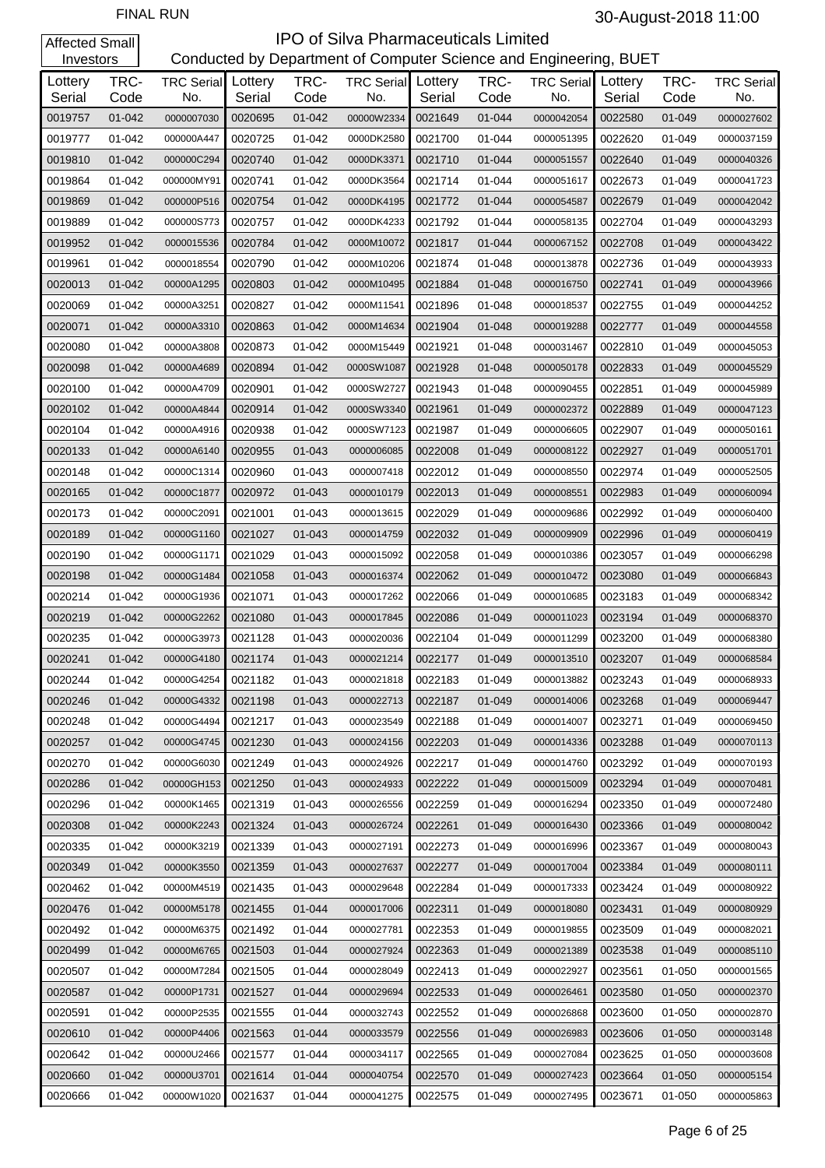| Investors         |              |                                  |         |              | Conducted by Department of Computer Science and Engineering, BUET |                   |              |                          |                   |              |                          |
|-------------------|--------------|----------------------------------|---------|--------------|-------------------------------------------------------------------|-------------------|--------------|--------------------------|-------------------|--------------|--------------------------|
| Lottery<br>Serial | TRC-<br>Code | <b>TRC Serial</b> Lottery<br>No. | Serial  | TRC-<br>Code | <b>TRC Serial</b><br>No.                                          | Lottery<br>Serial | TRC-<br>Code | <b>TRC Serial</b><br>No. | Lottery<br>Serial | TRC-<br>Code | <b>TRC Serial</b><br>No. |
| 0019757           | 01-042       | 0000007030                       | 0020695 | 01-042       | 00000W2334                                                        | 0021649           | 01-044       | 0000042054               | 0022580           | 01-049       | 0000027602               |
| 0019777           | 01-042       | 000000A447                       | 0020725 | 01-042       | 0000DK2580                                                        | 0021700           | 01-044       | 0000051395               | 0022620           | 01-049       | 0000037159               |
| 0019810           | 01-042       | 000000C294                       | 0020740 | 01-042       | 0000DK3371                                                        | 0021710           | 01-044       | 0000051557               | 0022640           | 01-049       | 0000040326               |
| 0019864           | 01-042       | 000000MY91                       | 0020741 | 01-042       | 0000DK3564                                                        | 0021714           | 01-044       | 0000051617               | 0022673           | 01-049       | 0000041723               |
| 0019869           | 01-042       | 000000P516                       | 0020754 | 01-042       | 0000DK4195                                                        | 0021772           | 01-044       | 0000054587               | 0022679           | 01-049       | 0000042042               |
| 0019889           | 01-042       | 000000S773                       | 0020757 | 01-042       | 0000DK4233                                                        | 0021792           | 01-044       | 0000058135               | 0022704           | 01-049       | 0000043293               |
| 0019952           | 01-042       | 0000015536                       | 0020784 | 01-042       | 0000M10072                                                        | 0021817           | 01-044       | 0000067152               | 0022708           | 01-049       | 0000043422               |
| 0019961           | 01-042       | 0000018554                       | 0020790 | 01-042       | 0000M10206                                                        | 0021874           | 01-048       | 0000013878               | 0022736           | 01-049       | 0000043933               |
| 0020013           | 01-042       | 00000A1295                       | 0020803 | 01-042       | 0000M10495                                                        | 0021884           | 01-048       | 0000016750               | 0022741           | 01-049       | 0000043966               |
| 0020069           | 01-042       | 00000A3251                       | 0020827 | 01-042       | 0000M11541                                                        | 0021896           | 01-048       | 0000018537               | 0022755           | 01-049       | 0000044252               |
| 0020071           | 01-042       | 00000A3310                       | 0020863 | 01-042       | 0000M14634                                                        | 0021904           | 01-048       | 0000019288               | 0022777           | 01-049       | 0000044558               |
| 0020080           | 01-042       | 00000A3808                       | 0020873 | 01-042       | 0000M15449                                                        | 0021921           | 01-048       | 0000031467               | 0022810           | 01-049       | 0000045053               |
| 0020098           | 01-042       | 00000A4689                       | 0020894 | 01-042       | 0000SW1087                                                        | 0021928           | 01-048       | 0000050178               | 0022833           | 01-049       | 0000045529               |
| 0020100           | 01-042       | 00000A4709                       | 0020901 | 01-042       | 0000SW2727                                                        | 0021943           | 01-048       | 0000090455               | 0022851           | 01-049       | 0000045989               |
| 0020102           | 01-042       | 00000A4844                       | 0020914 | 01-042       | 0000SW3340                                                        | 0021961           | 01-049       | 0000002372               | 0022889           | 01-049       | 0000047123               |
| 0020104           | 01-042       | 00000A4916                       | 0020938 | 01-042       | 0000SW7123                                                        | 0021987           | 01-049       | 0000006605               | 0022907           | 01-049       | 0000050161               |
| 0020133           | 01-042       | 00000A6140                       | 0020955 | 01-043       | 0000006085                                                        | 0022008           | 01-049       | 0000008122               | 0022927           | 01-049       | 0000051701               |
| 0020148           | 01-042       | 00000C1314                       | 0020960 | 01-043       | 0000007418                                                        | 0022012           | 01-049       | 0000008550               | 0022974           | 01-049       | 0000052505               |
| 0020165           | 01-042       | 00000C1877                       | 0020972 | 01-043       | 0000010179                                                        | 0022013           | 01-049       | 0000008551               | 0022983           | 01-049       | 0000060094               |
| 0020173           | 01-042       | 00000C2091                       | 0021001 | 01-043       | 0000013615                                                        | 0022029           | 01-049       | 0000009686               | 0022992           | 01-049       | 0000060400               |
| 0020189           | 01-042       | 00000G1160                       | 0021027 | 01-043       | 0000014759                                                        | 0022032           | 01-049       | 0000009909               | 0022996           | 01-049       | 0000060419               |
| 0020190           | 01-042       | 00000G1171                       | 0021029 | 01-043       | 0000015092                                                        | 0022058           | 01-049       | 0000010386               | 0023057           | 01-049       | 0000066298               |
| 0020198           | 01-042       | 00000G1484                       | 0021058 | 01-043       | 0000016374                                                        | 0022062           | 01-049       | 0000010472               | 0023080           | 01-049       | 0000066843               |
| 0020214           | 01-042       | 00000G1936                       | 0021071 | 01-043       | 0000017262                                                        | 0022066           | 01-049       | 0000010685               | 0023183           | 01-049       | 0000068342               |
| 0020219           | 01-042       | 00000G2262                       | 0021080 | 01-043       | 0000017845                                                        | 0022086           | 01-049       | 0000011023               | 0023194           | 01-049       | 0000068370               |
| 0020235           | 01-042       | 00000G3973                       | 0021128 | 01-043       | 0000020036                                                        | 0022104           | 01-049       | 0000011299               | 0023200           | 01-049       | 0000068380               |
| 0020241           | 01-042       | 00000G4180                       | 0021174 | 01-043       | 0000021214                                                        | 0022177           | 01-049       | 0000013510               | 0023207           | 01-049       | 0000068584               |
| 0020244           | 01-042       | 00000G4254                       | 0021182 | 01-043       | 0000021818                                                        | 0022183           | 01-049       | 0000013882               | 0023243           | 01-049       | 0000068933               |
| 0020246           | 01-042       | 00000G4332                       | 0021198 | 01-043       | 0000022713                                                        | 0022187           | 01-049       | 0000014006               | 0023268           | $01 - 049$   | 0000069447               |
| 0020248           | 01-042       | 00000G4494                       | 0021217 | 01-043       | 0000023549                                                        | 0022188           | 01-049       | 0000014007               | 0023271           | 01-049       | 0000069450               |
| 0020257           | 01-042       | 00000G4745                       | 0021230 | 01-043       | 0000024156                                                        | 0022203           | $01 - 049$   | 0000014336               | 0023288           | 01-049       | 0000070113               |
| 0020270           | 01-042       | 00000G6030                       | 0021249 | 01-043       | 0000024926                                                        | 0022217           | 01-049       | 0000014760               | 0023292           | 01-049       | 0000070193               |
| 0020286           | $01 - 042$   | 00000GH153                       | 0021250 | 01-043       | 0000024933                                                        | 0022222           | $01 - 049$   | 0000015009               | 0023294           | 01-049       | 0000070481               |
| 0020296           | 01-042       | 00000K1465                       | 0021319 | 01-043       | 0000026556                                                        | 0022259           | 01-049       | 0000016294               | 0023350           | 01-049       | 0000072480               |
| 0020308           | 01-042       | 00000K2243                       | 0021324 | 01-043       | 0000026724                                                        | 0022261           | $01 - 049$   | 0000016430               | 0023366           | 01-049       | 0000080042               |
| 0020335           | 01-042       | 00000K3219                       | 0021339 | 01-043       | 0000027191                                                        | 0022273           | 01-049       | 0000016996               | 0023367           | 01-049       | 0000080043               |
| 0020349           | 01-042       | 00000K3550                       | 0021359 | 01-043       | 0000027637                                                        | 0022277           | 01-049       | 0000017004               | 0023384           | 01-049       | 0000080111               |
| 0020462           | 01-042       | 00000M4519                       | 0021435 | 01-043       | 0000029648                                                        | 0022284           | 01-049       | 0000017333               | 0023424           | 01-049       | 0000080922               |
| 0020476           | 01-042       | 00000M5178                       | 0021455 | 01-044       | 0000017006                                                        | 0022311           | 01-049       | 0000018080               | 0023431           | 01-049       | 0000080929               |
| 0020492           | 01-042       | 00000M6375                       | 0021492 | 01-044       | 0000027781                                                        | 0022353           | 01-049       | 0000019855               | 0023509           | 01-049       | 0000082021               |
| 0020499           | 01-042       | 00000M6765                       | 0021503 | 01-044       | 0000027924                                                        | 0022363           | 01-049       | 0000021389               | 0023538           | 01-049       | 0000085110               |
| 0020507           | 01-042       | 00000M7284                       | 0021505 | 01-044       | 0000028049                                                        | 0022413           | 01-049       | 0000022927               | 0023561           | 01-050       | 0000001565               |
| 0020587           | 01-042       | 00000P1731                       | 0021527 | 01-044       | 0000029694                                                        | 0022533           | 01-049       | 0000026461               | 0023580           | 01-050       | 0000002370               |
| 0020591           | 01-042       | 00000P2535                       | 0021555 | 01-044       | 0000032743                                                        | 0022552           | 01-049       | 0000026868               | 0023600           | 01-050       | 0000002870               |
| 0020610           | 01-042       | 00000P4406                       | 0021563 | 01-044       | 0000033579                                                        | 0022556           | 01-049       | 0000026983               | 0023606           | 01-050       | 0000003148               |
| 0020642           | 01-042       | 00000U2466                       | 0021577 | 01-044       | 0000034117                                                        | 0022565           | 01-049       | 0000027084               | 0023625           | 01-050       | 0000003608               |
| 0020660           | 01-042       | 00000U3701                       | 0021614 | 01-044       | 0000040754                                                        | 0022570           | 01-049       | 0000027423               | 0023664           | 01-050       | 0000005154               |
| 0020666           | 01-042       | 00000W1020                       | 0021637 | 01-044       | 0000041275                                                        | 0022575           | 01-049       | 0000027495               | 0023671           | 01-050       | 0000005863               |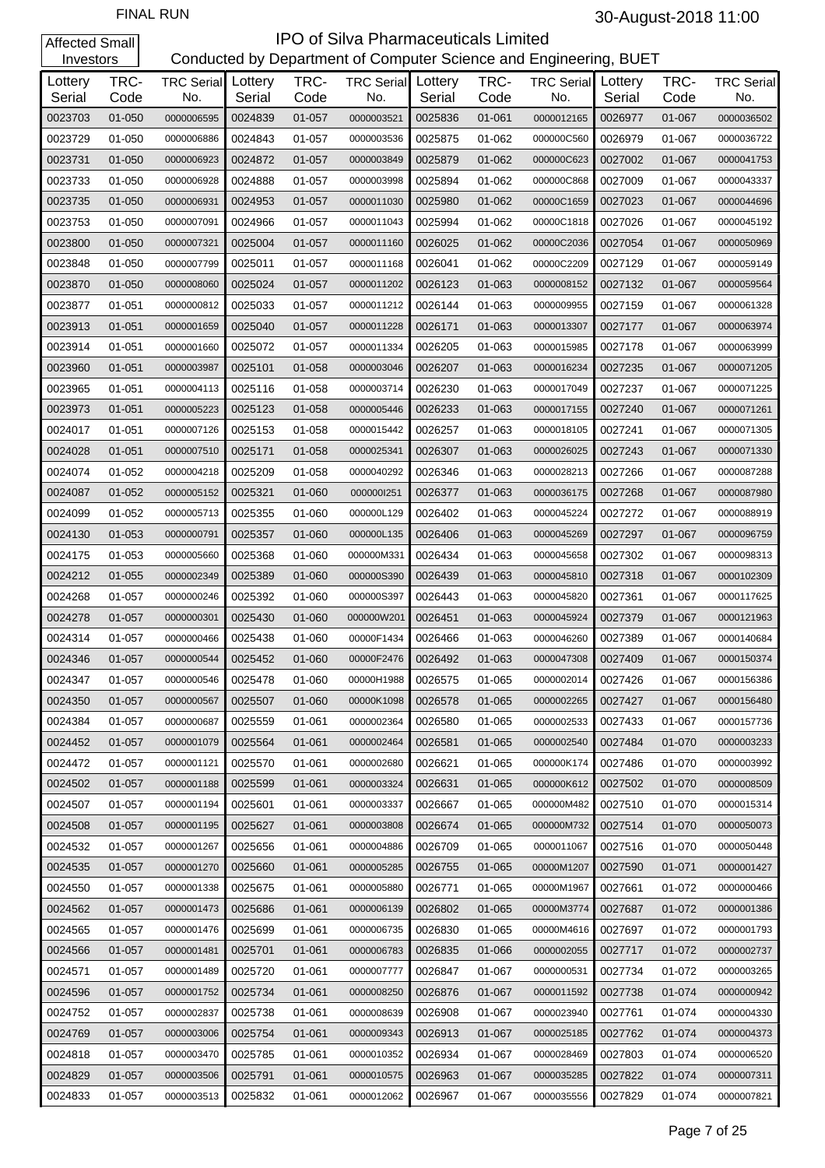| Investors         |              |                                  |         |              | Conducted by Department of Computer Science and Engineering, BUET |                   |              |                          |                   |              |                          |
|-------------------|--------------|----------------------------------|---------|--------------|-------------------------------------------------------------------|-------------------|--------------|--------------------------|-------------------|--------------|--------------------------|
| Lottery<br>Serial | TRC-<br>Code | <b>TRC Serial</b> Lottery<br>No. | Serial  | TRC-<br>Code | <b>TRC Serial</b><br>No.                                          | Lottery<br>Serial | TRC-<br>Code | <b>TRC Serial</b><br>No. | Lottery<br>Serial | TRC-<br>Code | <b>TRC Serial</b><br>No. |
| 0023703           | 01-050       | 0000006595                       | 0024839 | 01-057       | 0000003521                                                        | 0025836           | 01-061       | 0000012165               | 0026977           | 01-067       | 0000036502               |
| 0023729           | 01-050       | 0000006886                       | 0024843 | 01-057       | 0000003536                                                        | 0025875           | 01-062       | 000000C560               | 0026979           | 01-067       | 0000036722               |
| 0023731           | 01-050       | 0000006923                       | 0024872 | 01-057       | 0000003849                                                        | 0025879           | 01-062       | 000000C623               | 0027002           | 01-067       | 0000041753               |
| 0023733           | 01-050       | 0000006928                       | 0024888 | 01-057       | 0000003998                                                        | 0025894           | 01-062       | 000000C868               | 0027009           | 01-067       | 0000043337               |
| 0023735           | 01-050       | 0000006931                       | 0024953 | 01-057       | 0000011030                                                        | 0025980           | 01-062       | 00000C1659               | 0027023           | 01-067       | 0000044696               |
| 0023753           | 01-050       | 0000007091                       | 0024966 | 01-057       | 0000011043                                                        | 0025994           | 01-062       | 00000C1818               | 0027026           | 01-067       | 0000045192               |
| 0023800           | 01-050       | 0000007321                       | 0025004 | 01-057       | 0000011160                                                        | 0026025           | 01-062       | 00000C2036               | 0027054           | 01-067       | 0000050969               |
| 0023848           | 01-050       | 0000007799                       | 0025011 | 01-057       | 0000011168                                                        | 0026041           | 01-062       | 00000C2209               | 0027129           | 01-067       | 0000059149               |
| 0023870           | 01-050       | 0000008060                       | 0025024 | 01-057       | 0000011202                                                        | 0026123           | 01-063       | 0000008152               | 0027132           | 01-067       | 0000059564               |
| 0023877           | 01-051       | 0000000812                       | 0025033 | 01-057       | 0000011212                                                        | 0026144           | 01-063       | 0000009955               | 0027159           | 01-067       | 0000061328               |
| 0023913           | 01-051       | 0000001659                       | 0025040 | 01-057       | 0000011228                                                        | 0026171           | 01-063       | 0000013307               | 0027177           | 01-067       | 0000063974               |
| 0023914           | 01-051       | 0000001660                       | 0025072 | 01-057       | 0000011334                                                        | 0026205           | 01-063       | 0000015985               | 0027178           | 01-067       | 0000063999               |
| 0023960           | 01-051       | 0000003987                       | 0025101 | 01-058       | 0000003046                                                        | 0026207           | 01-063       | 0000016234               | 0027235           | 01-067       | 0000071205               |
| 0023965           | 01-051       | 0000004113                       | 0025116 | 01-058       | 0000003714                                                        | 0026230           | 01-063       | 0000017049               | 0027237           | 01-067       | 0000071225               |
| 0023973           | 01-051       | 0000005223                       | 0025123 | 01-058       | 0000005446                                                        | 0026233           | 01-063       | 0000017155               | 0027240           | 01-067       | 0000071261               |
| 0024017           | 01-051       | 0000007126                       | 0025153 | 01-058       | 0000015442                                                        | 0026257           | 01-063       | 0000018105               | 0027241           | 01-067       | 0000071305               |
| 0024028           | 01-051       | 0000007510                       | 0025171 | 01-058       | 0000025341                                                        | 0026307           | 01-063       | 0000026025               | 0027243           | 01-067       | 0000071330               |
| 0024074           | 01-052       | 0000004218                       | 0025209 | 01-058       | 0000040292                                                        | 0026346           | 01-063       | 0000028213               | 0027266           | 01-067       | 0000087288               |
| 0024087           | 01-052       | 0000005152                       | 0025321 | 01-060       | 000000l251                                                        | 0026377           | 01-063       | 0000036175               | 0027268           | 01-067       | 0000087980               |
| 0024099           | 01-052       | 0000005713                       | 0025355 | 01-060       | 000000L129                                                        | 0026402           | 01-063       | 0000045224               | 0027272           | 01-067       | 0000088919               |
| 0024130           | 01-053       | 0000000791                       | 0025357 | 01-060       | 000000L135                                                        | 0026406           | 01-063       | 0000045269               | 0027297           | 01-067       | 0000096759               |
| 0024175           | 01-053       | 0000005660                       | 0025368 | 01-060       | 000000M331                                                        | 0026434           | 01-063       | 0000045658               | 0027302           | 01-067       | 0000098313               |
| 0024212           | $01 - 055$   | 0000002349                       | 0025389 | 01-060       | 000000S390                                                        | 0026439           | 01-063       | 0000045810               | 0027318           | 01-067       | 0000102309               |
| 0024268           | 01-057       | 0000000246                       | 0025392 | 01-060       | 000000S397                                                        | 0026443           | 01-063       | 0000045820               | 0027361           | 01-067       | 0000117625               |
| 0024278           | 01-057       | 0000000301                       | 0025430 | 01-060       | 000000W201                                                        | 0026451           | 01-063       | 0000045924               | 0027379           | 01-067       | 0000121963               |
| 0024314           | 01-057       | 0000000466                       | 0025438 | 01-060       | 00000F1434                                                        | 0026466           | 01-063       | 0000046260               | 0027389           | 01-067       | 0000140684               |
| 0024346           | 01-057       | 0000000544                       | 0025452 | 01-060       | 00000F2476                                                        | 0026492           | 01-063       | 0000047308               | 0027409           | 01-067       | 0000150374               |
| 0024347           | 01-057       | 0000000546                       | 0025478 | 01-060       | 00000H1988                                                        | 0026575           | 01-065       | 0000002014               | 0027426           | 01-067       | 0000156386               |
| 0024350           | 01-057       | 0000000567                       | 0025507 | 01-060       | 00000K1098                                                        | 0026578           | 01-065       | 0000002265               | 0027427           | 01-067       | 0000156480               |
| 0024384           | 01-057       | 0000000687                       | 0025559 | 01-061       | 0000002364                                                        | 0026580           | 01-065       | 0000002533               | 0027433           | 01-067       | 0000157736               |
| 0024452           | 01-057       | 0000001079                       | 0025564 | 01-061       | 0000002464                                                        | 0026581           | 01-065       | 0000002540               | 0027484           | 01-070       | 0000003233               |
| 0024472           | 01-057       | 0000001121                       | 0025570 | 01-061       | 0000002680                                                        | 0026621           | 01-065       | 000000K174               | 0027486           | 01-070       | 0000003992               |
| 0024502           | 01-057       | 0000001188                       | 0025599 | 01-061       | 0000003324                                                        | 0026631           | 01-065       | 000000K612               | 0027502           | 01-070       | 0000008509               |
| 0024507           | 01-057       | 0000001194                       | 0025601 | 01-061       | 0000003337                                                        | 0026667           | 01-065       | 000000M482               | 0027510           | 01-070       | 0000015314               |
| 0024508           | 01-057       | 0000001195                       | 0025627 | 01-061       | 0000003808                                                        | 0026674           | 01-065       | 000000M732               | 0027514           | 01-070       | 0000050073               |
| 0024532           | 01-057       | 0000001267                       | 0025656 | 01-061       | 0000004886                                                        | 0026709           | 01-065       | 0000011067               | 0027516           | 01-070       | 0000050448               |
| 0024535           | 01-057       | 0000001270                       | 0025660 | 01-061       | 0000005285                                                        | 0026755           | 01-065       | 00000M1207               | 0027590           | 01-071       | 0000001427               |
| 0024550           | 01-057       | 0000001338                       | 0025675 | 01-061       | 0000005880                                                        | 0026771           | 01-065       | 00000M1967               | 0027661           | 01-072       | 0000000466               |
| 0024562           | 01-057       | 0000001473                       | 0025686 | 01-061       | 0000006139                                                        | 0026802           | 01-065       | 00000M3774               | 0027687           | 01-072       | 0000001386               |
| 0024565           | 01-057       | 0000001476                       | 0025699 | 01-061       | 0000006735                                                        | 0026830           | 01-065       | 00000M4616               | 0027697           | 01-072       | 0000001793               |
| 0024566           | 01-057       | 0000001481                       | 0025701 | 01-061       | 0000006783                                                        | 0026835           | 01-066       | 0000002055               | 0027717           | 01-072       | 0000002737               |
| 0024571           | 01-057       | 0000001489                       | 0025720 | 01-061       | 0000007777                                                        | 0026847           | 01-067       | 0000000531               | 0027734           | 01-072       | 0000003265               |
| 0024596           | 01-057       | 0000001752                       | 0025734 | 01-061       | 0000008250                                                        | 0026876           | 01-067       | 0000011592               | 0027738           | 01-074       | 0000000942               |
| 0024752           | 01-057       | 0000002837                       | 0025738 | 01-061       | 0000008639                                                        | 0026908           | 01-067       | 0000023940               | 0027761           | 01-074       | 0000004330               |
| 0024769           | 01-057       | 0000003006                       | 0025754 | 01-061       | 0000009343                                                        | 0026913           | 01-067       | 0000025185               | 0027762           | 01-074       | 0000004373               |
| 0024818           | 01-057       | 0000003470                       | 0025785 | 01-061       | 0000010352                                                        | 0026934           | 01-067       | 0000028469               | 0027803           | 01-074       | 0000006520               |
| 0024829           | 01-057       | 0000003506                       | 0025791 | 01-061       | 0000010575                                                        | 0026963           | 01-067       | 0000035285               | 0027822           | 01-074       | 0000007311               |
| 0024833           | 01-057       | 0000003513                       | 0025832 | 01-061       | 0000012062                                                        | 0026967           | 01-067       | 0000035556               | 0027829           | 01-074       | 0000007821               |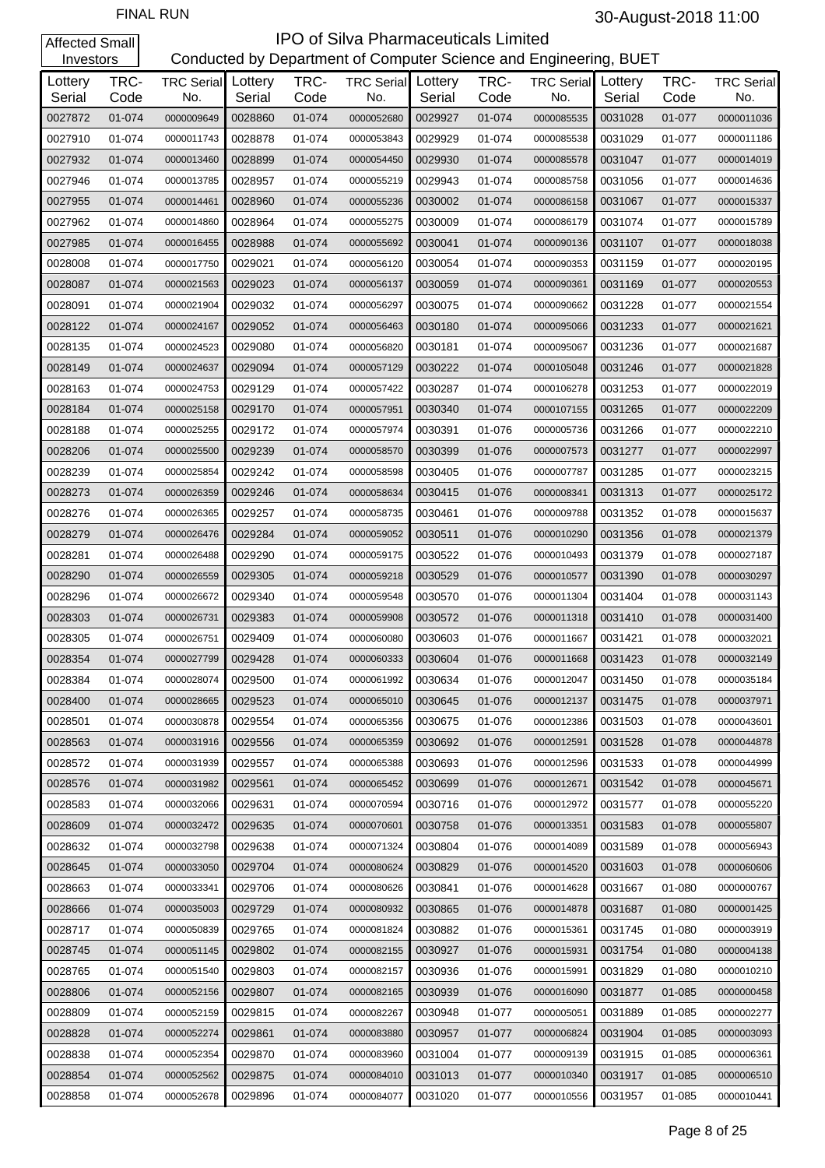#### **IPO of Silva Pharmaceuticals Limited**<br>Conducted by Department of Computer Science and Eng Conducted by Department of Computer Science and Engineering, BUET

| Investors         |              |                                  |         |              | Conducted by Department of Computer Science and Engineering, BUET |                   |              |                          |                   |              |                          |
|-------------------|--------------|----------------------------------|---------|--------------|-------------------------------------------------------------------|-------------------|--------------|--------------------------|-------------------|--------------|--------------------------|
| Lottery<br>Serial | TRC-<br>Code | <b>TRC Serial</b> Lottery<br>No. | Serial  | TRC-<br>Code | <b>TRC Serial</b><br>No.                                          | Lottery<br>Serial | TRC-<br>Code | <b>TRC Serial</b><br>No. | Lottery<br>Serial | TRC-<br>Code | <b>TRC Serial</b><br>No. |
| 0027872           | 01-074       | 0000009649                       | 0028860 | 01-074       | 0000052680                                                        | 0029927           | 01-074       | 0000085535               | 0031028           | 01-077       | 0000011036               |
| 0027910           | 01-074       | 0000011743                       | 0028878 | 01-074       | 0000053843                                                        | 0029929           | 01-074       | 0000085538               | 0031029           | 01-077       | 0000011186               |
| 0027932           | 01-074       | 0000013460                       | 0028899 | 01-074       | 0000054450                                                        | 0029930           | 01-074       | 0000085578               | 0031047           | 01-077       | 0000014019               |
| 0027946           | 01-074       | 0000013785                       | 0028957 | 01-074       | 0000055219                                                        | 0029943           | 01-074       | 0000085758               | 0031056           | 01-077       | 0000014636               |
| 0027955           | 01-074       | 0000014461                       | 0028960 | 01-074       | 0000055236                                                        | 0030002           | 01-074       | 0000086158               | 0031067           | 01-077       | 0000015337               |
| 0027962           | 01-074       | 0000014860                       | 0028964 | 01-074       | 0000055275                                                        | 0030009           | 01-074       | 0000086179               | 0031074           | 01-077       | 0000015789               |
| 0027985           | 01-074       | 0000016455                       | 0028988 | 01-074       | 0000055692                                                        | 0030041           | 01-074       | 0000090136               | 0031107           | 01-077       | 0000018038               |
| 0028008           | 01-074       | 0000017750                       | 0029021 | 01-074       | 0000056120                                                        | 0030054           | 01-074       | 0000090353               | 0031159           | 01-077       | 0000020195               |
| 0028087           | 01-074       | 0000021563                       | 0029023 | 01-074       | 0000056137                                                        | 0030059           | 01-074       | 0000090361               | 0031169           | 01-077       | 0000020553               |
| 0028091           | 01-074       | 0000021904                       | 0029032 | 01-074       | 0000056297                                                        | 0030075           | 01-074       | 0000090662               | 0031228           | 01-077       | 0000021554               |
| 0028122           | 01-074       | 0000024167                       | 0029052 | 01-074       | 0000056463                                                        | 0030180           | 01-074       | 0000095066               | 0031233           | 01-077       | 0000021621               |
| 0028135           | 01-074       | 0000024523                       | 0029080 | 01-074       | 0000056820                                                        | 0030181           | 01-074       | 0000095067               | 0031236           | 01-077       | 0000021687               |
| 0028149           | 01-074       | 0000024637                       | 0029094 | 01-074       | 0000057129                                                        | 0030222           | 01-074       | 0000105048               | 0031246           | 01-077       | 0000021828               |
| 0028163           | 01-074       | 0000024753                       | 0029129 | 01-074       | 0000057422                                                        | 0030287           | 01-074       | 0000106278               | 0031253           | 01-077       | 0000022019               |
| 0028184           | 01-074       | 0000025158                       | 0029170 | 01-074       | 0000057951                                                        | 0030340           | 01-074       | 0000107155               | 0031265           | 01-077       | 0000022209               |
| 0028188           | 01-074       | 0000025255                       | 0029172 | 01-074       | 0000057974                                                        | 0030391           | 01-076       | 0000005736               | 0031266           | 01-077       | 0000022210               |
| 0028206           | 01-074       | 0000025500                       | 0029239 | 01-074       | 0000058570                                                        | 0030399           | 01-076       | 0000007573               | 0031277           | 01-077       | 0000022997               |
| 0028239           | 01-074       | 0000025854                       | 0029242 | 01-074       | 0000058598                                                        | 0030405           | 01-076       | 0000007787               | 0031285           | 01-077       | 0000023215               |
| 0028273           | 01-074       | 0000026359                       | 0029246 | 01-074       | 0000058634                                                        | 0030415           | 01-076       | 0000008341               | 0031313           | 01-077       | 0000025172               |
| 0028276           | 01-074       | 0000026365                       | 0029257 | 01-074       | 0000058735                                                        | 0030461           | 01-076       | 0000009788               | 0031352           | 01-078       | 0000015637               |
| 0028279           | 01-074       | 0000026476                       | 0029284 | 01-074       | 0000059052                                                        | 0030511           | 01-076       | 0000010290               | 0031356           | 01-078       | 0000021379               |
| 0028281           | 01-074       | 0000026488                       | 0029290 | 01-074       | 0000059175                                                        | 0030522           | 01-076       | 0000010493               | 0031379           | 01-078       | 0000027187               |
| 0028290           | 01-074       | 0000026559                       | 0029305 | 01-074       | 0000059218                                                        | 0030529           | 01-076       | 0000010577               | 0031390           | 01-078       | 0000030297               |
| 0028296           | 01-074       | 0000026672                       | 0029340 | 01-074       | 0000059548                                                        | 0030570           | 01-076       | 0000011304               | 0031404           | 01-078       | 0000031143               |
| 0028303           | 01-074       | 0000026731                       | 0029383 | 01-074       | 0000059908                                                        | 0030572           | 01-076       | 0000011318               | 0031410           | 01-078       | 0000031400               |
| 0028305           | 01-074       | 0000026751                       | 0029409 | 01-074       | 0000060080                                                        | 0030603           | 01-076       | 0000011667               | 0031421           | 01-078       | 0000032021               |
| 0028354           | 01-074       | 0000027799                       | 0029428 | 01-074       | 0000060333                                                        | 0030604           | 01-076       | 0000011668               | 0031423           | 01-078       | 0000032149               |
| 0028384           | 01-074       | 0000028074                       | 0029500 | 01-074       | 0000061992                                                        | 0030634           | 01-076       | 0000012047               | 0031450           | 01-078       | 0000035184               |
| 0028400           | 01-074       | 0000028665                       | 0029523 | 01-074       | 0000065010                                                        | 0030645           | 01-076       | 0000012137               | 0031475           | 01-078       | 0000037971               |
| 0028501           | 01-074       | 0000030878                       | 0029554 | 01-074       | 0000065356                                                        | 0030675           | 01-076       | 0000012386               | 0031503           | 01-078       | 0000043601               |
| 0028563           | 01-074       | 0000031916                       | 0029556 | 01-074       | 0000065359                                                        | 0030692           | 01-076       | 0000012591               | 0031528           | 01-078       | 0000044878               |
| 0028572           | 01-074       | 0000031939                       | 0029557 | 01-074       | 0000065388                                                        | 0030693           | 01-076       | 0000012596               | 0031533           | 01-078       | 0000044999               |
| 0028576           | 01-074       | 0000031982                       | 0029561 | 01-074       | 0000065452                                                        | 0030699           | 01-076       | 0000012671               | 0031542           | 01-078       | 0000045671               |
| 0028583           | 01-074       | 0000032066                       | 0029631 | 01-074       | 0000070594                                                        | 0030716           | 01-076       | 0000012972               | 0031577           | 01-078       | 0000055220               |
| 0028609           | 01-074       | 0000032472                       | 0029635 | 01-074       | 0000070601                                                        | 0030758           | 01-076       | 0000013351               | 0031583           | 01-078       | 0000055807               |
| 0028632           | 01-074       | 0000032798                       | 0029638 | 01-074       | 0000071324                                                        | 0030804           | 01-076       | 0000014089               | 0031589           | 01-078       | 0000056943               |
| 0028645           | 01-074       | 0000033050                       | 0029704 | 01-074       | 0000080624                                                        | 0030829           | 01-076       | 0000014520               | 0031603           | 01-078       | 0000060606               |
| 0028663           | 01-074       | 0000033341                       | 0029706 | 01-074       | 0000080626                                                        | 0030841           | 01-076       | 0000014628               | 0031667           | 01-080       | 0000000767               |
| 0028666           | 01-074       | 0000035003                       | 0029729 | 01-074       | 0000080932                                                        | 0030865           | 01-076       | 0000014878               | 0031687           | 01-080       | 0000001425               |
| 0028717           | 01-074       | 0000050839                       | 0029765 | 01-074       | 0000081824                                                        | 0030882           | 01-076       | 0000015361               | 0031745           | 01-080       | 0000003919               |
| 0028745           | 01-074       | 0000051145                       | 0029802 | 01-074       | 0000082155                                                        | 0030927           | 01-076       | 0000015931               | 0031754           | 01-080       | 0000004138               |
| 0028765           | 01-074       | 0000051540                       | 0029803 | 01-074       | 0000082157                                                        | 0030936           | 01-076       | 0000015991               | 0031829           | 01-080       | 0000010210               |
| 0028806           | 01-074       | 0000052156                       | 0029807 | 01-074       | 0000082165                                                        | 0030939           | 01-076       | 0000016090               | 0031877           | 01-085       | 0000000458               |
| 0028809           | 01-074       | 0000052159                       | 0029815 | 01-074       | 0000082267                                                        | 0030948           | 01-077       | 0000005051               | 0031889           | 01-085       | 0000002277               |
| 0028828           | 01-074       | 0000052274                       | 0029861 | 01-074       | 0000083880                                                        | 0030957           | 01-077       | 0000006824               | 0031904           | 01-085       | 0000003093               |
| 0028838           | 01-074       | 0000052354                       | 0029870 | 01-074       | 0000083960                                                        | 0031004           | 01-077       | 0000009139               | 0031915           | 01-085       | 0000006361               |
| 0028854           | 01-074       | 0000052562                       | 0029875 | 01-074       | 0000084010                                                        | 0031013           | 01-077       | 0000010340               | 0031917           | 01-085       | 0000006510               |
| 0028858           | 01-074       | 0000052678                       | 0029896 | 01-074       | 0000084077                                                        | 0031020           | 01-077       | 0000010556               | 0031957           | 01-085       | 0000010441               |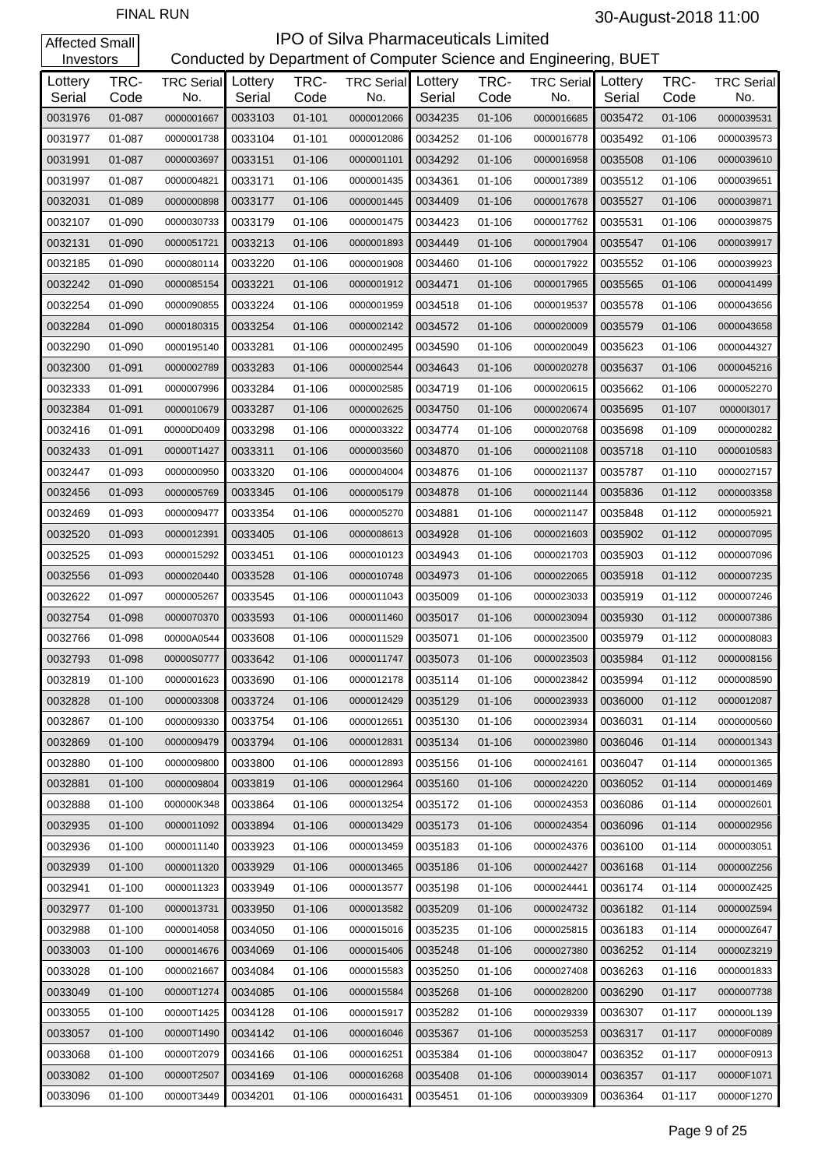#### **IPO of Silva Pharmaceuticals Limited**<br>Conducted by Department of Computer Science and Eng artment of Computer Science and Engineering, BUET

| Investors         |              |                                  |         |              | Conducted by Department of Computer Science and Engineering, BUET |                   |              |                          |                   |              |                          |
|-------------------|--------------|----------------------------------|---------|--------------|-------------------------------------------------------------------|-------------------|--------------|--------------------------|-------------------|--------------|--------------------------|
| Lottery<br>Serial | TRC-<br>Code | <b>TRC Serial</b> Lottery<br>No. | Serial  | TRC-<br>Code | <b>TRC Serial</b><br>No.                                          | Lottery<br>Serial | TRC-<br>Code | <b>TRC Serial</b><br>No. | Lottery<br>Serial | TRC-<br>Code | <b>TRC Serial</b><br>No. |
| 0031976           | 01-087       | 0000001667                       | 0033103 | $01 - 101$   | 0000012066                                                        | 0034235           | $01 - 106$   | 0000016685               | 0035472           | $01 - 106$   | 0000039531               |
| 0031977           | 01-087       | 0000001738                       | 0033104 | 01-101       | 0000012086                                                        | 0034252           | 01-106       | 0000016778               | 0035492           | $01 - 106$   | 0000039573               |
| 0031991           | 01-087       | 0000003697                       | 0033151 | 01-106       | 0000001101                                                        | 0034292           | $01 - 106$   | 0000016958               | 0035508           | $01 - 106$   | 0000039610               |
| 0031997           | 01-087       | 0000004821                       | 0033171 | 01-106       | 0000001435                                                        | 0034361           | 01-106       | 0000017389               | 0035512           | $01 - 106$   | 0000039651               |
| 0032031           | 01-089       | 0000000898                       | 0033177 | 01-106       | 0000001445                                                        | 0034409           | $01 - 106$   | 0000017678               | 0035527           | $01 - 106$   | 0000039871               |
| 0032107           | 01-090       | 0000030733                       | 0033179 | 01-106       | 0000001475                                                        | 0034423           | 01-106       | 0000017762               | 0035531           | $01 - 106$   | 0000039875               |
| 0032131           | 01-090       | 0000051721                       | 0033213 | 01-106       | 0000001893                                                        | 0034449           | $01 - 106$   | 0000017904               | 0035547           | 01-106       | 0000039917               |
| 0032185           | 01-090       | 0000080114                       | 0033220 | 01-106       | 0000001908                                                        | 0034460           | 01-106       | 0000017922               | 0035552           | 01-106       | 0000039923               |
| 0032242           | 01-090       | 0000085154                       | 0033221 | 01-106       | 0000001912                                                        | 0034471           | $01 - 106$   | 0000017965               | 0035565           | 01-106       | 0000041499               |
| 0032254           | 01-090       | 0000090855                       | 0033224 | 01-106       | 0000001959                                                        | 0034518           | 01-106       | 0000019537               | 0035578           | 01-106       | 0000043656               |
| 0032284           | 01-090       | 0000180315                       | 0033254 | 01-106       | 0000002142                                                        | 0034572           | $01 - 106$   | 0000020009               | 0035579           | 01-106       | 0000043658               |
| 0032290           | 01-090       | 0000195140                       | 0033281 | 01-106       | 0000002495                                                        | 0034590           | 01-106       | 0000020049               | 0035623           | $01 - 106$   | 0000044327               |
| 0032300           | 01-091       | 0000002789                       | 0033283 | $01 - 106$   | 0000002544                                                        | 0034643           | $01 - 106$   | 0000020278               | 0035637           | 01-106       | 0000045216               |
| 0032333           | 01-091       | 0000007996                       | 0033284 | 01-106       | 0000002585                                                        | 0034719           | 01-106       | 0000020615               | 0035662           | $01 - 106$   | 0000052270               |
| 0032384           | 01-091       | 0000010679                       | 0033287 | 01-106       | 0000002625                                                        | 0034750           | $01 - 106$   | 0000020674               | 0035695           | 01-107       | 0000013017               |
| 0032416           | 01-091       | 00000D0409                       | 0033298 | 01-106       | 0000003322                                                        | 0034774           | 01-106       | 0000020768               | 0035698           | 01-109       | 0000000282               |
| 0032433           | 01-091       | 00000T1427                       | 0033311 | $01 - 106$   | 0000003560                                                        | 0034870           | $01 - 106$   | 0000021108               | 0035718           | $01 - 110$   | 0000010583               |
| 0032447           | 01-093       | 0000000950                       | 0033320 | 01-106       | 0000004004                                                        | 0034876           | 01-106       | 0000021137               | 0035787           | $01 - 110$   | 0000027157               |
| 0032456           | 01-093       | 0000005769                       | 0033345 | 01-106       | 0000005179                                                        | 0034878           | $01 - 106$   | 0000021144               | 0035836           | $01 - 112$   | 0000003358               |
| 0032469           | 01-093       | 0000009477                       | 0033354 | 01-106       | 0000005270                                                        | 0034881           | 01-106       | 0000021147               | 0035848           | $01 - 112$   | 0000005921               |
| 0032520           | 01-093       | 0000012391                       | 0033405 | 01-106       | 0000008613                                                        | 0034928           | $01 - 106$   | 0000021603               | 0035902           | $01 - 112$   | 0000007095               |
| 0032525           | 01-093       | 0000015292                       | 0033451 | 01-106       | 0000010123                                                        | 0034943           | 01-106       | 0000021703               | 0035903           | $01 - 112$   | 0000007096               |
| 0032556           | 01-093       | 0000020440                       | 0033528 | 01-106       | 0000010748                                                        | 0034973           | $01 - 106$   | 0000022065               | 0035918           | $01 - 112$   | 0000007235               |
| 0032622           | 01-097       | 0000005267                       | 0033545 | 01-106       | 0000011043                                                        | 0035009           | 01-106       | 0000023033               | 0035919           | $01 - 112$   | 0000007246               |
| 0032754           | 01-098       | 0000070370                       | 0033593 | 01-106       | 0000011460                                                        | 0035017           | $01 - 106$   | 0000023094               | 0035930           | $01 - 112$   | 0000007386               |
| 0032766           | 01-098       | 00000A0544                       | 0033608 | 01-106       | 0000011529                                                        | 0035071           | 01-106       | 0000023500               | 0035979           | 01-112       | 0000008083               |
| 0032793           | 01-098       | 00000S0777                       | 0033642 | $01 - 106$   | 0000011747                                                        | 0035073           | 01-106       | 0000023503               | 0035984           | $01 - 112$   | 0000008156               |
| 0032819           | $01 - 100$   | 0000001623                       | 0033690 | 01-106       | 0000012178                                                        | 0035114           | 01-106       | 0000023842               | 0035994           | 01-112       | 0000008590               |
| 0032828           | 01-100       | 0000003308                       | 0033724 | $01 - 106$   | 0000012429                                                        | 0035129           | 01-106       | 0000023933               | 0036000           | $01 - 112$   | 0000012087               |
| 0032867           | 01-100       | 0000009330                       | 0033754 | 01-106       | 0000012651                                                        | 0035130           | $01 - 106$   | 0000023934               | 0036031           | 01-114       | 0000000560               |
| 0032869           | 01-100       | 0000009479                       | 0033794 | 01-106       | 0000012831                                                        | 0035134           | 01-106       | 0000023980               | 0036046           | $01 - 114$   | 0000001343               |
| 0032880           | 01-100       | 0000009800                       | 0033800 | 01-106       | 0000012893                                                        | 0035156           | 01-106       | 0000024161               | 0036047           | $01 - 114$   | 0000001365               |
| 0032881           | 01-100       | 0000009804                       | 0033819 | 01-106       | 0000012964                                                        | 0035160           | 01-106       | 0000024220               | 0036052           | $01 - 114$   | 0000001469               |
| 0032888           | 01-100       | 000000K348                       | 0033864 | 01-106       | 0000013254                                                        | 0035172           | 01-106       | 0000024353               | 0036086           | 01-114       | 0000002601               |
| 0032935           | 01-100       | 0000011092                       | 0033894 | 01-106       | 0000013429                                                        | 0035173           | $01 - 106$   | 0000024354               | 0036096           | $01 - 114$   | 0000002956               |
| 0032936           | 01-100       | 0000011140                       | 0033923 | 01-106       | 0000013459                                                        | 0035183           | 01-106       | 0000024376               | 0036100           | 01-114       | 0000003051               |
| 0032939           | 01-100       | 0000011320                       | 0033929 | 01-106       | 0000013465                                                        | 0035186           | 01-106       | 0000024427               | 0036168           | $01 - 114$   | 000000Z256               |
| 0032941           | 01-100       | 0000011323                       | 0033949 | 01-106       | 0000013577                                                        | 0035198           | 01-106       | 0000024441               | 0036174           | 01-114       | 000000Z425               |
| 0032977           | 01-100       | 0000013731                       | 0033950 | 01-106       | 0000013582                                                        | 0035209           | 01-106       | 0000024732               | 0036182           | $01 - 114$   | 000000Z594               |
| 0032988           | 01-100       | 0000014058                       | 0034050 | 01-106       | 0000015016                                                        | 0035235           | 01-106       | 0000025815               | 0036183           | 01-114       | 000000Z647               |
| 0033003           | 01-100       | 0000014676                       | 0034069 | 01-106       | 0000015406                                                        | 0035248           | 01-106       | 0000027380               | 0036252           | $01 - 114$   | 00000Z3219               |
| 0033028           | 01-100       | 0000021667                       | 0034084 | 01-106       | 0000015583                                                        | 0035250           | 01-106       | 0000027408               | 0036263           | 01-116       | 0000001833               |
| 0033049           | 01-100       | 00000T1274                       | 0034085 | 01-106       | 0000015584                                                        | 0035268           | 01-106       | 0000028200               | 0036290           | 01-117       | 0000007738               |
| 0033055           | 01-100       | 00000T1425                       | 0034128 | 01-106       | 0000015917                                                        | 0035282           | 01-106       | 0000029339               | 0036307           | 01-117       | 000000L139               |
| 0033057           | 01-100       | 00000T1490                       | 0034142 | 01-106       | 0000016046                                                        | 0035367           | 01-106       | 0000035253               | 0036317           | 01-117       | 00000F0089               |
| 0033068           | 01-100       | 00000T2079                       | 0034166 | 01-106       | 0000016251                                                        | 0035384           | 01-106       | 0000038047               | 0036352           | 01-117       | 00000F0913               |
| 0033082           | 01-100       | 00000T2507                       | 0034169 | 01-106       | 0000016268                                                        | 0035408           | 01-106       | 0000039014               | 0036357           | 01-117       | 00000F1071               |
| 0033096           | 01-100       | 00000T3449                       | 0034201 | 01-106       | 0000016431                                                        | 0035451           | 01-106       | 0000039309               | 0036364           | 01-117       | 00000F1270               |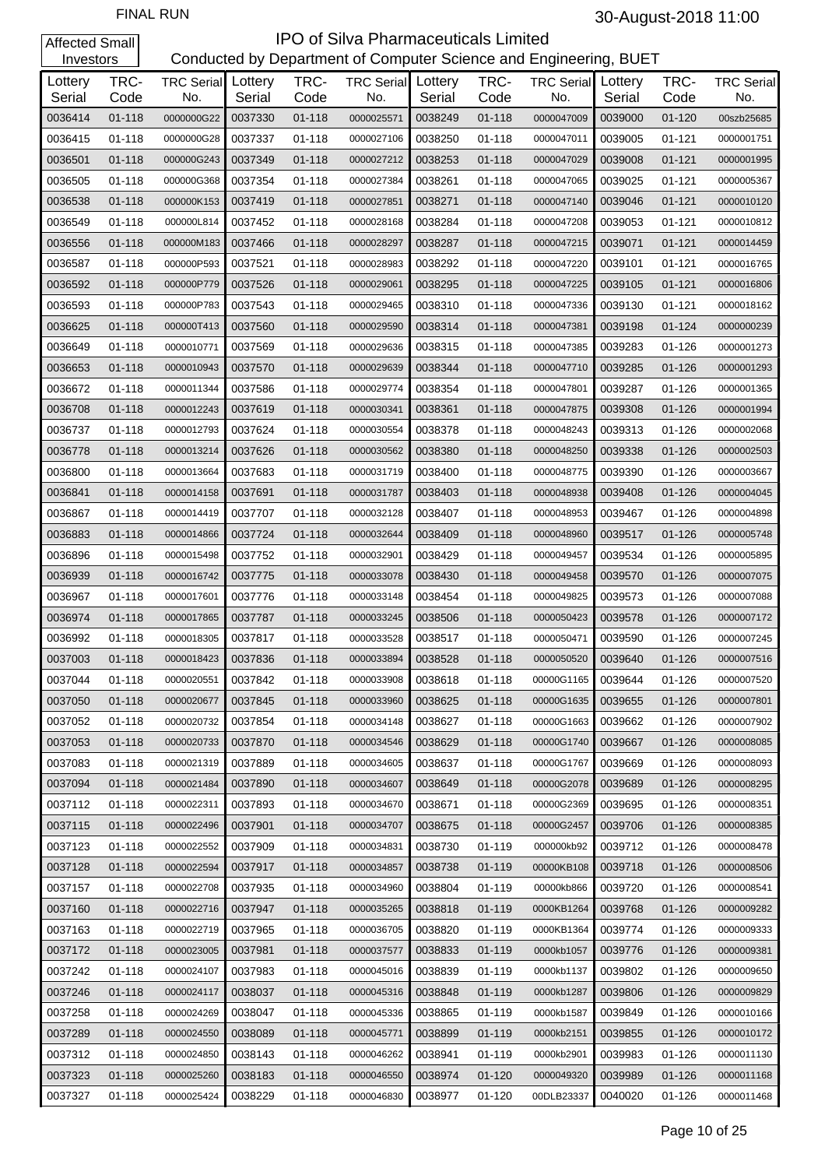| Investors         |              |                                  |         |              | Conducted by Department of Computer Science and Engineering, BUET |                   |              |                          |                   |              |                          |
|-------------------|--------------|----------------------------------|---------|--------------|-------------------------------------------------------------------|-------------------|--------------|--------------------------|-------------------|--------------|--------------------------|
| Lottery<br>Serial | TRC-<br>Code | <b>TRC Serial</b> Lottery<br>No. | Serial  | TRC-<br>Code | <b>TRC Serial</b><br>No.                                          | Lottery<br>Serial | TRC-<br>Code | <b>TRC Serial</b><br>No. | Lottery<br>Serial | TRC-<br>Code | <b>TRC Serial</b><br>No. |
| 0036414           | $01 - 118$   | 0000000G22                       | 0037330 | $01 - 118$   | 0000025571                                                        | 0038249           | $01 - 118$   | 0000047009               | 0039000           | $01 - 120$   | 00szb25685               |
| 0036415           | 01-118       | 0000000G28                       | 0037337 | 01-118       | 0000027106                                                        | 0038250           | $01 - 118$   | 0000047011               | 0039005           | $01 - 121$   | 0000001751               |
| 0036501           | $01 - 118$   | 000000G243                       | 0037349 | 01-118       | 0000027212                                                        | 0038253           | $01 - 118$   | 0000047029               | 0039008           | $01 - 121$   | 0000001995               |
| 0036505           | 01-118       | 000000G368                       | 0037354 | 01-118       | 0000027384                                                        | 0038261           | $01 - 118$   | 0000047065               | 0039025           | $01 - 121$   | 0000005367               |
| 0036538           | $01 - 118$   | 000000K153                       | 0037419 | 01-118       | 0000027851                                                        | 0038271           | $01 - 118$   | 0000047140               | 0039046           | $01 - 121$   | 0000010120               |
| 0036549           | 01-118       | 000000L814                       | 0037452 | $01 - 118$   | 0000028168                                                        | 0038284           | $01 - 118$   | 0000047208               | 0039053           | $01 - 121$   | 0000010812               |
| 0036556           | $01 - 118$   | 000000M183                       | 0037466 | 01-118       | 0000028297                                                        | 0038287           | $01 - 118$   | 0000047215               | 0039071           | $01 - 121$   | 0000014459               |
| 0036587           | 01-118       | 000000P593                       | 0037521 | $01 - 118$   | 0000028983                                                        | 0038292           | $01 - 118$   | 0000047220               | 0039101           | $01 - 121$   | 0000016765               |
| 0036592           | $01 - 118$   | 000000P779                       | 0037526 | 01-118       | 0000029061                                                        | 0038295           | $01 - 118$   | 0000047225               | 0039105           | $01 - 121$   | 0000016806               |
| 0036593           | 01-118       | 000000P783                       | 0037543 | 01-118       | 0000029465                                                        | 0038310           | 01-118       | 0000047336               | 0039130           | $01 - 121$   | 0000018162               |
| 0036625           | $01 - 118$   | 000000T413                       | 0037560 | $01 - 118$   | 0000029590                                                        | 0038314           | $01 - 118$   | 0000047381               | 0039198           | $01 - 124$   | 0000000239               |
| 0036649           | 01-118       | 0000010771                       | 0037569 | 01-118       | 0000029636                                                        | 0038315           | $01 - 118$   | 0000047385               | 0039283           | $01 - 126$   | 0000001273               |
| 0036653           | $01 - 118$   | 0000010943                       | 0037570 | $01 - 118$   | 0000029639                                                        | 0038344           | $01 - 118$   | 0000047710               | 0039285           | $01 - 126$   | 0000001293               |
| 0036672           | 01-118       | 0000011344                       | 0037586 | $01 - 118$   | 0000029774                                                        | 0038354           | 01-118       | 0000047801               | 0039287           | $01 - 126$   | 0000001365               |
| 0036708           | $01 - 118$   | 0000012243                       | 0037619 | $01 - 118$   | 0000030341                                                        | 0038361           | $01 - 118$   | 0000047875               | 0039308           | $01 - 126$   | 0000001994               |
| 0036737           | 01-118       | 0000012793                       | 0037624 | 01-118       | 0000030554                                                        | 0038378           | $01 - 118$   | 0000048243               | 0039313           | $01 - 126$   | 0000002068               |
| 0036778           | $01 - 118$   | 0000013214                       | 0037626 | 01-118       | 0000030562                                                        | 0038380           | $01 - 118$   | 0000048250               | 0039338           | $01 - 126$   | 0000002503               |
| 0036800           | 01-118       | 0000013664                       | 0037683 | 01-118       | 0000031719                                                        | 0038400           | 01-118       | 0000048775               | 0039390           | 01-126       | 0000003667               |
| 0036841           | $01 - 118$   | 0000014158                       | 0037691 | 01-118       | 0000031787                                                        | 0038403           | $01 - 118$   | 0000048938               | 0039408           | $01 - 126$   | 0000004045               |
| 0036867           | 01-118       | 0000014419                       | 0037707 | 01-118       | 0000032128                                                        | 0038407           | $01 - 118$   | 0000048953               | 0039467           | $01 - 126$   | 0000004898               |
| 0036883           | $01 - 118$   | 0000014866                       | 0037724 | 01-118       | 0000032644                                                        | 0038409           | $01 - 118$   | 0000048960               | 0039517           | $01 - 126$   | 0000005748               |
| 0036896           | 01-118       | 0000015498                       | 0037752 | $01 - 118$   | 0000032901                                                        | 0038429           | $01 - 118$   | 0000049457               | 0039534           | $01 - 126$   | 0000005895               |
| 0036939           | $01 - 118$   | 0000016742                       | 0037775 | 01-118       | 0000033078                                                        | 0038430           | $01 - 118$   | 0000049458               | 0039570           | $01 - 126$   | 0000007075               |
| 0036967           | 01-118       | 0000017601                       | 0037776 | 01-118       | 0000033148                                                        | 0038454           | $01 - 118$   | 0000049825               | 0039573           | $01 - 126$   | 0000007088               |
| 0036974           | $01 - 118$   | 0000017865                       | 0037787 | 01-118       | 0000033245                                                        | 0038506           | $01 - 118$   | 0000050423               | 0039578           | $01 - 126$   | 0000007172               |
| 0036992           | 01-118       | 0000018305                       | 0037817 | 01-118       | 0000033528                                                        | 0038517           | 01-118       | 0000050471               | 0039590           | 01-126       | 0000007245               |
| 0037003           | $01 - 118$   | 0000018423                       | 0037836 | $01 - 118$   | 0000033894                                                        | 0038528           | $01 - 118$   | 0000050520               | 0039640           | $01 - 126$   | 0000007516               |
| 0037044           | 01-118       | 0000020551                       | 0037842 | 01-118       | 0000033908                                                        | 0038618           | 01-118       | 00000G1165               | 0039644           | 01-126       | 0000007520               |
| 0037050           | 01-118       | 0000020677                       | 0037845 | 01-118       | 0000033960                                                        | 0038625           | $01 - 118$   | 00000G1635               | 0039655           | $01 - 126$   | 0000007801               |
| 0037052           | $01 - 118$   | 0000020732                       | 0037854 | 01-118       | 0000034148                                                        | 0038627           | $01 - 118$   | 00000G1663               | 0039662           | $01 - 126$   | 0000007902               |
| 0037053           | 01-118       | 0000020733                       | 0037870 | 01-118       | 0000034546                                                        | 0038629           | $01 - 118$   | 00000G1740               | 0039667           | $01 - 126$   | 0000008085               |
| 0037083           | 01-118       | 0000021319                       | 0037889 | 01-118       | 0000034605                                                        | 0038637           | $01 - 118$   | 00000G1767               | 0039669           | $01 - 126$   | 0000008093               |
| 0037094           | 01-118       | 0000021484                       | 0037890 | 01-118       | 0000034607                                                        | 0038649           | 01-118       | 00000G2078               | 0039689           | $01 - 126$   | 0000008295               |
| 0037112           | 01-118       | 0000022311                       | 0037893 | 01-118       | 0000034670                                                        | 0038671           | 01-118       | 00000G2369               | 0039695           | 01-126       | 0000008351               |
| 0037115           | 01-118       | 0000022496                       | 0037901 | 01-118       | 0000034707                                                        | 0038675           | $01 - 118$   | 00000G2457               | 0039706           | $01 - 126$   | 0000008385               |
| 0037123           | 01-118       | 0000022552                       | 0037909 | 01-118       | 0000034831                                                        | 0038730           | 01-119       | 000000kb92               | 0039712           | 01-126       | 0000008478               |
| 0037128           | 01-118       | 0000022594                       | 0037917 | 01-118       | 0000034857                                                        | 0038738           | 01-119       | 00000KB108               | 0039718           | $01 - 126$   | 0000008506               |
| 0037157           | 01-118       | 0000022708                       | 0037935 | 01-118       | 0000034960                                                        | 0038804           | 01-119       | 00000kb866               | 0039720           | 01-126       | 0000008541               |
| 0037160           | 01-118       | 0000022716                       | 0037947 | 01-118       | 0000035265                                                        | 0038818           | 01-119       | 0000KB1264               | 0039768           | $01 - 126$   | 0000009282               |
| 0037163           | 01-118       | 0000022719                       | 0037965 | 01-118       | 0000036705                                                        | 0038820           | 01-119       | 0000KB1364               | 0039774           | 01-126       | 0000009333               |
| 0037172           | 01-118       | 0000023005                       | 0037981 | 01-118       | 0000037577                                                        | 0038833           | 01-119       | 0000kb1057               | 0039776           | $01 - 126$   | 0000009381               |
| 0037242           | 01-118       | 0000024107                       | 0037983 | 01-118       | 0000045016                                                        | 0038839           | 01-119       | 0000kb1137               | 0039802           | 01-126       | 0000009650               |
| 0037246           | 01-118       | 0000024117                       | 0038037 | 01-118       | 0000045316                                                        | 0038848           | 01-119       | 0000kb1287               | 0039806           | $01 - 126$   | 0000009829               |
| 0037258           | 01-118       | 0000024269                       | 0038047 | 01-118       | 0000045336                                                        | 0038865           | 01-119       | 0000kb1587               | 0039849           | 01-126       | 0000010166               |
| 0037289           | 01-118       | 0000024550                       | 0038089 | 01-118       | 0000045771                                                        | 0038899           | 01-119       | 0000kb2151               | 0039855           | $01 - 126$   | 0000010172               |
| 0037312           | 01-118       | 0000024850                       | 0038143 | 01-118       | 0000046262                                                        | 0038941           | 01-119       | 0000kb2901               | 0039983           | 01-126       | 0000011130               |
| 0037323           | 01-118       | 0000025260                       | 0038183 | 01-118       | 0000046550                                                        | 0038974           | $01 - 120$   | 0000049320               | 0039989           | $01 - 126$   | 0000011168               |
| 0037327           | 01-118       | 0000025424                       | 0038229 | 01-118       | 0000046830                                                        | 0038977           | 01-120       | 00DLB23337               | 0040020           | 01-126       | 0000011468               |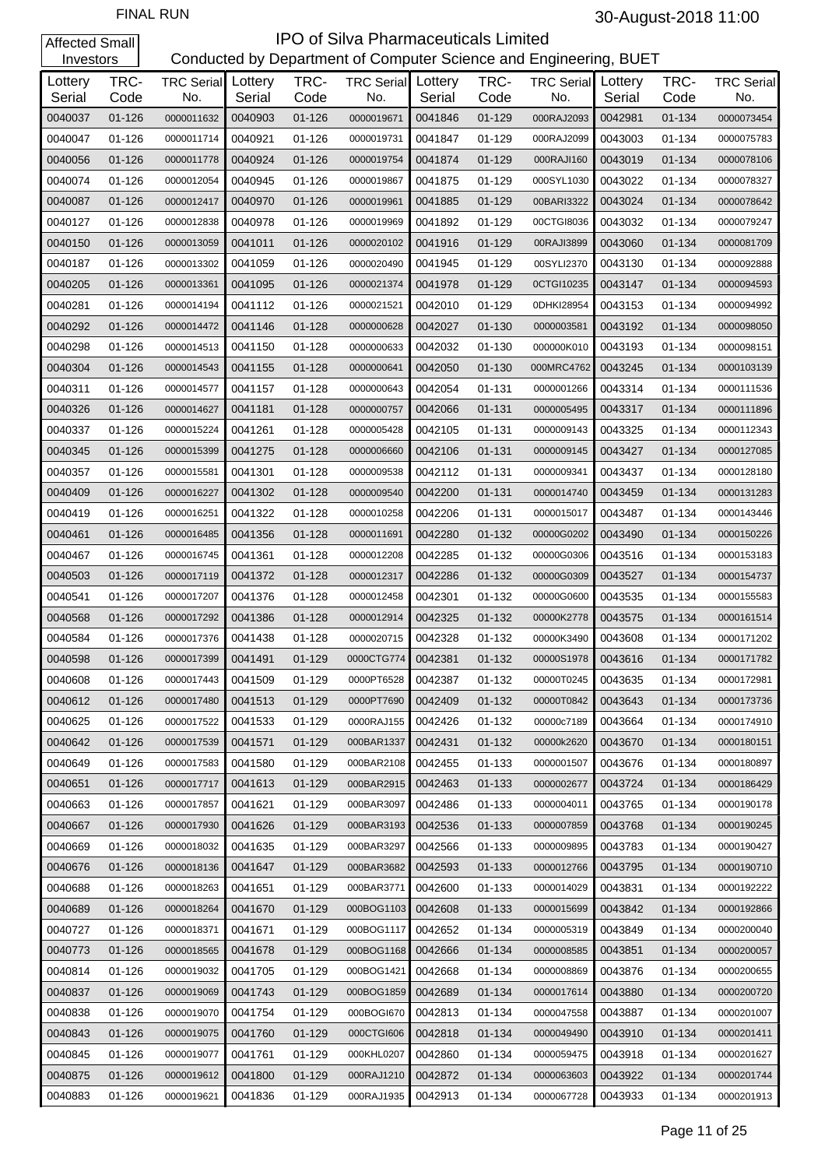| Investors         |              |                          |                   |              | Conducted by Department of Computer Science and Engineering, BUET |                   |              |                          |                   |              |                          |
|-------------------|--------------|--------------------------|-------------------|--------------|-------------------------------------------------------------------|-------------------|--------------|--------------------------|-------------------|--------------|--------------------------|
| Lottery<br>Serial | TRC-<br>Code | <b>TRC Serial</b><br>No. | Lottery<br>Serial | TRC-<br>Code | <b>TRC Serial</b><br>No.                                          | Lottery<br>Serial | TRC-<br>Code | <b>TRC Serial</b><br>No. | Lottery<br>Serial | TRC-<br>Code | <b>TRC Serial</b><br>No. |
| 0040037           | $01 - 126$   | 0000011632               | 0040903           | $01 - 126$   | 0000019671                                                        | 0041846           | $01 - 129$   | 000RAJ2093               | 0042981           | 01-134       | 0000073454               |
| 0040047           | 01-126       | 0000011714               | 0040921           | $01 - 126$   | 0000019731                                                        | 0041847           | 01-129       | 000RAJ2099               | 0043003           | 01-134       | 0000075783               |
| 0040056           | 01-126       | 0000011778               | 0040924           | $01 - 126$   | 0000019754                                                        | 0041874           | 01-129       | 000RAJI160               | 0043019           | 01-134       | 0000078106               |
| 0040074           | 01-126       | 0000012054               | 0040945           | $01 - 126$   | 0000019867                                                        | 0041875           | 01-129       | 000SYL1030               | 0043022           | 01-134       | 0000078327               |
| 0040087           | 01-126       | 0000012417               | 0040970           | $01 - 126$   | 0000019961                                                        | 0041885           | $01 - 129$   | 00BARI3322               | 0043024           | 01-134       | 0000078642               |
| 0040127           | 01-126       | 0000012838               | 0040978           | $01 - 126$   | 0000019969                                                        | 0041892           | 01-129       | 00CTGI8036               | 0043032           | 01-134       | 0000079247               |
| 0040150           | $01 - 126$   | 0000013059               | 0041011           | $01 - 126$   | 0000020102                                                        | 0041916           | 01-129       | 00RAJI3899               | 0043060           | 01-134       | 0000081709               |
| 0040187           | 01-126       | 0000013302               | 0041059           | $01 - 126$   | 0000020490                                                        | 0041945           | 01-129       | 00SYLI2370               | 0043130           | 01-134       | 0000092888               |
| 0040205           | 01-126       | 0000013361               | 0041095           | $01 - 126$   | 0000021374                                                        | 0041978           | $01 - 129$   | 0CTGI10235               | 0043147           | 01-134       | 0000094593               |
| 0040281           | 01-126       | 0000014194               | 0041112           | 01-126       | 0000021521                                                        | 0042010           | 01-129       | 0DHKI28954               | 0043153           | 01-134       | 0000094992               |
| 0040292           | 01-126       | 0000014472               | 0041146           | $01 - 128$   | 0000000628                                                        | 0042027           | 01-130       | 0000003581               | 0043192           | 01-134       | 0000098050               |
| 0040298           | $01 - 126$   | 0000014513               | 0041150           | $01 - 128$   | 0000000633                                                        | 0042032           | 01-130       | 000000K010               | 0043193           | 01-134       | 0000098151               |
| 0040304           | 01-126       | 0000014543               | 0041155           | $01 - 128$   | 0000000641                                                        | 0042050           | 01-130       | 000MRC4762               | 0043245           | 01-134       | 0000103139               |
| 0040311           | 01-126       | 0000014577               | 0041157           | 01-128       | 0000000643                                                        | 0042054           | 01-131       | 0000001266               | 0043314           | 01-134       | 0000111536               |
| 0040326           | 01-126       | 0000014627               | 0041181           | $01 - 128$   | 0000000757                                                        | 0042066           | 01-131       | 0000005495               | 0043317           | 01-134       | 0000111896               |
| 0040337           | 01-126       | 0000015224               | 0041261           | $01 - 128$   | 0000005428                                                        | 0042105           | 01-131       | 0000009143               | 0043325           | 01-134       | 0000112343               |
| 0040345           | 01-126       | 0000015399               | 0041275           | $01 - 128$   | 0000006660                                                        | 0042106           | 01-131       | 0000009145               | 0043427           | 01-134       | 0000127085               |
| 0040357           | 01-126       | 0000015581               | 0041301           | 01-128       | 0000009538                                                        | 0042112           | 01-131       | 0000009341               | 0043437           | 01-134       | 0000128180               |
| 0040409           | 01-126       | 0000016227               | 0041302           | $01 - 128$   | 0000009540                                                        | 0042200           | 01-131       | 0000014740               | 0043459           | 01-134       | 0000131283               |
| 0040419           | 01-126       | 0000016251               | 0041322           | 01-128       | 0000010258                                                        | 0042206           | 01-131       | 0000015017               | 0043487           | 01-134       | 0000143446               |
| 0040461           | 01-126       | 0000016485               | 0041356           | $01 - 128$   | 0000011691                                                        | 0042280           | 01-132       | 00000G0202               | 0043490           | 01-134       | 0000150226               |
| 0040467           | 01-126       | 0000016745               | 0041361           | 01-128       | 0000012208                                                        | 0042285           | 01-132       | 00000G0306               | 0043516           | 01-134       | 0000153183               |
| 0040503           | 01-126       | 0000017119               | 0041372           | $01 - 128$   | 0000012317                                                        | 0042286           | 01-132       | 00000G0309               | 0043527           | 01-134       | 0000154737               |
| 0040541           | 01-126       | 0000017207               | 0041376           | 01-128       | 0000012458                                                        | 0042301           | 01-132       | 00000G0600               | 0043535           | 01-134       | 0000155583               |
| 0040568           | 01-126       | 0000017292               | 0041386           | 01-128       | 0000012914                                                        | 0042325           | 01-132       | 00000K2778               | 0043575           | 01-134       | 0000161514               |
| 0040584           | 01-126       | 0000017376               | 0041438           | 01-128       | 0000020715                                                        | 0042328           | 01-132       | 00000K3490               | 0043608           | 01-134       | 0000171202               |
| 0040598           | $01 - 126$   | 0000017399               | 0041491           | 01-129       | 0000CTG774                                                        | 0042381           | 01-132       | 00000S1978               | 0043616           | 01-134       | 0000171782               |
| 0040608           | 01-126       | 0000017443               | 0041509           | 01-129       | 0000PT6528                                                        | 0042387           | 01-132       | 00000T0245               | 0043635           | 01-134       | 0000172981               |
| 0040612           | 01-126       | 0000017480               | 0041513           | $01 - 129$   | 0000PT7690                                                        | 0042409           | 01-132       | 00000T0842               | 0043643           | 01-134       | 0000173736               |
| 0040625           | 01-126       | 0000017522               | 0041533           | 01-129       | 0000RAJ155                                                        | 0042426           | 01-132       | 00000c7189               | 0043664           | 01-134       | 0000174910               |
| 0040642           | 01-126       | 0000017539               | 0041571           | $01 - 129$   | 000BAR1337                                                        | 0042431           | 01-132       | 00000k2620               | 0043670           | 01-134       | 0000180151               |
| 0040649           | $01 - 126$   | 0000017583               | 0041580           | 01-129       | 000BAR2108                                                        | 0042455           | 01-133       | 0000001507               | 0043676           | 01-134       | 0000180897               |
| 0040651           | 01-126       | 0000017717               | 0041613           | $01 - 129$   | 000BAR2915                                                        | 0042463           | 01-133       | 0000002677               | 0043724           | 01-134       | 0000186429               |
| 0040663           | 01-126       | 0000017857               | 0041621           | 01-129       | 000BAR3097                                                        | 0042486           | 01-133       | 0000004011               | 0043765           | 01-134       | 0000190178               |
| 0040667           | $01 - 126$   | 0000017930               | 0041626           | $01 - 129$   | 000BAR3193                                                        | 0042536           | 01-133       | 0000007859               | 0043768           | 01-134       | 0000190245               |
| 0040669           | 01-126       | 0000018032               | 0041635           | 01-129       | 000BAR3297                                                        | 0042566           | 01-133       | 0000009895               | 0043783           | 01-134       | 0000190427               |
| 0040676           | 01-126       | 0000018136               | 0041647           | $01 - 129$   | 000BAR3682                                                        | 0042593           | 01-133       | 0000012766               | 0043795           | 01-134       | 0000190710               |
| 0040688           | 01-126       | 0000018263               | 0041651           | 01-129       | 000BAR3771                                                        | 0042600           | 01-133       | 0000014029               | 0043831           | 01-134       | 0000192222               |
| 0040689           | 01-126       | 0000018264               | 0041670           | $01 - 129$   | 000BOG1103                                                        | 0042608           | 01-133       | 0000015699               | 0043842           | 01-134       | 0000192866               |
| 0040727           | 01-126       | 0000018371               | 0041671           | 01-129       | 000BOG1117                                                        | 0042652           | 01-134       | 0000005319               | 0043849           | 01-134       | 0000200040               |
| 0040773           | 01-126       | 0000018565               | 0041678           | $01 - 129$   | 000BOG1168                                                        | 0042666           | 01-134       | 0000008585               | 0043851           | 01-134       | 0000200057               |
| 0040814           | 01-126       | 0000019032               | 0041705           | 01-129       | 000BOG1421                                                        | 0042668           | 01-134       | 0000008869               | 0043876           | 01-134       | 0000200655               |
| 0040837           | 01-126       | 0000019069               | 0041743           | $01 - 129$   | 000BOG1859                                                        | 0042689           | 01-134       | 0000017614               | 0043880           | 01-134       | 0000200720               |
| 0040838           | 01-126       | 0000019070               | 0041754           | 01-129       | 000BOGI670                                                        | 0042813           | 01-134       | 0000047558               | 0043887           | 01-134       | 0000201007               |
| 0040843           | 01-126       | 0000019075               | 0041760           | $01 - 129$   | 000CTGI606                                                        | 0042818           | 01-134       | 0000049490               | 0043910           | 01-134       | 0000201411               |
| 0040845           | 01-126       | 0000019077               | 0041761           | 01-129       | 000KHL0207                                                        | 0042860           | 01-134       | 0000059475               | 0043918           | 01-134       | 0000201627               |
| 0040875           | 01-126       | 0000019612               | 0041800           | $01 - 129$   | 000RAJ1210                                                        | 0042872           | 01-134       | 0000063603               | 0043922           | 01-134       | 0000201744               |
| 0040883           | 01-126       | 0000019621               | 0041836           | 01-129       | 000RAJ1935                                                        | 0042913           | 01-134       | 0000067728               | 0043933           | 01-134       | 0000201913               |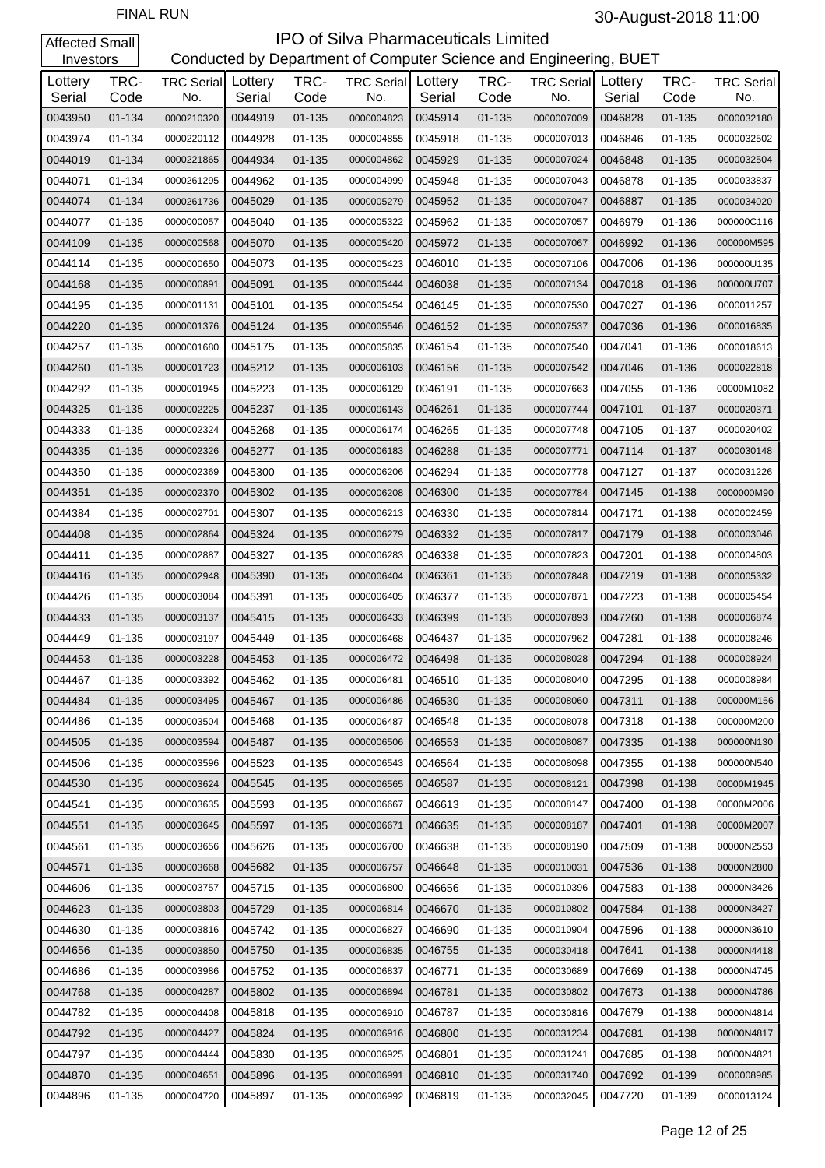| Investors         |              |                                  |         |              | Conducted by Department of Computer Science and Engineering, BUET |                   |              |                          |                   |              |                          |
|-------------------|--------------|----------------------------------|---------|--------------|-------------------------------------------------------------------|-------------------|--------------|--------------------------|-------------------|--------------|--------------------------|
| Lottery<br>Serial | TRC-<br>Code | <b>TRC Serial</b> Lottery<br>No. | Serial  | TRC-<br>Code | <b>TRC Serial</b><br>No.                                          | Lottery<br>Serial | TRC-<br>Code | <b>TRC Serial</b><br>No. | Lottery<br>Serial | TRC-<br>Code | <b>TRC Serial</b><br>No. |
| 0043950           | 01-134       | 0000210320                       | 0044919 | 01-135       | 0000004823                                                        | 0045914           | $01 - 135$   | 0000007009               | 0046828           | $01 - 135$   | 0000032180               |
| 0043974           | 01-134       | 0000220112                       | 0044928 | 01-135       | 0000004855                                                        | 0045918           | 01-135       | 0000007013               | 0046846           | $01 - 135$   | 0000032502               |
| 0044019           | 01-134       | 0000221865                       | 0044934 | 01-135       | 0000004862                                                        | 0045929           | $01 - 135$   | 0000007024               | 0046848           | $01 - 135$   | 0000032504               |
| 0044071           | 01-134       | 0000261295                       | 0044962 | 01-135       | 0000004999                                                        | 0045948           | 01-135       | 0000007043               | 0046878           | $01 - 135$   | 0000033837               |
| 0044074           | 01-134       | 0000261736                       | 0045029 | 01-135       | 0000005279                                                        | 0045952           | $01 - 135$   | 0000007047               | 0046887           | $01 - 135$   | 0000034020               |
| 0044077           | 01-135       | 0000000057                       | 0045040 | 01-135       | 0000005322                                                        | 0045962           | 01-135       | 0000007057               | 0046979           | 01-136       | 000000C116               |
| 0044109           | 01-135       | 0000000568                       | 0045070 | 01-135       | 0000005420                                                        | 0045972           | 01-135       | 0000007067               | 0046992           | 01-136       | 000000M595               |
| 0044114           | 01-135       | 0000000650                       | 0045073 | 01-135       | 0000005423                                                        | 0046010           | 01-135       | 0000007106               | 0047006           | 01-136       | 000000U135               |
| 0044168           | 01-135       | 0000000891                       | 0045091 | 01-135       | 0000005444                                                        | 0046038           | $01 - 135$   | 0000007134               | 0047018           | 01-136       | 000000U707               |
| 0044195           | 01-135       | 0000001131                       | 0045101 | 01-135       | 0000005454                                                        | 0046145           | 01-135       | 0000007530               | 0047027           | 01-136       | 0000011257               |
| 0044220           | 01-135       | 0000001376                       | 0045124 | 01-135       | 0000005546                                                        | 0046152           | $01 - 135$   | 0000007537               | 0047036           | 01-136       | 0000016835               |
| 0044257           | 01-135       | 0000001680                       | 0045175 | 01-135       | 0000005835                                                        | 0046154           | 01-135       | 0000007540               | 0047041           | 01-136       | 0000018613               |
| 0044260           | 01-135       | 0000001723                       | 0045212 | 01-135       | 0000006103                                                        | 0046156           | $01 - 135$   | 0000007542               | 0047046           | $01 - 136$   | 0000022818               |
| 0044292           | 01-135       | 0000001945                       | 0045223 | 01-135       | 0000006129                                                        | 0046191           | 01-135       | 0000007663               | 0047055           | 01-136       | 00000M1082               |
| 0044325           | 01-135       | 0000002225                       | 0045237 | $01 - 135$   | 0000006143                                                        | 0046261           | $01 - 135$   | 0000007744               | 0047101           | 01-137       | 0000020371               |
| 0044333           | 01-135       | 0000002324                       | 0045268 | 01-135       | 0000006174                                                        | 0046265           | 01-135       | 0000007748               | 0047105           | 01-137       | 0000020402               |
| 0044335           | 01-135       | 0000002326                       | 0045277 | $01 - 135$   | 0000006183                                                        | 0046288           | $01 - 135$   | 0000007771               | 0047114           | 01-137       | 0000030148               |
| 0044350           | 01-135       | 0000002369                       | 0045300 | 01-135       | 0000006206                                                        | 0046294           | 01-135       | 0000007778               | 0047127           | 01-137       | 0000031226               |
| 0044351           | $01 - 135$   | 0000002370                       | 0045302 | 01-135       | 0000006208                                                        | 0046300           | 01-135       | 0000007784               | 0047145           | 01-138       | 0000000M90               |
| 0044384           | 01-135       | 0000002701                       | 0045307 | 01-135       | 0000006213                                                        | 0046330           | 01-135       | 0000007814               | 0047171           | 01-138       | 0000002459               |
| 0044408           | $01 - 135$   | 0000002864                       | 0045324 | 01-135       | 0000006279                                                        | 0046332           | $01 - 135$   | 0000007817               | 0047179           | $01 - 138$   | 0000003046               |
| 0044411           | 01-135       | 0000002887                       | 0045327 | 01-135       | 0000006283                                                        | 0046338           | 01-135       | 0000007823               | 0047201           | 01-138       | 0000004803               |
| 0044416           | 01-135       | 0000002948                       | 0045390 | 01-135       | 0000006404                                                        | 0046361           | $01 - 135$   | 0000007848               | 0047219           | 01-138       | 0000005332               |
| 0044426           | 01-135       | 0000003084                       | 0045391 | 01-135       | 0000006405                                                        | 0046377           | 01-135       | 0000007871               | 0047223           | 01-138       | 0000005454               |
| 0044433           | $01 - 135$   | 0000003137                       | 0045415 | 01-135       | 0000006433                                                        | 0046399           | $01 - 135$   | 0000007893               | 0047260           | 01-138       | 0000006874               |
| 0044449           | 01-135       | 0000003197                       | 0045449 | 01-135       | 0000006468                                                        | 0046437           | 01-135       | 0000007962               | 0047281           | 01-138       | 0000008246               |
| 0044453           | 01-135       | 0000003228                       | 0045453 | 01-135       | 0000006472                                                        | 0046498           | $01 - 135$   | 0000008028               | 0047294           | $01 - 138$   | 0000008924               |
| 0044467           | 01-135       | 0000003392                       | 0045462 | 01-135       | 0000006481                                                        | 0046510           | 01-135       | 0000008040               | 0047295           | 01-138       | 0000008984               |
| 0044484           | 01-135       | 0000003495                       | 0045467 | 01-135       | 0000006486                                                        | 0046530           | 01-135       | 0000008060               | 0047311           | 01-138       | 000000M156               |
| 0044486           | 01-135       | 0000003504                       | 0045468 | 01-135       | 0000006487                                                        | 0046548           | 01-135       | 0000008078               | 0047318           | 01-138       | 000000M200               |
| 0044505           | 01-135       | 0000003594                       | 0045487 | 01-135       | 0000006506                                                        | 0046553           | 01-135       | 0000008087               | 0047335           | 01-138       | 000000N130               |
| 0044506           | 01-135       | 0000003596                       | 0045523 | 01-135       | 0000006543                                                        | 0046564           | 01-135       | 0000008098               | 0047355           | 01-138       | 000000N540               |
| 0044530           | 01-135       | 0000003624                       | 0045545 | $01 - 135$   | 0000006565                                                        | 0046587           | $01 - 135$   | 0000008121               | 0047398           | 01-138       | 00000M1945               |
| 0044541           | 01-135       | 0000003635                       | 0045593 | 01-135       | 0000006667                                                        | 0046613           | 01-135       | 0000008147               | 0047400           | 01-138       | 00000M2006               |
| 0044551           | 01-135       | 0000003645                       | 0045597 | 01-135       | 0000006671                                                        | 0046635           | 01-135       | 0000008187               | 0047401           | 01-138       | 00000M2007               |
| 0044561           | 01-135       | 0000003656                       | 0045626 | 01-135       | 0000006700                                                        | 0046638           | 01-135       | 0000008190               | 0047509           | 01-138       | 00000N2553               |
| 0044571           | 01-135       | 0000003668                       | 0045682 | 01-135       | 0000006757                                                        | 0046648           | 01-135       | 0000010031               | 0047536           | 01-138       | 00000N2800               |
| 0044606           | 01-135       | 0000003757                       | 0045715 | 01-135       | 0000006800                                                        | 0046656           | 01-135       | 0000010396               | 0047583           | 01-138       | 00000N3426               |
| 0044623           | 01-135       | 0000003803                       | 0045729 | 01-135       | 0000006814                                                        | 0046670           | 01-135       | 0000010802               | 0047584           | 01-138       | 00000N3427               |
| 0044630           | 01-135       | 0000003816                       | 0045742 | 01-135       | 0000006827                                                        | 0046690           | 01-135       | 0000010904               | 0047596           | 01-138       | 00000N3610               |
| 0044656           | 01-135       | 0000003850                       | 0045750 | 01-135       | 0000006835                                                        | 0046755           | 01-135       | 0000030418               | 0047641           | 01-138       | 00000N4418               |
| 0044686           | 01-135       | 0000003986                       | 0045752 | 01-135       | 0000006837                                                        | 0046771           | 01-135       | 0000030689               | 0047669           | 01-138       | 00000N4745               |
| 0044768           | 01-135       | 0000004287                       | 0045802 | 01-135       | 0000006894                                                        | 0046781           | 01-135       | 0000030802               | 0047673           | 01-138       | 00000N4786               |
| 0044782           | 01-135       | 0000004408                       | 0045818 | 01-135       | 0000006910                                                        | 0046787           | 01-135       | 0000030816               | 0047679           | 01-138       | 00000N4814               |
| 0044792           | 01-135       | 0000004427                       | 0045824 | 01-135       | 0000006916                                                        | 0046800           | 01-135       | 0000031234               | 0047681           | 01-138       | 00000N4817               |
| 0044797           | 01-135       | 0000004444                       | 0045830 | 01-135       | 0000006925                                                        | 0046801           | 01-135       | 0000031241               | 0047685           | 01-138       | 00000N4821               |
| 0044870           | 01-135       | 0000004651                       | 0045896 | 01-135       | 0000006991                                                        | 0046810           | 01-135       | 0000031740               | 0047692           | 01-139       | 0000008985               |
| 0044896           | 01-135       | 0000004720                       | 0045897 | 01-135       | 0000006992                                                        | 0046819           | 01-135       | 0000032045               | 0047720           | 01-139       | 0000013124               |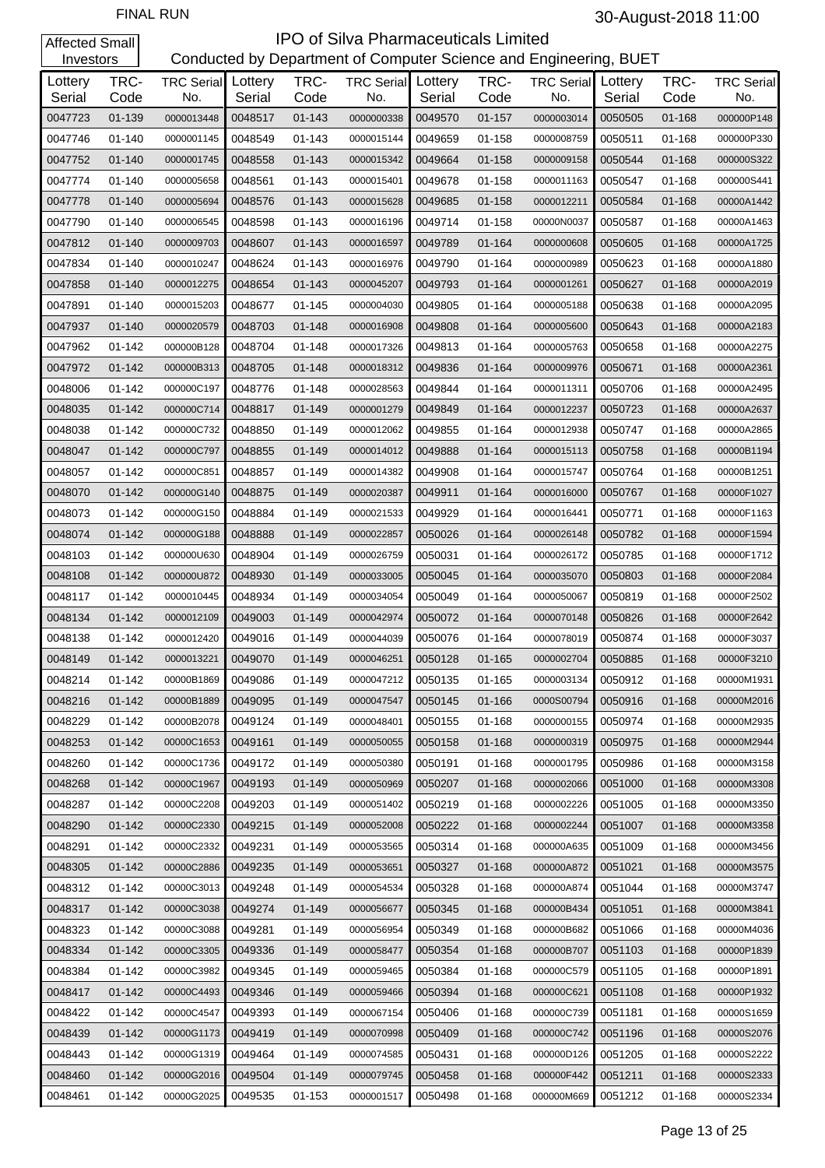| Investors         |              |                          |                   |              | Conducted by Department of Computer Science and Engineering, BUET |                   |              |                          |                   |              |                          |
|-------------------|--------------|--------------------------|-------------------|--------------|-------------------------------------------------------------------|-------------------|--------------|--------------------------|-------------------|--------------|--------------------------|
| Lottery<br>Serial | TRC-<br>Code | <b>TRC Serial</b><br>No. | Lottery<br>Serial | TRC-<br>Code | <b>TRC Serial</b><br>No.                                          | Lottery<br>Serial | TRC-<br>Code | <b>TRC Serial</b><br>No. | Lottery<br>Serial | TRC-<br>Code | <b>TRC Serial</b><br>No. |
| 0047723           | 01-139       | 0000013448               | 0048517           | $01 - 143$   | 0000000338                                                        | 0049570           | $01 - 157$   | 0000003014               | 0050505           | $01 - 168$   | 000000P148               |
| 0047746           | 01-140       | 0000001145               | 0048549           | 01-143       | 0000015144                                                        | 0049659           | 01-158       | 0000008759               | 0050511           | 01-168       | 000000P330               |
| 0047752           | $01 - 140$   | 0000001745               | 0048558           | 01-143       | 0000015342                                                        | 0049664           | 01-158       | 0000009158               | 0050544           | $01 - 168$   | 000000S322               |
| 0047774           | 01-140       | 0000005658               | 0048561           | 01-143       | 0000015401                                                        | 0049678           | 01-158       | 0000011163               | 0050547           | 01-168       | 000000S441               |
| 0047778           | 01-140       | 0000005694               | 0048576           | $01 - 143$   | 0000015628                                                        | 0049685           | 01-158       | 0000012211               | 0050584           | $01 - 168$   | 00000A1442               |
| 0047790           | 01-140       | 0000006545               | 0048598           | 01-143       | 0000016196                                                        | 0049714           | 01-158       | 00000N0037               | 0050587           | 01-168       | 00000A1463               |
| 0047812           | $01 - 140$   | 0000009703               | 0048607           | 01-143       | 0000016597                                                        | 0049789           | 01-164       | 0000000608               | 0050605           | 01-168       | 00000A1725               |
| 0047834           | 01-140       | 0000010247               | 0048624           | 01-143       | 0000016976                                                        | 0049790           | 01-164       | 0000000989               | 0050623           | 01-168       | 00000A1880               |
| 0047858           | 01-140       | 0000012275               | 0048654           | 01-143       | 0000045207                                                        | 0049793           | 01-164       | 0000001261               | 0050627           | 01-168       | 00000A2019               |
| 0047891           | 01-140       | 0000015203               | 0048677           | 01-145       | 0000004030                                                        | 0049805           | 01-164       | 0000005188               | 0050638           | 01-168       | 00000A2095               |
| 0047937           | $01 - 140$   | 0000020579               | 0048703           | 01-148       | 0000016908                                                        | 0049808           | 01-164       | 0000005600               | 0050643           | $01 - 168$   | 00000A2183               |
| 0047962           | 01-142       | 000000B128               | 0048704           | 01-148       | 0000017326                                                        | 0049813           | 01-164       | 0000005763               | 0050658           | 01-168       | 00000A2275               |
| 0047972           | $01 - 142$   | 000000B313               | 0048705           | 01-148       | 0000018312                                                        | 0049836           | 01-164       | 0000009976               | 0050671           | 01-168       | 00000A2361               |
| 0048006           | 01-142       | 000000C197               | 0048776           | 01-148       | 0000028563                                                        | 0049844           | 01-164       | 0000011311               | 0050706           | 01-168       | 00000A2495               |
| 0048035           | $01 - 142$   | 000000C714               | 0048817           | 01-149       | 0000001279                                                        | 0049849           | 01-164       | 0000012237               | 0050723           | 01-168       | 00000A2637               |
| 0048038           | 01-142       | 000000C732               | 0048850           | 01-149       | 0000012062                                                        | 0049855           | 01-164       | 0000012938               | 0050747           | 01-168       | 00000A2865               |
| 0048047           | 01-142       | 000000C797               | 0048855           | 01-149       | 0000014012                                                        | 0049888           | 01-164       | 0000015113               | 0050758           | 01-168       | 00000B1194               |
| 0048057           | 01-142       | 000000C851               | 0048857           | 01-149       | 0000014382                                                        | 0049908           | 01-164       | 0000015747               | 0050764           | 01-168       | 00000B1251               |
| 0048070           | $01 - 142$   | 000000G140               | 0048875           | 01-149       | 0000020387                                                        | 0049911           | 01-164       | 0000016000               | 0050767           | 01-168       | 00000F1027               |
| 0048073           | 01-142       | 000000G150               | 0048884           | 01-149       | 0000021533                                                        | 0049929           | 01-164       | 0000016441               | 0050771           | 01-168       | 00000F1163               |
| 0048074           | $01 - 142$   | 000000G188               | 0048888           | 01-149       | 0000022857                                                        | 0050026           | 01-164       | 0000026148               | 0050782           | 01-168       | 00000F1594               |
| 0048103           | 01-142       | 000000U630               | 0048904           | 01-149       | 0000026759                                                        | 0050031           | 01-164       | 0000026172               | 0050785           | 01-168       | 00000F1712               |
| 0048108           | $01 - 142$   | 000000U872               | 0048930           | 01-149       | 0000033005                                                        | 0050045           | 01-164       | 0000035070               | 0050803           | 01-168       | 00000F2084               |
| 0048117           | 01-142       | 0000010445               | 0048934           | 01-149       | 0000034054                                                        | 0050049           | 01-164       | 0000050067               | 0050819           | 01-168       | 00000F2502               |
| 0048134           | $01 - 142$   | 0000012109               | 0049003           | 01-149       | 0000042974                                                        | 0050072           | 01-164       | 0000070148               | 0050826           | 01-168       | 00000F2642               |
| 0048138           | 01-142       | 0000012420               | 0049016           | 01-149       | 0000044039                                                        | 0050076           | 01-164       | 0000078019               | 0050874           | 01-168       | 00000F3037               |
| 0048149           | $01 - 142$   | 0000013221               | 0049070           | 01-149       | 0000046251                                                        | 0050128           | 01-165       | 0000002704               | 0050885           | $01 - 168$   | 00000F3210               |
| 0048214           | 01-142       | 00000B1869               | 0049086           | 01-149       | 0000047212                                                        | 0050135           | 01-165       | 0000003134               | 0050912           | 01-168       | 00000M1931               |
| 0048216           | $01 - 142$   | 00000B1889               | 0049095           | $01 - 149$   | 0000047547                                                        | 0050145           | 01-166       | 0000S00794               | 0050916           | 01-168       | 00000M2016               |
| 0048229           | $01 - 142$   | 00000B2078               | 0049124           | 01-149       | 0000048401                                                        | 0050155           | $01 - 168$   | 0000000155               | 0050974           | $01 - 168$   | 00000M2935               |
| 0048253           | $01 - 142$   | 00000C1653               | 0049161           | $01 - 149$   | 0000050055                                                        | 0050158           | 01-168       | 0000000319               | 0050975           | 01-168       | 00000M2944               |
| 0048260           | $01 - 142$   | 00000C1736               | 0049172           | 01-149       | 0000050380                                                        | 0050191           | 01-168       | 0000001795               | 0050986           | 01-168       | 00000M3158               |
| 0048268           | $01 - 142$   | 00000C1967               | 0049193           | $01 - 149$   | 0000050969                                                        | 0050207           | 01-168       | 0000002066               | 0051000           | 01-168       | 00000M3308               |
| 0048287           | 01-142       | 00000C2208               | 0049203           | 01-149       | 0000051402                                                        | 0050219           | $01 - 168$   | 0000002226               | 0051005           | $01 - 168$   | 00000M3350               |
| 0048290           | $01 - 142$   | 00000C2330               | 0049215           | 01-149       | 0000052008                                                        | 0050222           | 01-168       | 0000002244               | 0051007           | 01-168       | 00000M3358               |
| 0048291           | 01-142       | 00000C2332               | 0049231           | 01-149       | 0000053565                                                        | 0050314           | 01-168       | 000000A635               | 0051009           | 01-168       | 00000M3456               |
| 0048305           | 01-142       | 00000C2886               | 0049235           | 01-149       | 0000053651                                                        | 0050327           | 01-168       | 000000A872               | 0051021           | 01-168       | 00000M3575               |
| 0048312           | 01-142       | 00000C3013               | 0049248           | 01-149       | 0000054534                                                        | 0050328           | 01-168       | 000000A874               | 0051044           | 01-168       | 00000M3747               |
| 0048317           | 01-142       | 00000C3038               | 0049274           | 01-149       | 0000056677                                                        | 0050345           | 01-168       | 000000B434               | 0051051           | 01-168       | 00000M3841               |
| 0048323           | 01-142       | 00000C3088               | 0049281           | 01-149       | 0000056954                                                        | 0050349           | 01-168       | 000000B682               | 0051066           | 01-168       | 00000M4036               |
| 0048334           | 01-142       | 00000C3305               | 0049336           | 01-149       | 0000058477                                                        | 0050354           | 01-168       | 000000B707               | 0051103           | 01-168       | 00000P1839               |
| 0048384           | 01-142       | 00000C3982               | 0049345           | 01-149       | 0000059465                                                        | 0050384           | 01-168       | 000000C579               | 0051105           | 01-168       | 00000P1891               |
| 0048417           | 01-142       | 00000C4493               | 0049346           | 01-149       | 0000059466                                                        | 0050394           | 01-168       | 000000C621               | 0051108           | 01-168       | 00000P1932               |
| 0048422           | 01-142       | 00000C4547               | 0049393           | 01-149       | 0000067154                                                        | 0050406           | 01-168       | 000000C739               | 0051181           | 01-168       | 00000S1659               |
| 0048439           | 01-142       | 00000G1173               | 0049419           | 01-149       | 0000070998                                                        | 0050409           | 01-168       | 000000C742               | 0051196           | 01-168       | 00000S2076               |
| 0048443           | 01-142       | 00000G1319               | 0049464           | 01-149       | 0000074585                                                        | 0050431           | 01-168       | 000000D126               | 0051205           | 01-168       | 00000S2222               |
| 0048460           | 01-142       | 00000G2016               | 0049504           | 01-149       | 0000079745                                                        | 0050458           | 01-168       | 000000F442               | 0051211           | 01-168       | 00000S2333               |
| 0048461           | 01-142       | 00000G2025               | 0049535           | 01-153       | 0000001517                                                        | 0050498           | 01-168       | 000000M669               | 0051212           | 01-168       | 00000S2334               |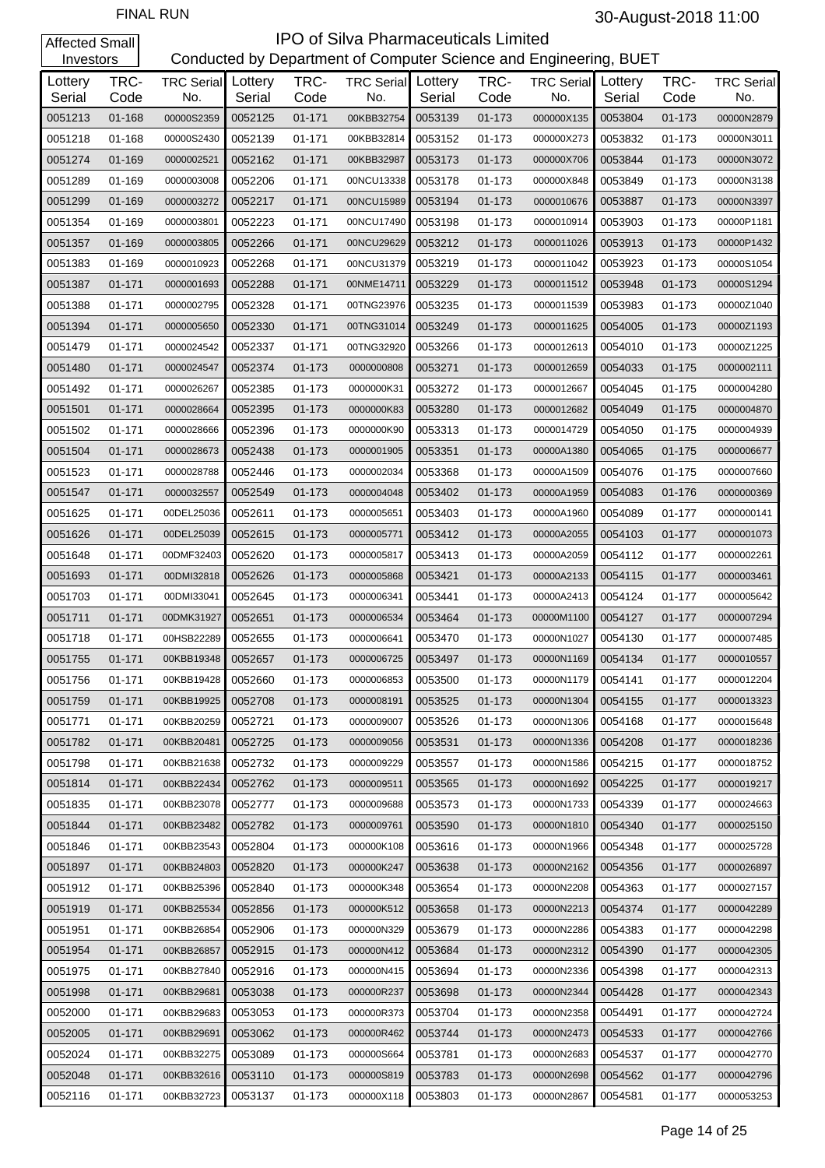| Investors         |              |                          |                   |              | Conducted by Department of Computer Science and Engineering, BUET |                   |              |                                  |         |              |                          |
|-------------------|--------------|--------------------------|-------------------|--------------|-------------------------------------------------------------------|-------------------|--------------|----------------------------------|---------|--------------|--------------------------|
| Lottery<br>Serial | TRC-<br>Code | <b>TRC Serial</b><br>No. | Lottery<br>Serial | TRC-<br>Code | <b>TRC Serial</b><br>No.                                          | Lottery<br>Serial | TRC-<br>Code | <b>TRC Serial</b> Lottery<br>No. | Serial  | TRC-<br>Code | <b>TRC Serial</b><br>No. |
| 0051213           | 01-168       | 00000S2359               | 0052125           | 01-171       | 00KBB32754                                                        | 0053139           | $01 - 173$   | 000000X135                       | 0053804 | $01 - 173$   | 00000N2879               |
| 0051218           | 01-168       | 00000S2430               | 0052139           | 01-171       | 00KBB32814                                                        | 0053152           | 01-173       | 000000X273                       | 0053832 | 01-173       | 00000N3011               |
| 0051274           | 01-169       | 0000002521               | 0052162           | 01-171       | 00KBB32987                                                        | 0053173           | 01-173       | 000000X706                       | 0053844 | 01-173       | 00000N3072               |
| 0051289           | 01-169       | 0000003008               | 0052206           | 01-171       | 00NCU13338                                                        | 0053178           | 01-173       | 000000X848                       | 0053849 | 01-173       | 00000N3138               |
| 0051299           | 01-169       | 0000003272               | 0052217           | 01-171       | 00NCU15989                                                        | 0053194           | 01-173       | 0000010676                       | 0053887 | 01-173       | 00000N3397               |
| 0051354           | 01-169       | 0000003801               | 0052223           | 01-171       | 00NCU17490                                                        | 0053198           | 01-173       | 0000010914                       | 0053903 | 01-173       | 00000P1181               |
| 0051357           | 01-169       | 0000003805               | 0052266           | 01-171       | 00NCU29629                                                        | 0053212           | 01-173       | 0000011026                       | 0053913 | 01-173       | 00000P1432               |
| 0051383           | 01-169       | 0000010923               | 0052268           | 01-171       | 00NCU31379                                                        | 0053219           | 01-173       | 0000011042                       | 0053923 | 01-173       | 00000S1054               |
| 0051387           | 01-171       | 0000001693               | 0052288           | 01-171       | 00NME14711                                                        | 0053229           | 01-173       | 0000011512                       | 0053948 | 01-173       | 00000S1294               |
| 0051388           | 01-171       | 0000002795               | 0052328           | 01-171       | 00TNG23976                                                        | 0053235           | 01-173       | 0000011539                       | 0053983 | 01-173       | 00000Z1040               |
| 0051394           | 01-171       | 0000005650               | 0052330           | 01-171       | 00TNG31014                                                        | 0053249           | 01-173       | 0000011625                       | 0054005 | 01-173       | 00000Z1193               |
| 0051479           | 01-171       | 0000024542               | 0052337           | 01-171       | 00TNG32920                                                        | 0053266           | 01-173       | 0000012613                       | 0054010 | 01-173       | 00000Z1225               |
| 0051480           | 01-171       | 0000024547               | 0052374           | 01-173       | 0000000808                                                        | 0053271           | 01-173       | 0000012659                       | 0054033 | $01 - 175$   | 0000002111               |
| 0051492           | 01-171       | 0000026267               | 0052385           | 01-173       | 0000000K31                                                        | 0053272           | 01-173       | 0000012667                       | 0054045 | 01-175       | 0000004280               |
| 0051501           | 01-171       | 0000028664               | 0052395           | 01-173       | 0000000K83                                                        | 0053280           | 01-173       | 0000012682                       | 0054049 | 01-175       | 0000004870               |
| 0051502           | 01-171       | 0000028666               | 0052396           | 01-173       | 0000000K90                                                        | 0053313           | 01-173       | 0000014729                       | 0054050 | $01 - 175$   | 0000004939               |
| 0051504           | 01-171       | 0000028673               | 0052438           | 01-173       | 0000001905                                                        | 0053351           | 01-173       | 00000A1380                       | 0054065 | 01-175       | 0000006677               |
| 0051523           | 01-171       | 0000028788               | 0052446           | 01-173       | 0000002034                                                        | 0053368           | 01-173       | 00000A1509                       | 0054076 | 01-175       | 0000007660               |
| 0051547           | 01-171       | 0000032557               | 0052549           | 01-173       | 0000004048                                                        | 0053402           | 01-173       | 00000A1959                       | 0054083 | 01-176       | 0000000369               |
| 0051625           | 01-171       | 00DEL25036               | 0052611           | 01-173       | 0000005651                                                        | 0053403           | 01-173       | 00000A1960                       | 0054089 | $01 - 177$   | 0000000141               |
| 0051626           | 01-171       | 00DEL25039               | 0052615           | 01-173       | 0000005771                                                        | 0053412           | 01-173       | 00000A2055                       | 0054103 | 01-177       | 0000001073               |
| 0051648           | 01-171       | 00DMF32403               | 0052620           | 01-173       | 0000005817                                                        | 0053413           | 01-173       | 00000A2059                       | 0054112 | 01-177       | 0000002261               |
| 0051693           | 01-171       | 00DMI32818               | 0052626           | 01-173       | 0000005868                                                        | 0053421           | 01-173       | 00000A2133                       | 0054115 | 01-177       | 0000003461               |
| 0051703           | $01 - 171$   | 00DMI33041               | 0052645           | 01-173       | 0000006341                                                        | 0053441           | 01-173       | 00000A2413                       | 0054124 | 01-177       | 0000005642               |
| 0051711           | 01-171       | 00DMK31927               | 0052651           | 01-173       | 0000006534                                                        | 0053464           | 01-173       | 00000M1100                       | 0054127 | 01-177       | 0000007294               |
| 0051718           | 01-171       | 00HSB22289               | 0052655           | 01-173       | 0000006641                                                        | 0053470           | 01-173       | 00000N1027                       | 0054130 | 01-177       | 0000007485               |
| 0051755           | 01-171       | 00KBB19348               | 0052657           | 01-173       | 0000006725                                                        | 0053497           | 01-173       | 00000N1169                       | 0054134 | 01-177       | 0000010557               |
| 0051756           | 01-171       | 00KBB19428               | 0052660           | 01-173       | 0000006853                                                        | 0053500           | 01-173       | 00000N1179                       | 0054141 | $01 - 177$   | 0000012204               |
| 0051759           | $01 - 171$   | 00KBB19925               | 0052708           | 01-173       | 0000008191                                                        | 0053525           | 01-173       | 00000N1304                       | 0054155 | 01-177       | 0000013323               |
| 0051771           | 01-171       | 00KBB20259               | 0052721           | 01-173       | 0000009007                                                        | 0053526           | 01-173       | 00000N1306                       | 0054168 | 01-177       | 0000015648               |
| 0051782           | $01 - 171$   | 00KBB20481               | 0052725           | 01-173       | 0000009056                                                        | 0053531           | $01 - 173$   | 00000N1336                       | 0054208 | $01 - 177$   | 0000018236               |
| 0051798           | 01-171       | 00KBB21638               | 0052732           | 01-173       | 0000009229                                                        | 0053557           | 01-173       | 00000N1586                       | 0054215 | 01-177       | 0000018752               |
| 0051814           | $01 - 171$   | 00KBB22434               | 0052762           | 01-173       | 0000009511                                                        | 0053565           | 01-173       | 00000N1692                       | 0054225 | 01-177       | 0000019217               |
| 0051835           | 01-171       | 00KBB23078               | 0052777           | 01-173       | 0000009688                                                        | 0053573           | 01-173       | 00000N1733                       | 0054339 | 01-177       | 0000024663               |
| 0051844           | $01 - 171$   | 00KBB23482               | 0052782           | 01-173       | 0000009761                                                        | 0053590           | $01 - 173$   | 00000N1810                       | 0054340 | $01 - 177$   | 0000025150               |
| 0051846           | 01-171       | 00KBB23543               | 0052804           | 01-173       | 000000K108                                                        | 0053616           | 01-173       | 00000N1966                       | 0054348 | 01-177       | 0000025728               |
| 0051897           | $01 - 171$   | 00KBB24803               | 0052820           | 01-173       | 000000K247                                                        | 0053638           | 01-173       | 00000N2162                       | 0054356 | 01-177       | 0000026897               |
| 0051912           | 01-171       | 00KBB25396               | 0052840           | 01-173       | 000000K348                                                        | 0053654           | 01-173       | 00000N2208                       | 0054363 | 01-177       | 0000027157               |
| 0051919           | $01 - 171$   | 00KBB25534               | 0052856           | 01-173       | 000000K512                                                        | 0053658           | 01-173       | 00000N2213                       | 0054374 | $01 - 177$   | 0000042289               |
| 0051951           | 01-171       | 00KBB26854               | 0052906           | 01-173       | 000000N329                                                        | 0053679           | 01-173       | 00000N2286                       | 0054383 | 01-177       | 0000042298               |
| 0051954           | 01-171       | 00KBB26857               | 0052915           | 01-173       | 000000N412                                                        | 0053684           | 01-173       | 00000N2312                       | 0054390 | 01-177       | 0000042305               |
| 0051975           | 01-171       | 00KBB27840               | 0052916           | 01-173       | 000000N415                                                        | 0053694           | 01-173       | 00000N2336                       | 0054398 | 01-177       | 0000042313               |
| 0051998           | 01-171       | 00KBB29681               | 0053038           | 01-173       | 000000R237                                                        | 0053698           | 01-173       | 00000N2344                       | 0054428 | $01 - 177$   | 0000042343               |
| 0052000           | 01-171       | 00KBB29683               | 0053053           | 01-173       | 000000R373                                                        | 0053704           | 01-173       | 00000N2358                       | 0054491 | 01-177       | 0000042724               |
| 0052005           | 01-171       | 00KBB29691               | 0053062           | 01-173       | 000000R462                                                        | 0053744           | 01-173       | 00000N2473                       | 0054533 | $01 - 177$   | 0000042766               |
| 0052024           | 01-171       | 00KBB32275               | 0053089           | 01-173       | 000000S664                                                        | 0053781           | 01-173       | 00000N2683                       | 0054537 | 01-177       | 0000042770               |
| 0052048           | 01-171       | 00KBB32616               | 0053110           | 01-173       | 000000S819                                                        | 0053783           | 01-173       | 00000N2698                       | 0054562 | 01-177       | 0000042796               |
| 0052116           | 01-171       | 00KBB32723               | 0053137           | 01-173       | 000000X118                                                        | 0053803           | 01-173       | 00000N2867                       | 0054581 | 01-177       | 0000053253               |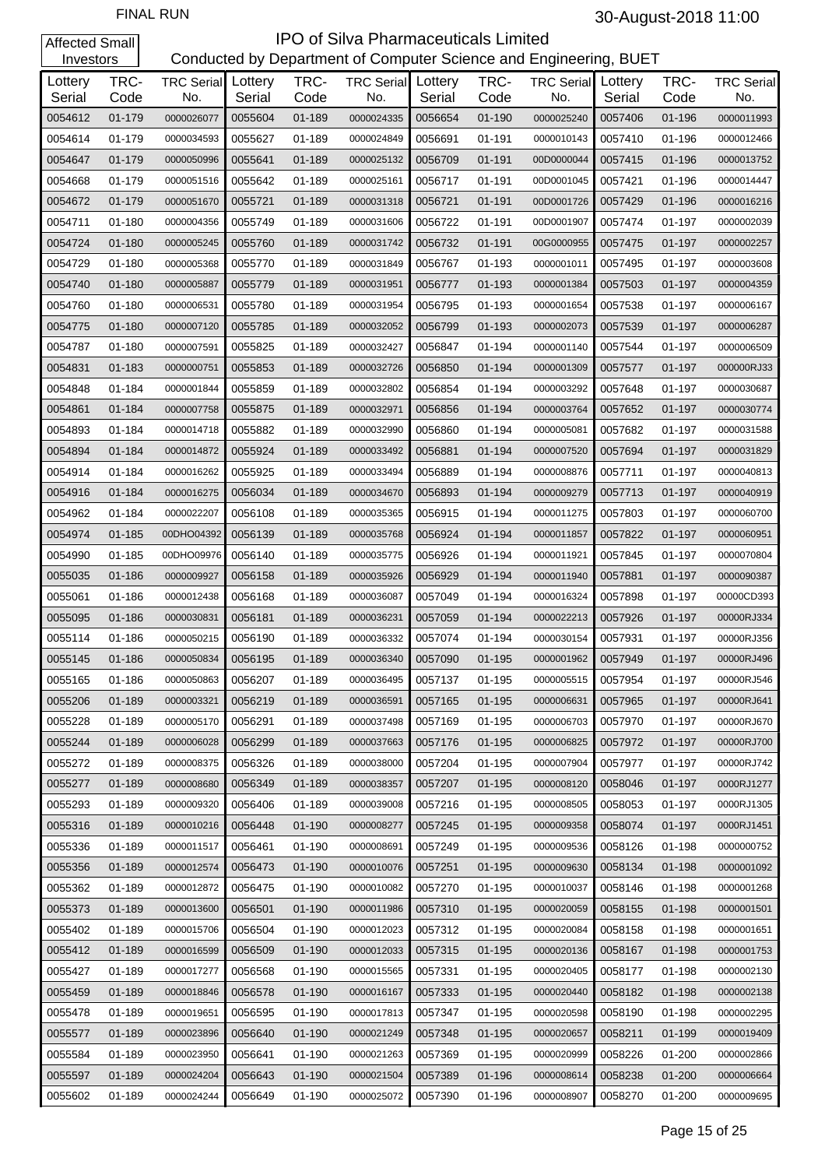#### **IPO of Silva Pharmaceuticals Limited**<br>Conducted by Department of Computer Science and Eng Conducted by Department of Computer Science and Engineering, BUET

| Investors         |              |                          |                   |              | Conducted by Department of Computer Science and Engineering, BUET |                   |              |                                  |         |              |                          |
|-------------------|--------------|--------------------------|-------------------|--------------|-------------------------------------------------------------------|-------------------|--------------|----------------------------------|---------|--------------|--------------------------|
| Lottery<br>Serial | TRC-<br>Code | <b>TRC Serial</b><br>No. | Lottery<br>Serial | TRC-<br>Code | <b>TRC Serial</b><br>No.                                          | Lottery<br>Serial | TRC-<br>Code | <b>TRC Serial</b> Lottery<br>No. | Serial  | TRC-<br>Code | <b>TRC Serial</b><br>No. |
| 0054612           | 01-179       | 0000026077               | 0055604           | 01-189       | 0000024335                                                        | 0056654           | $01 - 190$   | 0000025240                       | 0057406 | 01-196       | 0000011993               |
| 0054614           | 01-179       | 0000034593               | 0055627           | 01-189       | 0000024849                                                        | 0056691           | 01-191       | 0000010143                       | 0057410 | 01-196       | 0000012466               |
| 0054647           | 01-179       | 0000050996               | 0055641           | 01-189       | 0000025132                                                        | 0056709           | $01 - 191$   | 00D0000044                       | 0057415 | 01-196       | 0000013752               |
| 0054668           | 01-179       | 0000051516               | 0055642           | 01-189       | 0000025161                                                        | 0056717           | 01-191       | 00D0001045                       | 0057421 | 01-196       | 0000014447               |
| 0054672           | 01-179       | 0000051670               | 0055721           | 01-189       | 0000031318                                                        | 0056721           | $01 - 191$   | 00D0001726                       | 0057429 | 01-196       | 0000016216               |
| 0054711           | 01-180       | 0000004356               | 0055749           | 01-189       | 0000031606                                                        | 0056722           | 01-191       | 00D0001907                       | 0057474 | 01-197       | 0000002039               |
| 0054724           | 01-180       | 0000005245               | 0055760           | 01-189       | 0000031742                                                        | 0056732           | $01 - 191$   | 00G0000955                       | 0057475 | 01-197       | 0000002257               |
| 0054729           | 01-180       | 0000005368               | 0055770           | 01-189       | 0000031849                                                        | 0056767           | 01-193       | 0000001011                       | 0057495 | 01-197       | 0000003608               |
| 0054740           | 01-180       | 0000005887               | 0055779           | 01-189       | 0000031951                                                        | 0056777           | 01-193       | 0000001384                       | 0057503 | 01-197       | 0000004359               |
| 0054760           | 01-180       | 0000006531               | 0055780           | 01-189       | 0000031954                                                        | 0056795           | 01-193       | 0000001654                       | 0057538 | 01-197       | 0000006167               |
| 0054775           | $01 - 180$   | 0000007120               | 0055785           | 01-189       | 0000032052                                                        | 0056799           | 01-193       | 0000002073                       | 0057539 | 01-197       | 0000006287               |
| 0054787           | 01-180       | 0000007591               | 0055825           | 01-189       | 0000032427                                                        | 0056847           | 01-194       | 0000001140                       | 0057544 | 01-197       | 0000006509               |
| 0054831           | 01-183       | 0000000751               | 0055853           | 01-189       | 0000032726                                                        | 0056850           | 01-194       | 0000001309                       | 0057577 | 01-197       | 000000RJ33               |
| 0054848           | 01-184       | 0000001844               | 0055859           | 01-189       | 0000032802                                                        | 0056854           | 01-194       | 0000003292                       | 0057648 | 01-197       | 0000030687               |
| 0054861           | 01-184       | 0000007758               | 0055875           | 01-189       | 0000032971                                                        | 0056856           | 01-194       | 0000003764                       | 0057652 | 01-197       | 0000030774               |
| 0054893           | 01-184       | 0000014718               | 0055882           | 01-189       | 0000032990                                                        | 0056860           | 01-194       | 0000005081                       | 0057682 | 01-197       | 0000031588               |
| 0054894           | 01-184       | 0000014872               | 0055924           | 01-189       | 0000033492                                                        | 0056881           | 01-194       | 0000007520                       | 0057694 | 01-197       | 0000031829               |
| 0054914           | 01-184       | 0000016262               | 0055925           | 01-189       | 0000033494                                                        | 0056889           | 01-194       | 0000008876                       | 0057711 | 01-197       | 0000040813               |
| 0054916           | 01-184       | 0000016275               | 0056034           | 01-189       | 0000034670                                                        | 0056893           | 01-194       | 0000009279                       | 0057713 | 01-197       | 0000040919               |
| 0054962           | 01-184       | 0000022207               | 0056108           | 01-189       | 0000035365                                                        | 0056915           | 01-194       | 0000011275                       | 0057803 | 01-197       | 0000060700               |
| 0054974           | 01-185       | 00DHO04392               | 0056139           | 01-189       | 0000035768                                                        | 0056924           | 01-194       | 0000011857                       | 0057822 | 01-197       | 0000060951               |
| 0054990           | 01-185       | 00DHO09976               | 0056140           | 01-189       | 0000035775                                                        | 0056926           | 01-194       | 0000011921                       | 0057845 | 01-197       | 0000070804               |
| 0055035           | 01-186       | 0000009927               | 0056158           | 01-189       | 0000035926                                                        | 0056929           | 01-194       | 0000011940                       | 0057881 | 01-197       | 0000090387               |
| 0055061           | 01-186       | 0000012438               | 0056168           | 01-189       | 0000036087                                                        | 0057049           | 01-194       | 0000016324                       | 0057898 | 01-197       | 00000CD393               |
| 0055095           | 01-186       | 0000030831               | 0056181           | 01-189       | 0000036231                                                        | 0057059           | 01-194       | 0000022213                       | 0057926 | 01-197       | 00000RJ334               |
| 0055114           | 01-186       | 0000050215               | 0056190           | 01-189       | 0000036332                                                        | 0057074           | 01-194       | 0000030154                       | 0057931 | 01-197       | 00000RJ356               |
| 0055145           | 01-186       | 0000050834               | 0056195           | 01-189       | 0000036340                                                        | 0057090           | $01 - 195$   | 0000001962                       | 0057949 | 01-197       | 00000RJ496               |
| 0055165           | 01-186       | 0000050863               | 0056207           | 01-189       | 0000036495                                                        | 0057137           | 01-195       | 0000005515                       | 0057954 | 01-197       | 00000RJ546               |
| 0055206           | 01-189       | 0000003321               | 0056219           | 01-189       | 0000036591                                                        | 0057165           | $01 - 195$   | 0000006631                       | 0057965 | 01-197       | 00000RJ641               |
| 0055228           | 01-189       | 0000005170               | 0056291           | 01-189       | 0000037498                                                        | 0057169           | 01-195       | 0000006703                       | 0057970 | 01-197       | 00000RJ670               |
| 0055244           | 01-189       | 0000006028               | 0056299           | 01-189       | 0000037663                                                        | 0057176           | 01-195       | 0000006825                       | 0057972 | 01-197       | 00000RJ700               |
| 0055272           | 01-189       | 0000008375               | 0056326           | 01-189       | 0000038000                                                        | 0057204           | 01-195       | 0000007904                       | 0057977 | 01-197       | 00000RJ742               |
| 0055277           | 01-189       | 0000008680               | 0056349           | $01 - 189$   | 0000038357                                                        | 0057207           | 01-195       | 0000008120                       | 0058046 | 01-197       | 0000RJ1277               |
| 0055293           | 01-189       | 0000009320               | 0056406           | 01-189       | 0000039008                                                        | 0057216           | 01-195       | 0000008505                       | 0058053 | 01-197       | 0000RJ1305               |
| 0055316           | 01-189       | 0000010216               | 0056448           | 01-190       | 0000008277                                                        | 0057245           | 01-195       | 0000009358                       | 0058074 | 01-197       | 0000RJ1451               |
| 0055336           | 01-189       | 0000011517               | 0056461           | 01-190       | 0000008691                                                        | 0057249           | 01-195       | 0000009536                       | 0058126 | 01-198       | 0000000752               |
| 0055356           | 01-189       | 0000012574               | 0056473           | 01-190       | 0000010076                                                        | 0057251           | 01-195       | 0000009630                       | 0058134 | 01-198       | 0000001092               |
| 0055362           | 01-189       | 0000012872               | 0056475           | 01-190       | 0000010082                                                        | 0057270           | 01-195       | 0000010037                       | 0058146 | 01-198       | 0000001268               |
| 0055373           | 01-189       | 0000013600               | 0056501           | 01-190       | 0000011986                                                        | 0057310           | 01-195       | 0000020059                       | 0058155 | 01-198       | 0000001501               |
| 0055402           | 01-189       | 0000015706               | 0056504           | 01-190       | 0000012023                                                        | 0057312           | 01-195       | 0000020084                       | 0058158 | 01-198       | 0000001651               |
| 0055412           | 01-189       | 0000016599               | 0056509           | 01-190       | 0000012033                                                        | 0057315           | 01-195       | 0000020136                       | 0058167 | 01-198       | 0000001753               |
| 0055427           | 01-189       | 0000017277               | 0056568           | 01-190       | 0000015565                                                        | 0057331           | 01-195       | 0000020405                       | 0058177 | 01-198       | 0000002130               |
| 0055459           | 01-189       | 0000018846               | 0056578           | 01-190       | 0000016167                                                        | 0057333           | 01-195       | 0000020440                       | 0058182 | 01-198       | 0000002138               |
| 0055478           | 01-189       | 0000019651               | 0056595           | 01-190       | 0000017813                                                        | 0057347           | 01-195       | 0000020598                       | 0058190 | 01-198       | 0000002295               |
| 0055577           | 01-189       | 0000023896               | 0056640           | 01-190       | 0000021249                                                        | 0057348           | 01-195       | 0000020657                       | 0058211 | 01-199       | 0000019409               |
| 0055584           | 01-189       | 0000023950               | 0056641           | 01-190       | 0000021263                                                        | 0057369           | 01-195       | 0000020999                       | 0058226 | 01-200       | 0000002866               |
| 0055597           | 01-189       | 0000024204               | 0056643           | 01-190       | 0000021504                                                        | 0057389           | 01-196       | 0000008614                       | 0058238 | $01 - 200$   | 0000006664               |
| 0055602           | 01-189       | 0000024244               | 0056649           | 01-190       | 0000025072                                                        | 0057390           | 01-196       | 0000008907                       | 0058270 | 01-200       | 0000009695               |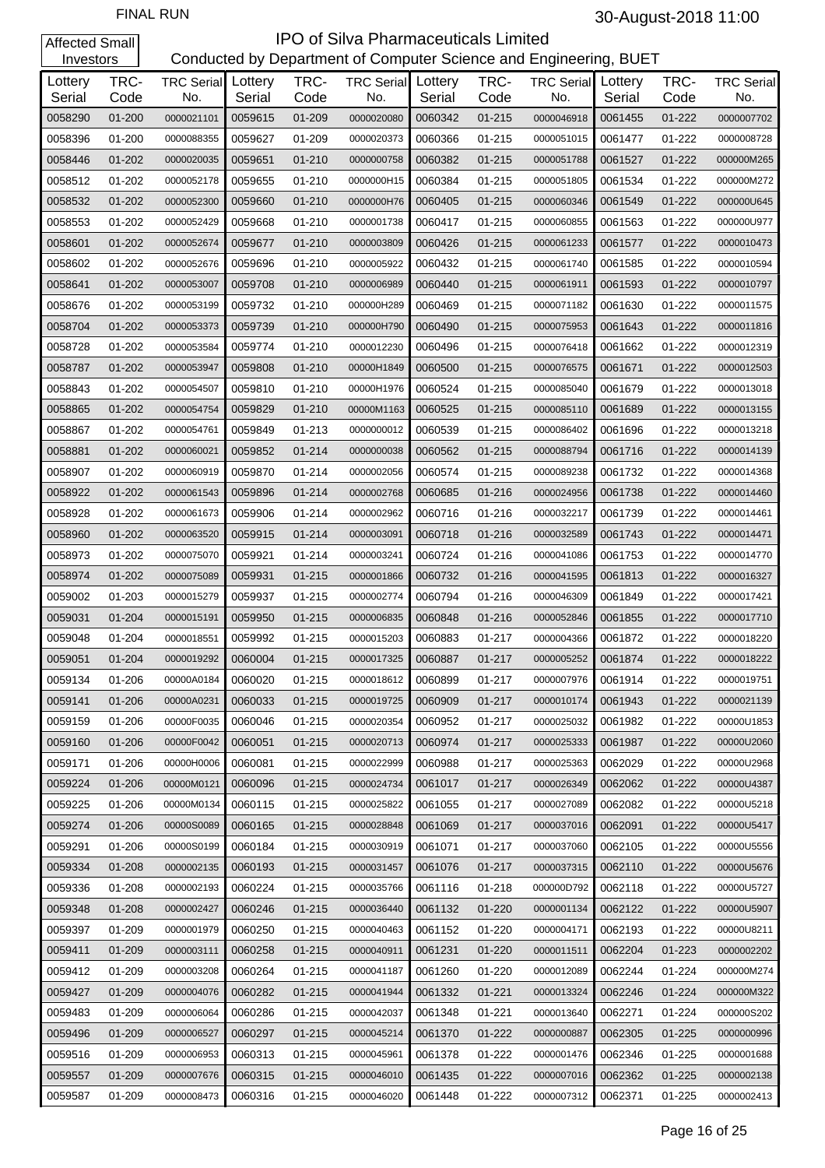| Investors         |              |                                  |         |              | Conducted by Department of Computer Science and Engineering, BUET |                   |              |                                  |         |              |                          |
|-------------------|--------------|----------------------------------|---------|--------------|-------------------------------------------------------------------|-------------------|--------------|----------------------------------|---------|--------------|--------------------------|
| Lottery<br>Serial | TRC-<br>Code | <b>TRC Serial</b> Lottery<br>No. | Serial  | TRC-<br>Code | <b>TRC Serial</b><br>No.                                          | Lottery<br>Serial | TRC-<br>Code | <b>TRC Serial</b> Lottery<br>No. | Serial  | TRC-<br>Code | <b>TRC Serial</b><br>No. |
| 0058290           | $01 - 200$   | 0000021101                       | 0059615 | 01-209       | 0000020080                                                        | 0060342           | $01 - 215$   | 0000046918                       | 0061455 | 01-222       | 0000007702               |
| 0058396           | 01-200       | 0000088355                       | 0059627 | 01-209       | 0000020373                                                        | 0060366           | 01-215       | 0000051015                       | 0061477 | 01-222       | 0000008728               |
| 0058446           | $01 - 202$   | 0000020035                       | 0059651 | $01 - 210$   | 0000000758                                                        | 0060382           | $01 - 215$   | 0000051788                       | 0061527 | 01-222       | 000000M265               |
| 0058512           | 01-202       | 0000052178                       | 0059655 | $01 - 210$   | 0000000H15                                                        | 0060384           | $01 - 215$   | 0000051805                       | 0061534 | 01-222       | 000000M272               |
| 0058532           | $01 - 202$   | 0000052300                       | 0059660 | 01-210       | 0000000H76                                                        | 0060405           | $01 - 215$   | 0000060346                       | 0061549 | 01-222       | 000000U645               |
| 0058553           | 01-202       | 0000052429                       | 0059668 | 01-210       | 0000001738                                                        | 0060417           | $01 - 215$   | 0000060855                       | 0061563 | 01-222       | 000000U977               |
| 0058601           | $01 - 202$   | 0000052674                       | 0059677 | 01-210       | 0000003809                                                        | 0060426           | $01 - 215$   | 0000061233                       | 0061577 | 01-222       | 0000010473               |
| 0058602           | 01-202       | 0000052676                       | 0059696 | 01-210       | 0000005922                                                        | 0060432           | $01 - 215$   | 0000061740                       | 0061585 | 01-222       | 0000010594               |
| 0058641           | $01 - 202$   | 0000053007                       | 0059708 | 01-210       | 0000006989                                                        | 0060440           | $01 - 215$   | 0000061911                       | 0061593 | 01-222       | 0000010797               |
| 0058676           | 01-202       | 0000053199                       | 0059732 | 01-210       | 000000H289                                                        | 0060469           | $01 - 215$   | 0000071182                       | 0061630 | 01-222       | 0000011575               |
| 0058704           | $01 - 202$   | 0000053373                       | 0059739 | 01-210       | 000000H790                                                        | 0060490           | $01 - 215$   | 0000075953                       | 0061643 | 01-222       | 0000011816               |
| 0058728           | 01-202       | 0000053584                       | 0059774 | 01-210       | 0000012230                                                        | 0060496           | $01 - 215$   | 0000076418                       | 0061662 | 01-222       | 0000012319               |
| 0058787           | $01 - 202$   | 0000053947                       | 0059808 | 01-210       | 00000H1849                                                        | 0060500           | $01 - 215$   | 0000076575                       | 0061671 | 01-222       | 0000012503               |
| 0058843           | 01-202       | 0000054507                       | 0059810 | $01 - 210$   | 00000H1976                                                        | 0060524           | $01 - 215$   | 0000085040                       | 0061679 | 01-222       | 0000013018               |
| 0058865           | $01 - 202$   | 0000054754                       | 0059829 | 01-210       | 00000M1163                                                        | 0060525           | $01 - 215$   | 0000085110                       | 0061689 | 01-222       | 0000013155               |
| 0058867           | 01-202       | 0000054761                       | 0059849 | 01-213       | 0000000012                                                        | 0060539           | $01 - 215$   | 0000086402                       | 0061696 | 01-222       | 0000013218               |
| 0058881           | $01 - 202$   | 0000060021                       | 0059852 | 01-214       | 0000000038                                                        | 0060562           | $01 - 215$   | 0000088794                       | 0061716 | 01-222       | 0000014139               |
| 0058907           | 01-202       | 0000060919                       | 0059870 | 01-214       | 0000002056                                                        | 0060574           | $01 - 215$   | 0000089238                       | 0061732 | 01-222       | 0000014368               |
| 0058922           | $01 - 202$   | 0000061543                       | 0059896 | 01-214       | 0000002768                                                        | 0060685           | $01 - 216$   | 0000024956                       | 0061738 | 01-222       | 0000014460               |
| 0058928           | 01-202       | 0000061673                       | 0059906 | 01-214       | 0000002962                                                        | 0060716           | 01-216       | 0000032217                       | 0061739 | 01-222       | 0000014461               |
| 0058960           | $01 - 202$   | 0000063520                       | 0059915 | 01-214       | 0000003091                                                        | 0060718           | $01 - 216$   | 0000032589                       | 0061743 | 01-222       | 0000014471               |
| 0058973           | 01-202       | 0000075070                       | 0059921 | 01-214       | 0000003241                                                        | 0060724           | $01 - 216$   | 0000041086                       | 0061753 | 01-222       | 0000014770               |
| 0058974           | $01 - 202$   | 0000075089                       | 0059931 | 01-215       | 0000001866                                                        | 0060732           | $01 - 216$   | 0000041595                       | 0061813 | 01-222       | 0000016327               |
| 0059002           | 01-203       | 0000015279                       | 0059937 | 01-215       | 0000002774                                                        | 0060794           | $01 - 216$   | 0000046309                       | 0061849 | 01-222       | 0000017421               |
| 0059031           | 01-204       | 0000015191                       | 0059950 | 01-215       | 0000006835                                                        | 0060848           | $01 - 216$   | 0000052846                       | 0061855 | 01-222       | 0000017710               |
| 0059048           | 01-204       | 0000018551                       | 0059992 | 01-215       | 0000015203                                                        | 0060883           | 01-217       | 0000004366                       | 0061872 | 01-222       | 0000018220               |
| 0059051           | 01-204       | 0000019292                       | 0060004 | $01 - 215$   | 0000017325                                                        | 0060887           | $01 - 217$   | 0000005252                       | 0061874 | 01-222       | 0000018222               |
| 0059134           | 01-206       | 00000A0184                       | 0060020 | 01-215       | 0000018612                                                        | 0060899           | 01-217       | 0000007976                       | 0061914 | 01-222       | 0000019751               |
| 0059141           | 01-206       | 00000A0231                       | 0060033 | 01-215       | 0000019725                                                        | 0060909           | $01 - 217$   | 0000010174                       | 0061943 | 01-222       | 0000021139               |
| 0059159           | 01-206       | 00000F0035                       | 0060046 | 01-215       | 0000020354                                                        | 0060952           | 01-217       | 0000025032                       | 0061982 | 01-222       | 00000U1853               |
| 0059160           | 01-206       | 00000F0042                       | 0060051 | 01-215       | 0000020713                                                        | 0060974           | 01-217       | 0000025333                       | 0061987 | 01-222       | 00000U2060               |
| 0059171           | 01-206       | 00000H0006                       | 0060081 | 01-215       | 0000022999                                                        | 0060988           | 01-217       | 0000025363                       | 0062029 | 01-222       | 00000U2968               |
| 0059224           | 01-206       | 00000M0121                       | 0060096 | $01 - 215$   | 0000024734                                                        | 0061017           | 01-217       | 0000026349                       | 0062062 | 01-222       | 00000U4387               |
| 0059225           | 01-206       | 00000M0134                       | 0060115 | 01-215       | 0000025822                                                        | 0061055           | 01-217       | 0000027089                       | 0062082 | 01-222       | 00000U5218               |
| 0059274           | 01-206       | 00000S0089                       | 0060165 | 01-215       | 0000028848                                                        | 0061069           | 01-217       | 0000037016                       | 0062091 | 01-222       | 00000U5417               |
| 0059291           | 01-206       | 00000S0199                       | 0060184 | 01-215       | 0000030919                                                        | 0061071           | 01-217       | 0000037060                       | 0062105 | 01-222       | 00000U5556               |
| 0059334           | 01-208       | 0000002135                       | 0060193 | 01-215       | 0000031457                                                        | 0061076           | 01-217       | 0000037315                       | 0062110 | 01-222       | 00000U5676               |
| 0059336           | 01-208       | 0000002193                       | 0060224 | 01-215       | 0000035766                                                        | 0061116           | 01-218       | 000000D792                       | 0062118 | 01-222       | 00000U5727               |
| 0059348           | 01-208       | 0000002427                       | 0060246 | 01-215       | 0000036440                                                        | 0061132           | 01-220       | 0000001134                       | 0062122 | 01-222       | 00000U5907               |
| 0059397           | 01-209       | 0000001979                       | 0060250 | 01-215       | 0000040463                                                        | 0061152           | 01-220       | 0000004171                       | 0062193 | 01-222       | 00000U8211               |
| 0059411           | 01-209       | 0000003111                       | 0060258 | 01-215       | 0000040911                                                        | 0061231           | 01-220       | 0000011511                       | 0062204 | 01-223       | 0000002202               |
| 0059412           | 01-209       | 0000003208                       | 0060264 | 01-215       | 0000041187                                                        | 0061260           | 01-220       | 0000012089                       | 0062244 | 01-224       | 000000M274               |
| 0059427           | 01-209       | 0000004076                       | 0060282 | 01-215       | 0000041944                                                        | 0061332           | $01 - 221$   | 0000013324                       | 0062246 | 01-224       | 000000M322               |
| 0059483           | 01-209       | 0000006064                       | 0060286 | 01-215       | 0000042037                                                        | 0061348           | 01-221       | 0000013640                       | 0062271 | 01-224       | 000000S202               |
| 0059496           | 01-209       | 0000006527                       | 0060297 | 01-215       | 0000045214                                                        | 0061370           | 01-222       | 0000000887                       | 0062305 | 01-225       | 0000000996               |
| 0059516           | 01-209       | 0000006953                       | 0060313 | 01-215       | 0000045961                                                        | 0061378           | 01-222       | 0000001476                       | 0062346 | 01-225       | 0000001688               |
| 0059557           | 01-209       | 0000007676                       | 0060315 | 01-215       | 0000046010                                                        | 0061435           | 01-222       | 0000007016                       | 0062362 | 01-225       | 0000002138               |
| 0059587           | 01-209       | 0000008473                       | 0060316 | 01-215       | 0000046020                                                        | 0061448           | 01-222       | 0000007312                       | 0062371 | 01-225       | 0000002413               |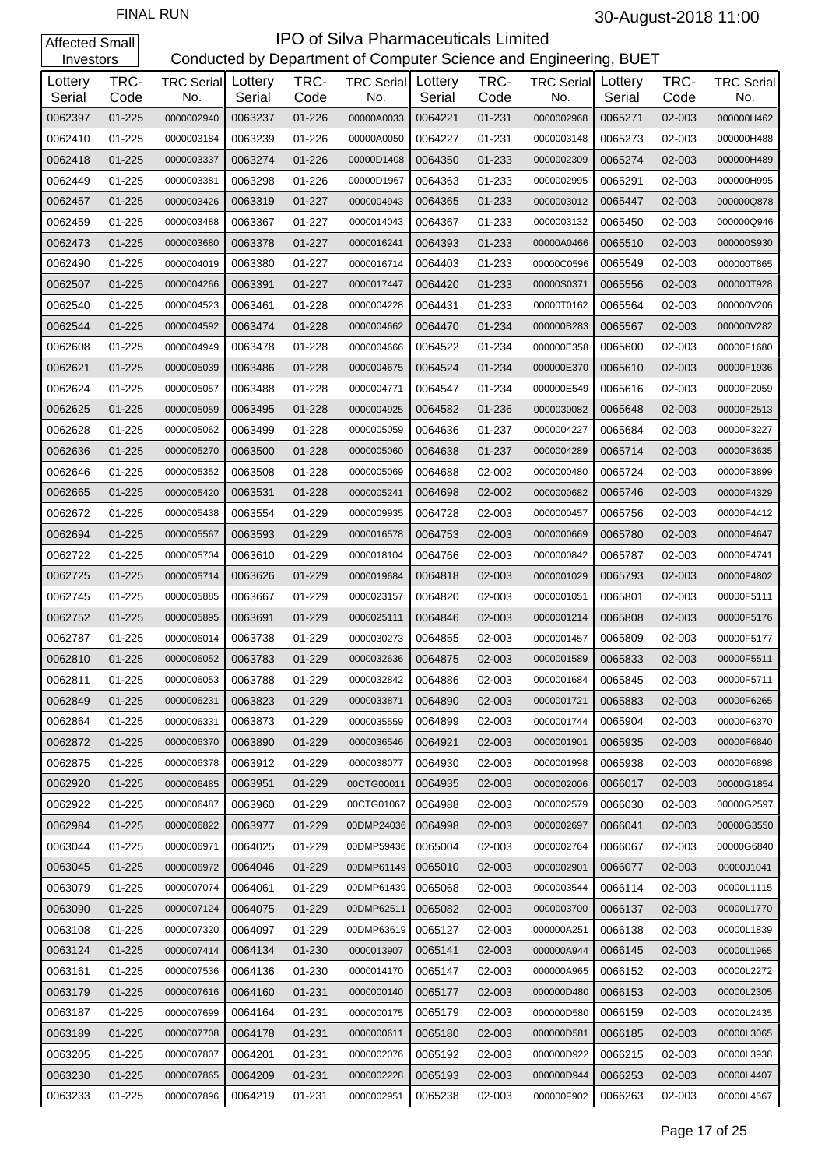| Investors         |              |                                  |         |              | Conducted by Department of Computer Science and Engineering, BUET |                   |              |                          |                   |              |                          |
|-------------------|--------------|----------------------------------|---------|--------------|-------------------------------------------------------------------|-------------------|--------------|--------------------------|-------------------|--------------|--------------------------|
| Lottery<br>Serial | TRC-<br>Code | <b>TRC Serial</b> Lottery<br>No. | Serial  | TRC-<br>Code | <b>TRC Serial</b><br>No.                                          | Lottery<br>Serial | TRC-<br>Code | <b>TRC Serial</b><br>No. | Lottery<br>Serial | TRC-<br>Code | <b>TRC Serial</b><br>No. |
| 0062397           | $01 - 225$   | 0000002940                       | 0063237 | 01-226       | 00000A0033                                                        | 0064221           | 01-231       | 0000002968               | 0065271           | 02-003       | 000000H462               |
| 0062410           | 01-225       | 0000003184                       | 0063239 | 01-226       | 00000A0050                                                        | 0064227           | 01-231       | 0000003148               | 0065273           | 02-003       | 000000H488               |
| 0062418           | $01 - 225$   | 0000003337                       | 0063274 | 01-226       | 00000D1408                                                        | 0064350           | 01-233       | 0000002309               | 0065274           | 02-003       | 000000H489               |
| 0062449           | 01-225       | 0000003381                       | 0063298 | 01-226       | 00000D1967                                                        | 0064363           | 01-233       | 0000002995               | 0065291           | 02-003       | 000000H995               |
| 0062457           | $01 - 225$   | 0000003426                       | 0063319 | $01 - 227$   | 0000004943                                                        | 0064365           | 01-233       | 0000003012               | 0065447           | 02-003       | 000000Q878               |
| 0062459           | 01-225       | 0000003488                       | 0063367 | 01-227       | 0000014043                                                        | 0064367           | 01-233       | 0000003132               | 0065450           | 02-003       | 000000Q946               |
| 0062473           | $01 - 225$   | 0000003680                       | 0063378 | 01-227       | 0000016241                                                        | 0064393           | 01-233       | 00000A0466               | 0065510           | 02-003       | 000000S930               |
| 0062490           | 01-225       | 0000004019                       | 0063380 | 01-227       | 0000016714                                                        | 0064403           | 01-233       | 00000C0596               | 0065549           | 02-003       | 000000T865               |
| 0062507           | $01 - 225$   | 0000004266                       | 0063391 | 01-227       | 0000017447                                                        | 0064420           | 01-233       | 00000S0371               | 0065556           | 02-003       | 000000T928               |
| 0062540           | 01-225       | 0000004523                       | 0063461 | 01-228       | 0000004228                                                        | 0064431           | 01-233       | 00000T0162               | 0065564           | 02-003       | 000000V206               |
| 0062544           | $01 - 225$   | 0000004592                       | 0063474 | 01-228       | 0000004662                                                        | 0064470           | 01-234       | 000000B283               | 0065567           | 02-003       | 000000V282               |
| 0062608           | 01-225       | 0000004949                       | 0063478 | 01-228       | 0000004666                                                        | 0064522           | 01-234       | 000000E358               | 0065600           | 02-003       | 00000F1680               |
| 0062621           | $01 - 225$   | 0000005039                       | 0063486 | 01-228       | 0000004675                                                        | 0064524           | 01-234       | 000000E370               | 0065610           | 02-003       | 00000F1936               |
| 0062624           | 01-225       | 0000005057                       | 0063488 | 01-228       | 0000004771                                                        | 0064547           | 01-234       | 000000E549               | 0065616           | 02-003       | 00000F2059               |
| 0062625           | $01 - 225$   | 0000005059                       | 0063495 | 01-228       | 0000004925                                                        | 0064582           | 01-236       | 0000030082               | 0065648           | 02-003       | 00000F2513               |
| 0062628           | 01-225       | 0000005062                       | 0063499 | 01-228       | 0000005059                                                        | 0064636           | 01-237       | 0000004227               | 0065684           | 02-003       | 00000F3227               |
| 0062636           | $01 - 225$   | 0000005270                       | 0063500 | 01-228       | 0000005060                                                        | 0064638           | 01-237       | 0000004289               | 0065714           | 02-003       | 00000F3635               |
| 0062646           | 01-225       | 0000005352                       | 0063508 | 01-228       | 0000005069                                                        | 0064688           | 02-002       | 0000000480               | 0065724           | 02-003       | 00000F3899               |
| 0062665           | $01 - 225$   | 0000005420                       | 0063531 | 01-228       | 0000005241                                                        | 0064698           | 02-002       | 0000000682               | 0065746           | 02-003       | 00000F4329               |
| 0062672           | 01-225       | 0000005438                       | 0063554 | 01-229       | 0000009935                                                        | 0064728           | 02-003       | 0000000457               | 0065756           | 02-003       | 00000F4412               |
| 0062694           | $01 - 225$   | 0000005567                       | 0063593 | 01-229       | 0000016578                                                        | 0064753           | 02-003       | 0000000669               | 0065780           | 02-003       | 00000F4647               |
| 0062722           | 01-225       | 0000005704                       | 0063610 | 01-229       | 0000018104                                                        | 0064766           | 02-003       | 0000000842               | 0065787           | 02-003       | 00000F4741               |
| 0062725           | $01 - 225$   | 0000005714                       | 0063626 | 01-229       | 0000019684                                                        | 0064818           | 02-003       | 0000001029               | 0065793           | 02-003       | 00000F4802               |
| 0062745           | 01-225       | 0000005885                       | 0063667 | 01-229       | 0000023157                                                        | 0064820           | 02-003       | 0000001051               | 0065801           | 02-003       | 00000F5111               |
| 0062752           | $01 - 225$   | 0000005895                       | 0063691 | 01-229       | 0000025111                                                        | 0064846           | 02-003       | 0000001214               | 0065808           | 02-003       | 00000F5176               |
| 0062787           | 01-225       | 0000006014                       | 0063738 | 01-229       | 0000030273                                                        | 0064855           | 02-003       | 0000001457               | 0065809           | 02-003       | 00000F5177               |
| 0062810           | $01 - 225$   | 0000006052                       | 0063783 | 01-229       | 0000032636                                                        | 0064875           | 02-003       | 0000001589               | 0065833           | 02-003       | 00000F5511               |
| 0062811           | 01-225       | 0000006053                       | 0063788 | 01-229       | 0000032842                                                        | 0064886           | 02-003       | 0000001684               | 0065845           | 02-003       | 00000F5711               |
| 0062849           | 01-225       | 0000006231                       | 0063823 | 01-229       | 0000033871                                                        | 0064890           | 02-003       | 0000001721               | 0065883           | 02-003       | 00000F6265               |
| 0062864           | 01-225       | 0000006331                       | 0063873 | 01-229       | 0000035559                                                        | 0064899           | 02-003       | 0000001744               | 0065904           | 02-003       | 00000F6370               |
| 0062872           | 01-225       | 0000006370                       | 0063890 | 01-229       | 0000036546                                                        | 0064921           | 02-003       | 0000001901               | 0065935           | 02-003       | 00000F6840               |
| 0062875           | 01-225       | 0000006378                       | 0063912 | 01-229       | 0000038077                                                        | 0064930           | 02-003       | 0000001998               | 0065938           | 02-003       | 00000F6898               |
| 0062920           | 01-225       | 0000006485                       | 0063951 | 01-229       | 00CTG00011                                                        | 0064935           | 02-003       | 0000002006               | 0066017           | 02-003       | 00000G1854               |
| 0062922           | 01-225       | 0000006487                       | 0063960 | 01-229       | 00CTG01067                                                        | 0064988           | 02-003       | 0000002579               | 0066030           | 02-003       | 00000G2597               |
| 0062984           | 01-225       | 0000006822                       | 0063977 | 01-229       | 00DMP24036                                                        | 0064998           | 02-003       | 0000002697               | 0066041           | 02-003       | 00000G3550               |
| 0063044           | 01-225       | 0000006971                       | 0064025 | 01-229       | 00DMP59436                                                        | 0065004           | 02-003       | 0000002764               | 0066067           | 02-003       | 00000G6840               |
| 0063045           | 01-225       | 0000006972                       | 0064046 | 01-229       | 00DMP61149                                                        | 0065010           | 02-003       | 0000002901               | 0066077           | 02-003       | 00000J1041               |
| 0063079           | 01-225       | 0000007074                       | 0064061 | 01-229       | 00DMP61439                                                        | 0065068           | 02-003       | 0000003544               | 0066114           | 02-003       | 00000L1115               |
| 0063090           | 01-225       | 0000007124                       | 0064075 | 01-229       | 00DMP62511                                                        | 0065082           | 02-003       | 0000003700               | 0066137           | 02-003       | 00000L1770               |
| 0063108           | 01-225       | 0000007320                       | 0064097 | 01-229       | 00DMP63619                                                        | 0065127           | 02-003       | 000000A251               | 0066138           | 02-003       | 00000L1839               |
| 0063124           | 01-225       | 0000007414                       | 0064134 | 01-230       | 0000013907                                                        | 0065141           | 02-003       | 000000A944               | 0066145           | 02-003       | 00000L1965               |
| 0063161           | 01-225       | 0000007536                       | 0064136 | 01-230       | 0000014170                                                        | 0065147           | 02-003       | 000000A965               | 0066152           | 02-003       | 00000L2272               |
| 0063179           | 01-225       | 0000007616                       | 0064160 | 01-231       | 0000000140                                                        | 0065177           | 02-003       | 000000D480               | 0066153           | 02-003       | 00000L2305               |
| 0063187           | 01-225       | 0000007699                       | 0064164 | 01-231       | 0000000175                                                        | 0065179           | 02-003       | 000000D580               | 0066159           | 02-003       | 00000L2435               |
| 0063189           | 01-225       | 0000007708                       | 0064178 | 01-231       | 0000000611                                                        | 0065180           | 02-003       | 000000D581               | 0066185           | 02-003       | 00000L3065               |
| 0063205           | 01-225       | 0000007807                       | 0064201 | 01-231       | 0000002076                                                        | 0065192           | 02-003       | 000000D922               | 0066215           | 02-003       | 00000L3938               |
| 0063230           | 01-225       | 0000007865                       | 0064209 | 01-231       | 0000002228                                                        | 0065193           | 02-003       | 000000D944               | 0066253           | 02-003       | 00000L4407               |
| 0063233           | 01-225       | 0000007896                       | 0064219 | 01-231       | 0000002951                                                        | 0065238           | 02-003       | 000000F902               | 0066263           | 02-003       | 00000L4567               |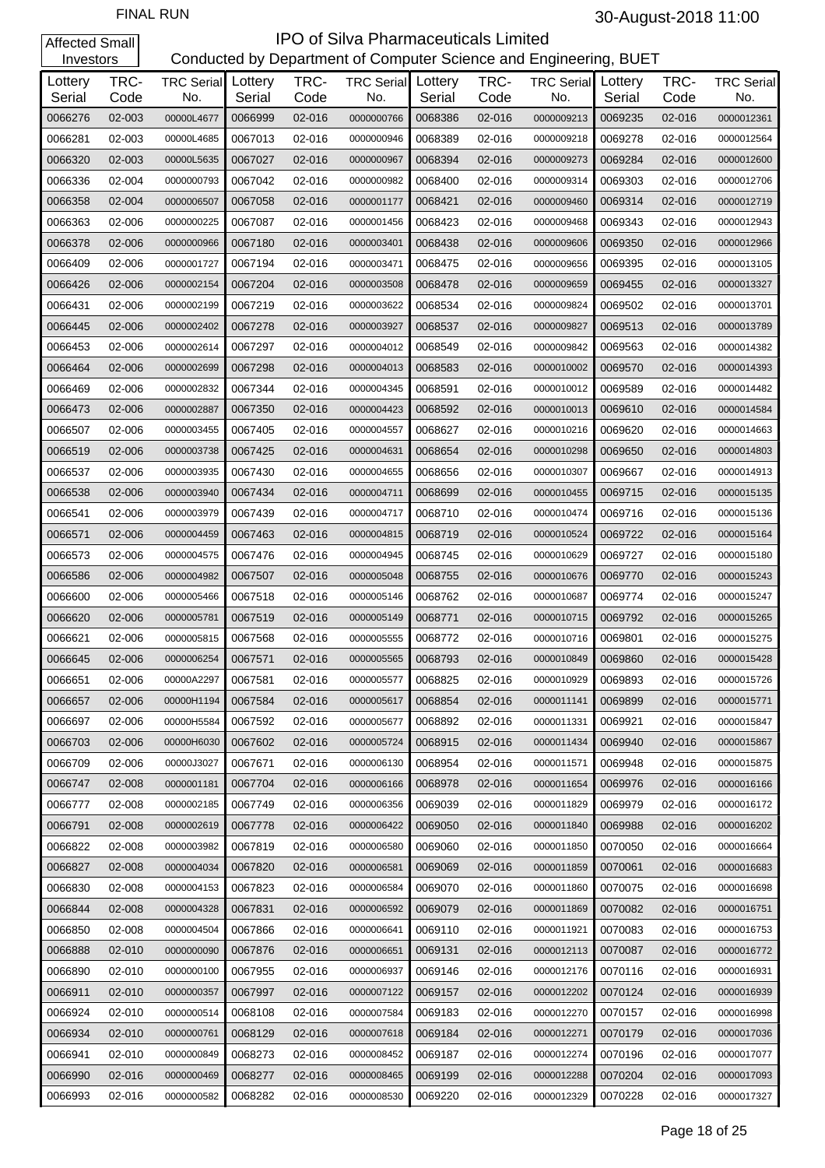#### **IPO of Silva Pharmaceuticals Limited**<br>Conducted by Department of Computer Science and Eng artment of Computer Science and Engineering, BUET

| Investors         |              |                                  |         |              | Conducted by Department of Computer Science and Engineering, BUET |                   |              |                          |                   |              |                          |
|-------------------|--------------|----------------------------------|---------|--------------|-------------------------------------------------------------------|-------------------|--------------|--------------------------|-------------------|--------------|--------------------------|
| Lottery<br>Serial | TRC-<br>Code | <b>TRC Serial</b> Lottery<br>No. | Serial  | TRC-<br>Code | <b>TRC Serial</b><br>No.                                          | Lottery<br>Serial | TRC-<br>Code | <b>TRC Serial</b><br>No. | Lottery<br>Serial | TRC-<br>Code | <b>TRC Serial</b><br>No. |
| 0066276           | 02-003       | 00000L4677                       | 0066999 | 02-016       | 0000000766                                                        | 0068386           | 02-016       | 0000009213               | 0069235           | 02-016       | 0000012361               |
| 0066281           | 02-003       | 00000L4685                       | 0067013 | 02-016       | 0000000946                                                        | 0068389           | 02-016       | 0000009218               | 0069278           | 02-016       | 0000012564               |
| 0066320           | 02-003       | 00000L5635                       | 0067027 | 02-016       | 0000000967                                                        | 0068394           | 02-016       | 0000009273               | 0069284           | 02-016       | 0000012600               |
| 0066336           | 02-004       | 0000000793                       | 0067042 | 02-016       | 0000000982                                                        | 0068400           | 02-016       | 0000009314               | 0069303           | 02-016       | 0000012706               |
| 0066358           | 02-004       | 0000006507                       | 0067058 | 02-016       | 0000001177                                                        | 0068421           | 02-016       | 0000009460               | 0069314           | 02-016       | 0000012719               |
| 0066363           | 02-006       | 0000000225                       | 0067087 | 02-016       | 0000001456                                                        | 0068423           | 02-016       | 0000009468               | 0069343           | 02-016       | 0000012943               |
| 0066378           | 02-006       | 0000000966                       | 0067180 | 02-016       | 0000003401                                                        | 0068438           | 02-016       | 0000009606               | 0069350           | 02-016       | 0000012966               |
| 0066409           | 02-006       | 0000001727                       | 0067194 | 02-016       | 0000003471                                                        | 0068475           | 02-016       | 0000009656               | 0069395           | 02-016       | 0000013105               |
| 0066426           | 02-006       | 0000002154                       | 0067204 | 02-016       | 0000003508                                                        | 0068478           | 02-016       | 0000009659               | 0069455           | 02-016       | 0000013327               |
| 0066431           | 02-006       | 0000002199                       | 0067219 | 02-016       | 0000003622                                                        | 0068534           | 02-016       | 0000009824               | 0069502           | 02-016       | 0000013701               |
| 0066445           | 02-006       | 0000002402                       | 0067278 | 02-016       | 0000003927                                                        | 0068537           | 02-016       | 0000009827               | 0069513           | 02-016       | 0000013789               |
| 0066453           | 02-006       | 0000002614                       | 0067297 | 02-016       | 0000004012                                                        | 0068549           | 02-016       | 0000009842               | 0069563           | 02-016       | 0000014382               |
| 0066464           | 02-006       | 0000002699                       | 0067298 | 02-016       | 0000004013                                                        | 0068583           | 02-016       | 0000010002               | 0069570           | 02-016       | 0000014393               |
| 0066469           | 02-006       | 0000002832                       | 0067344 | 02-016       | 0000004345                                                        | 0068591           | 02-016       | 0000010012               | 0069589           | 02-016       | 0000014482               |
| 0066473           | 02-006       | 0000002887                       | 0067350 | 02-016       | 0000004423                                                        | 0068592           | 02-016       | 0000010013               | 0069610           | 02-016       | 0000014584               |
| 0066507           | 02-006       | 0000003455                       | 0067405 | 02-016       | 0000004557                                                        | 0068627           | 02-016       | 0000010216               | 0069620           | 02-016       | 0000014663               |
| 0066519           | 02-006       | 0000003738                       | 0067425 | 02-016       | 0000004631                                                        | 0068654           | 02-016       | 0000010298               | 0069650           | 02-016       | 0000014803               |
| 0066537           | 02-006       | 0000003935                       | 0067430 | 02-016       | 0000004655                                                        | 0068656           | 02-016       | 0000010307               | 0069667           | 02-016       | 0000014913               |
| 0066538           | 02-006       | 0000003940                       | 0067434 | 02-016       | 0000004711                                                        | 0068699           | 02-016       | 0000010455               | 0069715           | 02-016       | 0000015135               |
| 0066541           | 02-006       | 0000003979                       | 0067439 | 02-016       | 0000004717                                                        | 0068710           | 02-016       | 0000010474               | 0069716           | 02-016       | 0000015136               |
| 0066571           | 02-006       | 0000004459                       | 0067463 | 02-016       | 0000004815                                                        | 0068719           | 02-016       | 0000010524               | 0069722           | 02-016       | 0000015164               |
| 0066573           | 02-006       | 0000004575                       | 0067476 | 02-016       | 0000004945                                                        | 0068745           | 02-016       | 0000010629               | 0069727           | 02-016       | 0000015180               |
| 0066586           | 02-006       | 0000004982                       | 0067507 | 02-016       | 0000005048                                                        | 0068755           | 02-016       | 0000010676               | 0069770           | 02-016       | 0000015243               |
| 0066600           | 02-006       | 0000005466                       | 0067518 | 02-016       | 0000005146                                                        | 0068762           | 02-016       | 0000010687               | 0069774           | 02-016       | 0000015247               |
| 0066620           | 02-006       | 0000005781                       | 0067519 | 02-016       | 0000005149                                                        | 0068771           | 02-016       | 0000010715               | 0069792           | 02-016       | 0000015265               |
| 0066621           | 02-006       | 0000005815                       | 0067568 | 02-016       | 0000005555                                                        | 0068772           | 02-016       | 0000010716               | 0069801           | 02-016       | 0000015275               |
| 0066645           | 02-006       | 0000006254                       | 0067571 | 02-016       | 0000005565                                                        | 0068793           | 02-016       | 0000010849               | 0069860           | 02-016       | 0000015428               |
| 0066651           | 02-006       | 00000A2297                       | 0067581 | 02-016       | 0000005577                                                        | 0068825           | 02-016       | 0000010929               | 0069893           | 02-016       | 0000015726               |
| 0066657           | 02-006       | 00000H1194                       | 0067584 | 02-016       | 0000005617                                                        | 0068854           | 02-016       | 0000011141               | 0069899           | 02-016       | 0000015771               |
| 0066697           | 02-006       | 00000H5584                       | 0067592 | 02-016       | 0000005677                                                        | 0068892           | 02-016       | 0000011331               | 0069921           | 02-016       | 0000015847               |
| 0066703           | 02-006       | 00000H6030                       | 0067602 | 02-016       | 0000005724                                                        | 0068915           | 02-016       | 0000011434               | 0069940           | 02-016       | 0000015867               |
| 0066709           | 02-006       | 00000J3027                       | 0067671 | 02-016       | 0000006130                                                        | 0068954           | 02-016       | 0000011571               | 0069948           | 02-016       | 0000015875               |
| 0066747           | 02-008       | 0000001181                       | 0067704 | 02-016       | 0000006166                                                        | 0068978           | 02-016       | 0000011654               | 0069976           | 02-016       | 0000016166               |
| 0066777           | 02-008       | 0000002185                       | 0067749 | 02-016       | 0000006356                                                        | 0069039           | 02-016       | 0000011829               | 0069979           | 02-016       | 0000016172               |
| 0066791           | 02-008       | 0000002619                       | 0067778 | 02-016       | 0000006422                                                        | 0069050           | 02-016       | 0000011840               | 0069988           | 02-016       | 0000016202               |
| 0066822           | 02-008       | 0000003982                       | 0067819 | 02-016       | 0000006580                                                        | 0069060           | 02-016       | 0000011850               | 0070050           | 02-016       | 0000016664               |
| 0066827           | 02-008       | 0000004034                       | 0067820 | 02-016       | 0000006581                                                        | 0069069           | 02-016       | 0000011859               | 0070061           | 02-016       | 0000016683               |
| 0066830           | 02-008       | 0000004153                       | 0067823 | 02-016       | 0000006584                                                        | 0069070           | 02-016       | 0000011860               | 0070075           | 02-016       | 0000016698               |
| 0066844           | 02-008       | 0000004328                       | 0067831 | 02-016       | 0000006592                                                        | 0069079           | 02-016       | 0000011869               | 0070082           | 02-016       | 0000016751               |
| 0066850           | 02-008       | 0000004504                       | 0067866 | 02-016       | 0000006641                                                        | 0069110           | 02-016       | 0000011921               | 0070083           | 02-016       | 0000016753               |
| 0066888           | 02-010       | 0000000090                       | 0067876 | 02-016       | 0000006651                                                        | 0069131           | 02-016       | 0000012113               | 0070087           | 02-016       | 0000016772               |
| 0066890           | 02-010       | 0000000100                       | 0067955 | 02-016       | 0000006937                                                        | 0069146           | 02-016       | 0000012176               | 0070116           | 02-016       | 0000016931               |
| 0066911           | 02-010       | 0000000357                       | 0067997 | 02-016       | 0000007122                                                        | 0069157           | 02-016       | 0000012202               | 0070124           | 02-016       | 0000016939               |
| 0066924           | 02-010       | 0000000514                       | 0068108 | 02-016       | 0000007584                                                        | 0069183           | 02-016       | 0000012270               | 0070157           | 02-016       | 0000016998               |
| 0066934           | 02-010       | 0000000761                       | 0068129 | 02-016       | 0000007618                                                        | 0069184           | 02-016       | 0000012271               | 0070179           | 02-016       | 0000017036               |
| 0066941           | 02-010       | 0000000849                       | 0068273 | 02-016       | 0000008452                                                        | 0069187           | 02-016       | 0000012274               | 0070196           | 02-016       | 0000017077               |
| 0066990           | 02-016       | 0000000469                       | 0068277 | 02-016       | 0000008465                                                        | 0069199           | 02-016       | 0000012288               | 0070204           | 02-016       | 0000017093               |
| 0066993           | 02-016       | 0000000582                       | 0068282 | 02-016       | 0000008530                                                        | 0069220           | 02-016       | 0000012329               | 0070228           | 02-016       | 0000017327               |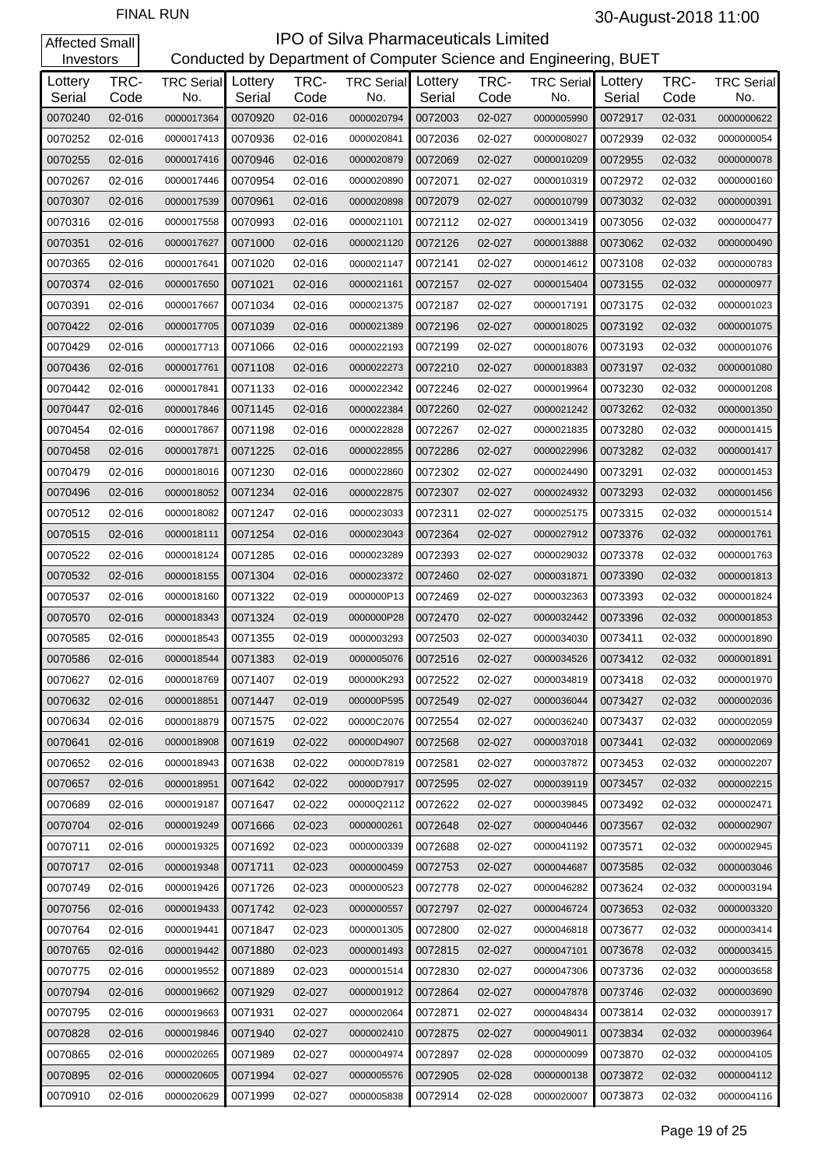| Investors         |              |                                  |         |              | Conducted by Department of Computer Science and Engineering, BUET |                   |              |                          |                   |              |                          |
|-------------------|--------------|----------------------------------|---------|--------------|-------------------------------------------------------------------|-------------------|--------------|--------------------------|-------------------|--------------|--------------------------|
| Lottery<br>Serial | TRC-<br>Code | <b>TRC Serial</b> Lottery<br>No. | Serial  | TRC-<br>Code | <b>TRC Serial</b><br>No.                                          | Lottery<br>Serial | TRC-<br>Code | <b>TRC Serial</b><br>No. | Lottery<br>Serial | TRC-<br>Code | <b>TRC Serial</b><br>No. |
| 0070240           | 02-016       | 0000017364                       | 0070920 | 02-016       | 0000020794                                                        | 0072003           | 02-027       | 0000005990               | 0072917           | 02-031       | 0000000622               |
| 0070252           | 02-016       | 0000017413                       | 0070936 | 02-016       | 0000020841                                                        | 0072036           | 02-027       | 0000008027               | 0072939           | 02-032       | 0000000054               |
| 0070255           | 02-016       | 0000017416                       | 0070946 | 02-016       | 0000020879                                                        | 0072069           | 02-027       | 0000010209               | 0072955           | 02-032       | 0000000078               |
| 0070267           | 02-016       | 0000017446                       | 0070954 | 02-016       | 0000020890                                                        | 0072071           | 02-027       | 0000010319               | 0072972           | 02-032       | 0000000160               |
| 0070307           | 02-016       | 0000017539                       | 0070961 | 02-016       | 0000020898                                                        | 0072079           | 02-027       | 0000010799               | 0073032           | 02-032       | 0000000391               |
| 0070316           | 02-016       | 0000017558                       | 0070993 | 02-016       | 0000021101                                                        | 0072112           | 02-027       | 0000013419               | 0073056           | 02-032       | 0000000477               |
| 0070351           | 02-016       | 0000017627                       | 0071000 | 02-016       | 0000021120                                                        | 0072126           | 02-027       | 0000013888               | 0073062           | 02-032       | 0000000490               |
| 0070365           | 02-016       | 0000017641                       | 0071020 | 02-016       | 0000021147                                                        | 0072141           | 02-027       | 0000014612               | 0073108           | 02-032       | 0000000783               |
| 0070374           | 02-016       | 0000017650                       | 0071021 | 02-016       | 0000021161                                                        | 0072157           | 02-027       | 0000015404               | 0073155           | 02-032       | 0000000977               |
| 0070391           | 02-016       | 0000017667                       | 0071034 | 02-016       | 0000021375                                                        | 0072187           | 02-027       | 0000017191               | 0073175           | 02-032       | 0000001023               |
| 0070422           | 02-016       | 0000017705                       | 0071039 | 02-016       | 0000021389                                                        | 0072196           | 02-027       | 0000018025               | 0073192           | 02-032       | 0000001075               |
| 0070429           | 02-016       | 0000017713                       | 0071066 | 02-016       | 0000022193                                                        | 0072199           | 02-027       | 0000018076               | 0073193           | 02-032       | 0000001076               |
| 0070436           | 02-016       | 0000017761                       | 0071108 | 02-016       | 0000022273                                                        | 0072210           | 02-027       | 0000018383               | 0073197           | 02-032       | 0000001080               |
| 0070442           | 02-016       | 0000017841                       | 0071133 | 02-016       | 0000022342                                                        | 0072246           | 02-027       | 0000019964               | 0073230           | 02-032       | 0000001208               |
| 0070447           | 02-016       | 0000017846                       | 0071145 | 02-016       | 0000022384                                                        | 0072260           | 02-027       | 0000021242               | 0073262           | 02-032       | 0000001350               |
| 0070454           | 02-016       | 0000017867                       | 0071198 | 02-016       | 0000022828                                                        | 0072267           | 02-027       | 0000021835               | 0073280           | 02-032       | 0000001415               |
| 0070458           | 02-016       | 0000017871                       | 0071225 | 02-016       | 0000022855                                                        | 0072286           | 02-027       | 0000022996               | 0073282           | 02-032       | 0000001417               |
| 0070479           | 02-016       | 0000018016                       | 0071230 | 02-016       | 0000022860                                                        | 0072302           | 02-027       | 0000024490               | 0073291           | 02-032       | 0000001453               |
| 0070496           | 02-016       | 0000018052                       | 0071234 | 02-016       | 0000022875                                                        | 0072307           | 02-027       | 0000024932               | 0073293           | 02-032       | 0000001456               |
| 0070512           | 02-016       | 0000018082                       | 0071247 | 02-016       | 0000023033                                                        | 0072311           | 02-027       | 0000025175               | 0073315           | 02-032       | 0000001514               |
| 0070515           | 02-016       | 0000018111                       | 0071254 | 02-016       | 0000023043                                                        | 0072364           | 02-027       | 0000027912               | 0073376           | 02-032       | 0000001761               |
| 0070522           | 02-016       | 0000018124                       | 0071285 | 02-016       | 0000023289                                                        | 0072393           | 02-027       | 0000029032               | 0073378           | 02-032       | 0000001763               |
| 0070532           | 02-016       | 0000018155                       | 0071304 | 02-016       | 0000023372                                                        | 0072460           | 02-027       | 0000031871               | 0073390           | 02-032       | 0000001813               |
| 0070537           | 02-016       | 0000018160                       | 0071322 | 02-019       | 0000000P13                                                        | 0072469           | 02-027       | 0000032363               | 0073393           | 02-032       | 0000001824               |
| 0070570           | 02-016       | 0000018343                       | 0071324 | 02-019       | 0000000P28                                                        | 0072470           | 02-027       | 0000032442               | 0073396           | 02-032       | 0000001853               |
| 0070585           | 02-016       | 0000018543                       | 0071355 | 02-019       | 0000003293                                                        | 0072503           | 02-027       | 0000034030               | 0073411           | 02-032       | 0000001890               |
| 0070586           | 02-016       | 0000018544                       | 0071383 | 02-019       | 0000005076                                                        | 0072516           | 02-027       | 0000034526               | 0073412           | 02-032       | 0000001891               |
| 0070627           | 02-016       | 0000018769                       | 0071407 | 02-019       | 000000K293                                                        | 0072522           | 02-027       | 0000034819               | 0073418           | 02-032       | 0000001970               |
| 0070632           | 02-016       | 0000018851                       | 0071447 | 02-019       | 000000P595                                                        | 0072549           | 02-027       | 0000036044               | 0073427           | 02-032       | 0000002036               |
| 0070634           | 02-016       | 0000018879                       | 0071575 | 02-022       | 00000C2076                                                        | 0072554           | 02-027       | 0000036240               | 0073437           | 02-032       | 0000002059               |
| 0070641           | 02-016       | 0000018908                       | 0071619 | 02-022       | 00000D4907                                                        | 0072568           | 02-027       | 0000037018               | 0073441           | 02-032       | 0000002069               |
| 0070652           | 02-016       | 0000018943                       | 0071638 | 02-022       | 00000D7819                                                        | 0072581           | 02-027       | 0000037872               | 0073453           | 02-032       | 0000002207               |
| 0070657           | 02-016       | 0000018951                       | 0071642 | 02-022       | 00000D7917                                                        | 0072595           | 02-027       | 0000039119               | 0073457           | 02-032       | 0000002215               |
| 0070689           | 02-016       | 0000019187                       | 0071647 | 02-022       | 00000Q2112                                                        | 0072622           | 02-027       | 0000039845               | 0073492           | 02-032       | 0000002471               |
| 0070704           | 02-016       | 0000019249                       | 0071666 | 02-023       | 0000000261                                                        | 0072648           | 02-027       | 0000040446               | 0073567           | 02-032       | 0000002907               |
| 0070711           | 02-016       | 0000019325                       | 0071692 | 02-023       | 0000000339                                                        | 0072688           | 02-027       | 0000041192               | 0073571           | 02-032       | 0000002945               |
| 0070717           | 02-016       | 0000019348                       | 0071711 | 02-023       | 0000000459                                                        | 0072753           | 02-027       | 0000044687               | 0073585           | 02-032       | 0000003046               |
| 0070749           | 02-016       | 0000019426                       | 0071726 | 02-023       | 0000000523                                                        | 0072778           | 02-027       | 0000046282               | 0073624           | 02-032       | 0000003194               |
| 0070756           | 02-016       | 0000019433                       | 0071742 | 02-023       | 0000000557                                                        | 0072797           | 02-027       | 0000046724               | 0073653           | 02-032       | 0000003320               |
| 0070764           | 02-016       | 0000019441                       | 0071847 | 02-023       | 0000001305                                                        | 0072800           | 02-027       | 0000046818               | 0073677           | 02-032       | 0000003414               |
| 0070765           | 02-016       | 0000019442                       | 0071880 | 02-023       | 0000001493                                                        | 0072815           | 02-027       | 0000047101               | 0073678           | 02-032       | 0000003415               |
| 0070775           | 02-016       | 0000019552                       | 0071889 | 02-023       | 0000001514                                                        | 0072830           | 02-027       | 0000047306               | 0073736           | 02-032       | 0000003658               |
| 0070794           | 02-016       | 0000019662                       | 0071929 | 02-027       | 0000001912                                                        | 0072864           | 02-027       | 0000047878               | 0073746           | 02-032       | 0000003690               |
| 0070795           | 02-016       | 0000019663                       | 0071931 | 02-027       | 0000002064                                                        | 0072871           | 02-027       | 0000048434               | 0073814           | 02-032       | 0000003917               |
| 0070828           | 02-016       | 0000019846                       | 0071940 | 02-027       | 0000002410                                                        | 0072875           | 02-027       | 0000049011               | 0073834           | 02-032       | 0000003964               |
| 0070865           | 02-016       | 0000020265                       | 0071989 | 02-027       | 0000004974                                                        | 0072897           | 02-028       | 0000000099               | 0073870           | 02-032       | 0000004105               |
| 0070895           | 02-016       | 0000020605                       | 0071994 | 02-027       | 0000005576                                                        | 0072905           | 02-028       | 0000000138               | 0073872           | 02-032       | 0000004112               |
| 0070910           | 02-016       | 0000020629                       | 0071999 | 02-027       | 0000005838                                                        | 0072914           | 02-028       | 0000020007               | 0073873           | 02-032       | 0000004116               |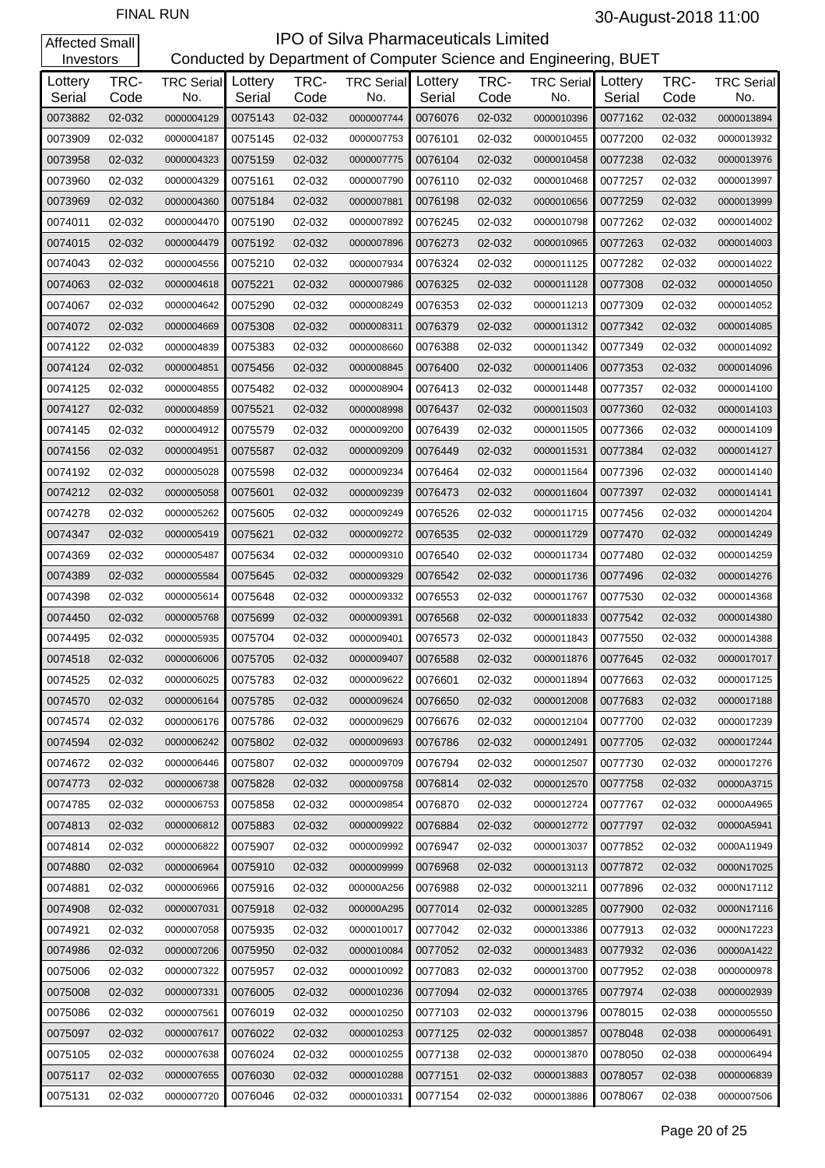| Investors         |              |                                  |         |              | Conducted by Department of Computer Science and Engineering, BUET |                   |              |                          |                   |              |                          |
|-------------------|--------------|----------------------------------|---------|--------------|-------------------------------------------------------------------|-------------------|--------------|--------------------------|-------------------|--------------|--------------------------|
| Lottery<br>Serial | TRC-<br>Code | <b>TRC Serial</b> Lottery<br>No. | Serial  | TRC-<br>Code | <b>TRC Serial</b><br>No.                                          | Lottery<br>Serial | TRC-<br>Code | <b>TRC Serial</b><br>No. | Lottery<br>Serial | TRC-<br>Code | <b>TRC Serial</b><br>No. |
| 0073882           | 02-032       | 0000004129                       | 0075143 | 02-032       | 0000007744                                                        | 0076076           | 02-032       | 0000010396               | 0077162           | 02-032       | 0000013894               |
| 0073909           | 02-032       | 0000004187                       | 0075145 | 02-032       | 0000007753                                                        | 0076101           | 02-032       | 0000010455               | 0077200           | 02-032       | 0000013932               |
| 0073958           | 02-032       | 0000004323                       | 0075159 | 02-032       | 0000007775                                                        | 0076104           | 02-032       | 0000010458               | 0077238           | 02-032       | 0000013976               |
| 0073960           | 02-032       | 0000004329                       | 0075161 | 02-032       | 0000007790                                                        | 0076110           | 02-032       | 0000010468               | 0077257           | 02-032       | 0000013997               |
| 0073969           | 02-032       | 0000004360                       | 0075184 | 02-032       | 0000007881                                                        | 0076198           | 02-032       | 0000010656               | 0077259           | 02-032       | 0000013999               |
| 0074011           | 02-032       | 0000004470                       | 0075190 | 02-032       | 0000007892                                                        | 0076245           | 02-032       | 0000010798               | 0077262           | 02-032       | 0000014002               |
| 0074015           | 02-032       | 0000004479                       | 0075192 | 02-032       | 0000007896                                                        | 0076273           | 02-032       | 0000010965               | 0077263           | 02-032       | 0000014003               |
| 0074043           | 02-032       | 0000004556                       | 0075210 | 02-032       | 0000007934                                                        | 0076324           | 02-032       | 0000011125               | 0077282           | 02-032       | 0000014022               |
| 0074063           | 02-032       | 0000004618                       | 0075221 | 02-032       | 0000007986                                                        | 0076325           | 02-032       | 0000011128               | 0077308           | 02-032       | 0000014050               |
| 0074067           | 02-032       | 0000004642                       | 0075290 | 02-032       | 0000008249                                                        | 0076353           | 02-032       | 0000011213               | 0077309           | 02-032       | 0000014052               |
| 0074072           | 02-032       | 0000004669                       | 0075308 | 02-032       | 0000008311                                                        | 0076379           | 02-032       | 0000011312               | 0077342           | 02-032       | 0000014085               |
| 0074122           | 02-032       | 0000004839                       | 0075383 | 02-032       | 0000008660                                                        | 0076388           | 02-032       | 0000011342               | 0077349           | 02-032       | 0000014092               |
| 0074124           | 02-032       | 0000004851                       | 0075456 | 02-032       | 0000008845                                                        | 0076400           | 02-032       | 0000011406               | 0077353           | 02-032       | 0000014096               |
| 0074125           | 02-032       | 0000004855                       | 0075482 | 02-032       | 0000008904                                                        | 0076413           | 02-032       | 0000011448               | 0077357           | 02-032       | 0000014100               |
| 0074127           | 02-032       | 0000004859                       | 0075521 | 02-032       | 0000008998                                                        | 0076437           | 02-032       | 0000011503               | 0077360           | 02-032       | 0000014103               |
| 0074145           | 02-032       | 0000004912                       | 0075579 | 02-032       | 0000009200                                                        | 0076439           | 02-032       | 0000011505               | 0077366           | 02-032       | 0000014109               |
| 0074156           | 02-032       | 0000004951                       | 0075587 | 02-032       | 0000009209                                                        | 0076449           | 02-032       | 0000011531               | 0077384           | 02-032       | 0000014127               |
| 0074192           | 02-032       | 0000005028                       | 0075598 | 02-032       | 0000009234                                                        | 0076464           | 02-032       | 0000011564               | 0077396           | 02-032       | 0000014140               |
| 0074212           | 02-032       | 0000005058                       | 0075601 | 02-032       | 0000009239                                                        | 0076473           | 02-032       | 0000011604               | 0077397           | 02-032       | 0000014141               |
| 0074278           | 02-032       | 0000005262                       | 0075605 | 02-032       | 0000009249                                                        | 0076526           | 02-032       | 0000011715               | 0077456           | 02-032       | 0000014204               |
| 0074347           | 02-032       | 0000005419                       | 0075621 | 02-032       | 0000009272                                                        | 0076535           | 02-032       | 0000011729               | 0077470           | 02-032       | 0000014249               |
| 0074369           | 02-032       | 0000005487                       | 0075634 | 02-032       | 0000009310                                                        | 0076540           | 02-032       | 0000011734               | 0077480           | 02-032       | 0000014259               |
| 0074389           | 02-032       | 0000005584                       | 0075645 | 02-032       | 0000009329                                                        | 0076542           | 02-032       | 0000011736               | 0077496           | 02-032       | 0000014276               |
| 0074398           | 02-032       | 0000005614                       | 0075648 | 02-032       | 0000009332                                                        | 0076553           | 02-032       | 0000011767               | 0077530           | 02-032       | 0000014368               |
| 0074450           | 02-032       | 0000005768                       | 0075699 | 02-032       | 0000009391                                                        | 0076568           | 02-032       | 0000011833               | 0077542           | 02-032       | 0000014380               |
| 0074495           | 02-032       | 0000005935                       | 0075704 | 02-032       | 0000009401                                                        | 0076573           | 02-032       | 0000011843               | 0077550           | 02-032       | 0000014388               |
| 0074518           | 02-032       | 0000006006                       | 0075705 | 02-032       | 0000009407                                                        | 0076588           | 02-032       | 0000011876               | 0077645           | 02-032       | 0000017017               |
| 0074525           | 02-032       | 0000006025                       | 0075783 | 02-032       | 0000009622                                                        | 0076601           | 02-032       | 0000011894               | 0077663           | 02-032       | 0000017125               |
| 0074570           | 02-032       | 0000006164                       | 0075785 | 02-032       | 0000009624                                                        | 0076650           | 02-032       | 0000012008               | 0077683           | 02-032       | 0000017188               |
| 0074574           | 02-032       | 0000006176                       | 0075786 | 02-032       | 0000009629                                                        | 0076676           | 02-032       | 0000012104               | 0077700           | 02-032       | 0000017239               |
| 0074594           | 02-032       | 0000006242                       | 0075802 | 02-032       | 0000009693                                                        | 0076786           | 02-032       | 0000012491               | 0077705           | 02-032       | 0000017244               |
| 0074672           | 02-032       | 0000006446                       | 0075807 | 02-032       | 0000009709                                                        | 0076794           | 02-032       | 0000012507               | 0077730           | 02-032       | 0000017276               |
| 0074773           | 02-032       | 0000006738                       | 0075828 | 02-032       | 0000009758                                                        | 0076814           | 02-032       | 0000012570               | 0077758           | 02-032       | 00000A3715               |
| 0074785           | 02-032       | 0000006753                       | 0075858 | 02-032       | 0000009854                                                        | 0076870           | 02-032       | 0000012724               | 0077767           | 02-032       | 00000A4965               |
| 0074813           | 02-032       | 0000006812                       | 0075883 | 02-032       | 0000009922                                                        | 0076884           | 02-032       | 0000012772               | 0077797           | 02-032       | 00000A5941               |
| 0074814           | 02-032       | 0000006822                       | 0075907 | 02-032       | 0000009992                                                        | 0076947           | 02-032       | 0000013037               | 0077852           | 02-032       | 0000A11949               |
| 0074880           | 02-032       | 0000006964                       | 0075910 | 02-032       | 0000009999                                                        | 0076968           | 02-032       | 0000013113               | 0077872           | 02-032       | 0000N17025               |
| 0074881           | 02-032       | 0000006966                       | 0075916 | 02-032       | 000000A256                                                        | 0076988           | 02-032       | 0000013211               | 0077896           | 02-032       | 0000N17112               |
| 0074908           | 02-032       | 0000007031                       | 0075918 | 02-032       | 000000A295                                                        | 0077014           | 02-032       | 0000013285               | 0077900           | 02-032       | 0000N17116               |
| 0074921           | 02-032       | 0000007058                       | 0075935 | 02-032       | 0000010017                                                        | 0077042           | 02-032       | 0000013386               | 0077913           | 02-032       | 0000N17223               |
| 0074986           | 02-032       | 0000007206                       | 0075950 | 02-032       | 0000010084                                                        | 0077052           | 02-032       | 0000013483               | 0077932           | 02-036       | 00000A1422               |
| 0075006           | 02-032       | 0000007322                       | 0075957 | 02-032       | 0000010092                                                        | 0077083           | 02-032       | 0000013700               | 0077952           | 02-038       | 0000000978               |
| 0075008           | 02-032       | 0000007331                       | 0076005 | 02-032       | 0000010236                                                        | 0077094           | 02-032       | 0000013765               | 0077974           | 02-038       | 0000002939               |
| 0075086           | 02-032       | 0000007561                       | 0076019 | 02-032       | 0000010250                                                        | 0077103           | 02-032       | 0000013796               | 0078015           | 02-038       | 0000005550               |
| 0075097           | 02-032       | 0000007617                       | 0076022 | 02-032       | 0000010253                                                        | 0077125           | 02-032       | 0000013857               | 0078048           | 02-038       | 0000006491               |
| 0075105           | 02-032       | 0000007638                       | 0076024 | 02-032       | 0000010255                                                        | 0077138           | 02-032       | 0000013870               | 0078050           | 02-038       | 0000006494               |
| 0075117           | 02-032       | 0000007655                       | 0076030 | 02-032       | 0000010288                                                        | 0077151           | 02-032       | 0000013883               | 0078057           | 02-038       | 0000006839               |
| 0075131           | 02-032       | 0000007720                       | 0076046 | 02-032       | 0000010331                                                        | 0077154           | 02-032       | 0000013886               | 0078067           | 02-038       | 0000007506               |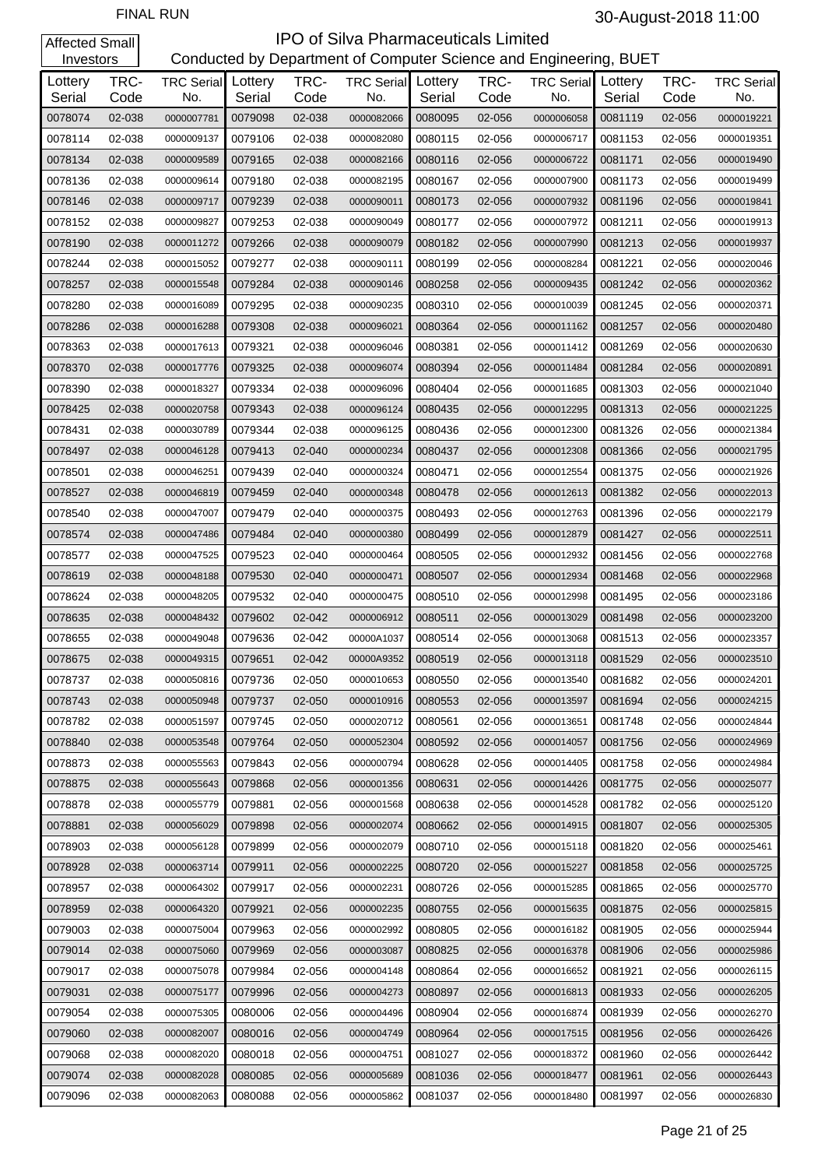| Investors         |              |                                  |         |              | Conducted by Department of Computer Science and Engineering, BUET |                   |              |                          |                   |              |                          |
|-------------------|--------------|----------------------------------|---------|--------------|-------------------------------------------------------------------|-------------------|--------------|--------------------------|-------------------|--------------|--------------------------|
| Lottery<br>Serial | TRC-<br>Code | <b>TRC Serial</b> Lottery<br>No. | Serial  | TRC-<br>Code | <b>TRC Serial</b><br>No.                                          | Lottery<br>Serial | TRC-<br>Code | <b>TRC Serial</b><br>No. | Lottery<br>Serial | TRC-<br>Code | <b>TRC Serial</b><br>No. |
| 0078074           | 02-038       | 0000007781                       | 0079098 | 02-038       | 0000082066                                                        | 0080095           | 02-056       | 0000006058               | 0081119           | 02-056       | 0000019221               |
| 0078114           | 02-038       | 0000009137                       | 0079106 | 02-038       | 0000082080                                                        | 0080115           | 02-056       | 0000006717               | 0081153           | 02-056       | 0000019351               |
| 0078134           | 02-038       | 0000009589                       | 0079165 | 02-038       | 0000082166                                                        | 0080116           | 02-056       | 0000006722               | 0081171           | 02-056       | 0000019490               |
| 0078136           | 02-038       | 0000009614                       | 0079180 | 02-038       | 0000082195                                                        | 0080167           | 02-056       | 0000007900               | 0081173           | 02-056       | 0000019499               |
| 0078146           | 02-038       | 0000009717                       | 0079239 | 02-038       | 0000090011                                                        | 0080173           | 02-056       | 0000007932               | 0081196           | 02-056       | 0000019841               |
| 0078152           | 02-038       | 0000009827                       | 0079253 | 02-038       | 0000090049                                                        | 0080177           | 02-056       | 0000007972               | 0081211           | 02-056       | 0000019913               |
| 0078190           | 02-038       | 0000011272                       | 0079266 | 02-038       | 0000090079                                                        | 0080182           | 02-056       | 0000007990               | 0081213           | 02-056       | 0000019937               |
| 0078244           | 02-038       | 0000015052                       | 0079277 | 02-038       | 0000090111                                                        | 0080199           | 02-056       | 0000008284               | 0081221           | 02-056       | 0000020046               |
| 0078257           | 02-038       | 0000015548                       | 0079284 | 02-038       | 0000090146                                                        | 0080258           | 02-056       | 0000009435               | 0081242           | 02-056       | 0000020362               |
| 0078280           | 02-038       | 0000016089                       | 0079295 | 02-038       | 0000090235                                                        | 0080310           | 02-056       | 0000010039               | 0081245           | 02-056       | 0000020371               |
| 0078286           | 02-038       | 0000016288                       | 0079308 | 02-038       | 0000096021                                                        | 0080364           | 02-056       | 0000011162               | 0081257           | 02-056       | 0000020480               |
| 0078363           | 02-038       | 0000017613                       | 0079321 | 02-038       | 0000096046                                                        | 0080381           | 02-056       | 0000011412               | 0081269           | 02-056       | 0000020630               |
| 0078370           | 02-038       | 0000017776                       | 0079325 | 02-038       | 0000096074                                                        | 0080394           | 02-056       | 0000011484               | 0081284           | 02-056       | 0000020891               |
| 0078390           | 02-038       | 0000018327                       | 0079334 | 02-038       | 0000096096                                                        | 0080404           | 02-056       | 0000011685               | 0081303           | 02-056       | 0000021040               |
| 0078425           | 02-038       | 0000020758                       | 0079343 | 02-038       | 0000096124                                                        | 0080435           | 02-056       | 0000012295               | 0081313           | 02-056       | 0000021225               |
| 0078431           | 02-038       | 0000030789                       | 0079344 | 02-038       | 0000096125                                                        | 0080436           | 02-056       | 0000012300               | 0081326           | 02-056       | 0000021384               |
| 0078497           | 02-038       | 0000046128                       | 0079413 | 02-040       | 0000000234                                                        | 0080437           | 02-056       | 0000012308               | 0081366           | 02-056       | 0000021795               |
| 0078501           | 02-038       | 0000046251                       | 0079439 | 02-040       | 0000000324                                                        | 0080471           | 02-056       | 0000012554               | 0081375           | 02-056       | 0000021926               |
| 0078527           | 02-038       | 0000046819                       | 0079459 | 02-040       | 0000000348                                                        | 0080478           | 02-056       | 0000012613               | 0081382           | 02-056       | 0000022013               |
| 0078540           | 02-038       | 0000047007                       | 0079479 | 02-040       | 0000000375                                                        | 0080493           | 02-056       | 0000012763               | 0081396           | 02-056       | 0000022179               |
| 0078574           | 02-038       | 0000047486                       | 0079484 | 02-040       | 0000000380                                                        | 0080499           | 02-056       | 0000012879               | 0081427           | 02-056       | 0000022511               |
| 0078577           | 02-038       | 0000047525                       | 0079523 | 02-040       | 0000000464                                                        | 0080505           | 02-056       | 0000012932               | 0081456           | 02-056       | 0000022768               |
| 0078619           | 02-038       | 0000048188                       | 0079530 | 02-040       | 0000000471                                                        | 0080507           | 02-056       | 0000012934               | 0081468           | 02-056       | 0000022968               |
| 0078624           | 02-038       | 0000048205                       | 0079532 | 02-040       | 0000000475                                                        | 0080510           | 02-056       | 0000012998               | 0081495           | 02-056       | 0000023186               |
| 0078635           | 02-038       | 0000048432                       | 0079602 | 02-042       | 0000006912                                                        | 0080511           | 02-056       | 0000013029               | 0081498           | 02-056       | 0000023200               |
| 0078655           | 02-038       | 0000049048                       | 0079636 | 02-042       | 00000A1037                                                        | 0080514           | 02-056       | 0000013068               | 0081513           | 02-056       | 0000023357               |
| 0078675           | 02-038       | 0000049315                       | 0079651 | 02-042       | 00000A9352                                                        | 0080519           | 02-056       | 0000013118               | 0081529           | 02-056       | 0000023510               |
| 0078737           | 02-038       | 0000050816                       | 0079736 | 02-050       | 0000010653                                                        | 0080550           | 02-056       | 0000013540               | 0081682           | 02-056       | 0000024201               |
| 0078743           | 02-038       | 0000050948                       | 0079737 | 02-050       | 0000010916                                                        | 0080553           | 02-056       | 0000013597               | 0081694           | 02-056       | 0000024215               |
| 0078782           | 02-038       | 0000051597                       | 0079745 | 02-050       | 0000020712                                                        | 0080561           | 02-056       | 0000013651               | 0081748           | 02-056       | 0000024844               |
| 0078840           | 02-038       | 0000053548                       | 0079764 | 02-050       | 0000052304                                                        | 0080592           | 02-056       | 0000014057               | 0081756           | 02-056       | 0000024969               |
| 0078873           | 02-038       | 0000055563                       | 0079843 | 02-056       | 0000000794                                                        | 0080628           | 02-056       | 0000014405               | 0081758           | 02-056       | 0000024984               |
| 0078875           | 02-038       | 0000055643                       | 0079868 | 02-056       | 0000001356                                                        | 0080631           | 02-056       | 0000014426               | 0081775           | 02-056       | 0000025077               |
| 0078878           | 02-038       | 0000055779                       | 0079881 | 02-056       | 0000001568                                                        | 0080638           | 02-056       | 0000014528               | 0081782           | 02-056       | 0000025120               |
| 0078881           | 02-038       | 0000056029                       | 0079898 | 02-056       | 0000002074                                                        | 0080662           | 02-056       | 0000014915               | 0081807           | 02-056       | 0000025305               |
| 0078903           | 02-038       | 0000056128                       | 0079899 | 02-056       | 0000002079                                                        | 0080710           | 02-056       | 0000015118               | 0081820           | 02-056       | 0000025461               |
| 0078928           | 02-038       | 0000063714                       | 0079911 | 02-056       | 0000002225                                                        | 0080720           | 02-056       | 0000015227               | 0081858           | 02-056       | 0000025725               |
| 0078957           | 02-038       | 0000064302                       | 0079917 | 02-056       | 0000002231                                                        | 0080726           | 02-056       | 0000015285               | 0081865           | 02-056       | 0000025770               |
| 0078959           | 02-038       | 0000064320                       | 0079921 | 02-056       | 0000002235                                                        | 0080755           | 02-056       | 0000015635               | 0081875           | 02-056       | 0000025815               |
| 0079003           | 02-038       | 0000075004                       | 0079963 | 02-056       | 0000002992                                                        | 0080805           | 02-056       | 0000016182               | 0081905           | 02-056       | 0000025944               |
| 0079014           | 02-038       | 0000075060                       | 0079969 | 02-056       | 0000003087                                                        | 0080825           | 02-056       | 0000016378               | 0081906           | 02-056       | 0000025986               |
| 0079017           | 02-038       | 0000075078                       | 0079984 | 02-056       | 0000004148                                                        | 0080864           | 02-056       | 0000016652               | 0081921           | 02-056       | 0000026115               |
| 0079031           | 02-038       | 0000075177                       | 0079996 | 02-056       | 0000004273                                                        | 0080897           | 02-056       | 0000016813               | 0081933           | 02-056       | 0000026205               |
| 0079054           | 02-038       | 0000075305                       | 0080006 | 02-056       | 0000004496                                                        | 0080904           | 02-056       | 0000016874               | 0081939           | 02-056       | 0000026270               |
| 0079060           | 02-038       | 0000082007                       | 0080016 | 02-056       | 0000004749                                                        | 0080964           | 02-056       | 0000017515               | 0081956           | 02-056       | 0000026426               |
| 0079068           | 02-038       | 0000082020                       | 0080018 | 02-056       | 0000004751                                                        | 0081027           | 02-056       | 0000018372               | 0081960           | 02-056       | 0000026442               |
| 0079074           | 02-038       | 0000082028                       | 0080085 | 02-056       | 0000005689                                                        | 0081036           | 02-056       | 0000018477               | 0081961           | 02-056       | 0000026443               |
| 0079096           | 02-038       | 0000082063                       | 0080088 | 02-056       | 0000005862                                                        | 0081037           | 02-056       | 0000018480               | 0081997           | 02-056       | 0000026830               |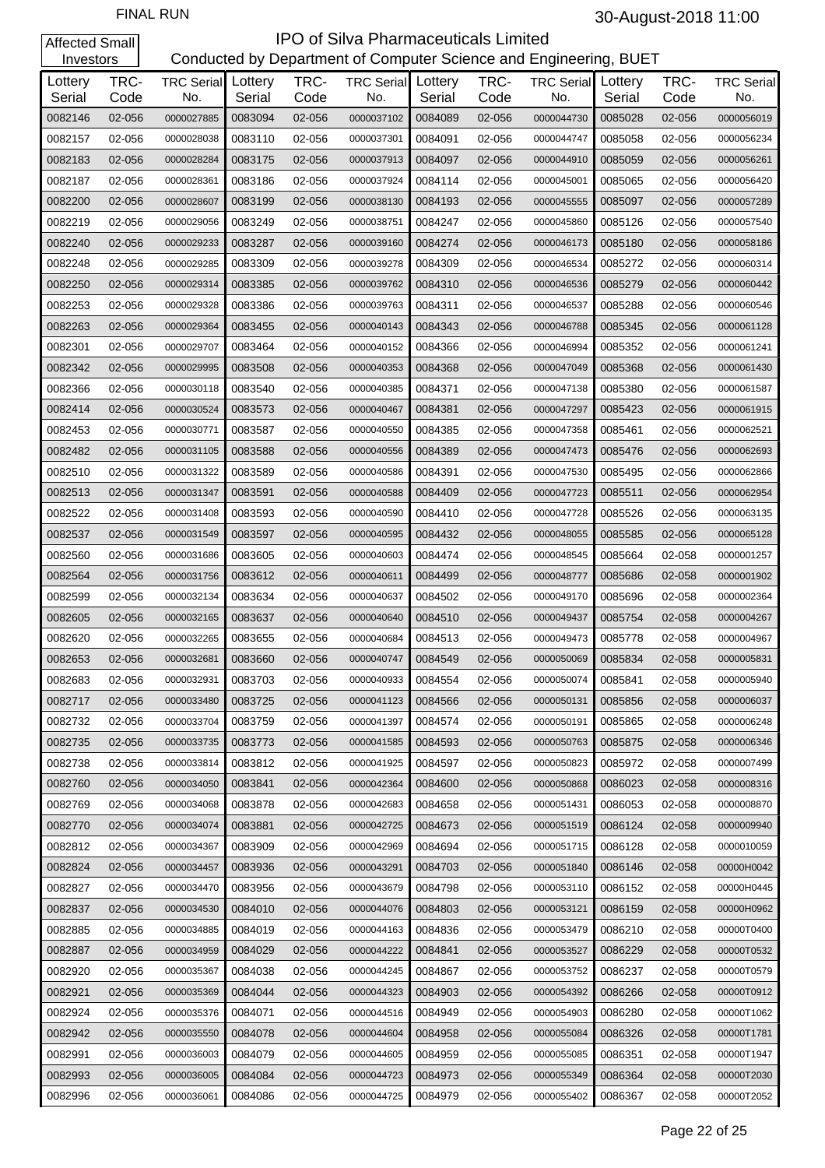| Investors         |              |                                  |         |              | Conducted by Department of Computer Science and Engineering, BUET |                   |              |                          |                   |              |                          |
|-------------------|--------------|----------------------------------|---------|--------------|-------------------------------------------------------------------|-------------------|--------------|--------------------------|-------------------|--------------|--------------------------|
| Lottery<br>Serial | TRC-<br>Code | <b>TRC Serial</b> Lottery<br>No. | Serial  | TRC-<br>Code | <b>TRC Serial</b><br>No.                                          | Lottery<br>Serial | TRC-<br>Code | <b>TRC Serial</b><br>No. | Lottery<br>Serial | TRC-<br>Code | <b>TRC Serial</b><br>No. |
| 0082146           | 02-056       | 0000027885                       | 0083094 | 02-056       | 0000037102                                                        | 0084089           | 02-056       | 0000044730               | 0085028           | 02-056       | 0000056019               |
| 0082157           | 02-056       | 0000028038                       | 0083110 | 02-056       | 0000037301                                                        | 0084091           | 02-056       | 0000044747               | 0085058           | 02-056       | 0000056234               |
| 0082183           | 02-056       | 0000028284                       | 0083175 | 02-056       | 0000037913                                                        | 0084097           | 02-056       | 0000044910               | 0085059           | 02-056       | 0000056261               |
| 0082187           | 02-056       | 0000028361                       | 0083186 | 02-056       | 0000037924                                                        | 0084114           | 02-056       | 0000045001               | 0085065           | 02-056       | 0000056420               |
| 0082200           | 02-056       | 0000028607                       | 0083199 | 02-056       | 0000038130                                                        | 0084193           | 02-056       | 0000045555               | 0085097           | 02-056       | 0000057289               |
| 0082219           | 02-056       | 0000029056                       | 0083249 | 02-056       | 0000038751                                                        | 0084247           | 02-056       | 0000045860               | 0085126           | 02-056       | 0000057540               |
| 0082240           | 02-056       | 0000029233                       | 0083287 | 02-056       | 0000039160                                                        | 0084274           | 02-056       | 0000046173               | 0085180           | 02-056       | 0000058186               |
| 0082248           | 02-056       | 0000029285                       | 0083309 | 02-056       | 0000039278                                                        | 0084309           | 02-056       | 0000046534               | 0085272           | 02-056       | 0000060314               |
| 0082250           | 02-056       | 0000029314                       | 0083385 | 02-056       | 0000039762                                                        | 0084310           | 02-056       | 0000046536               | 0085279           | 02-056       | 0000060442               |
| 0082253           | 02-056       | 0000029328                       | 0083386 | 02-056       | 0000039763                                                        | 0084311           | 02-056       | 0000046537               | 0085288           | 02-056       | 0000060546               |
| 0082263           | 02-056       | 0000029364                       | 0083455 | 02-056       | 0000040143                                                        | 0084343           | 02-056       | 0000046788               | 0085345           | 02-056       | 0000061128               |
| 0082301           | 02-056       | 0000029707                       | 0083464 | 02-056       | 0000040152                                                        | 0084366           | 02-056       | 0000046994               | 0085352           | 02-056       | 0000061241               |
| 0082342           | 02-056       | 0000029995                       | 0083508 | 02-056       | 0000040353                                                        | 0084368           | 02-056       | 0000047049               | 0085368           | 02-056       | 0000061430               |
| 0082366           | 02-056       | 0000030118                       | 0083540 | 02-056       | 0000040385                                                        | 0084371           | 02-056       | 0000047138               | 0085380           | 02-056       | 0000061587               |
| 0082414           | 02-056       | 0000030524                       | 0083573 | 02-056       | 0000040467                                                        | 0084381           | 02-056       | 0000047297               | 0085423           | 02-056       | 0000061915               |
| 0082453           | 02-056       | 0000030771                       | 0083587 | 02-056       | 0000040550                                                        | 0084385           | 02-056       | 0000047358               | 0085461           | 02-056       | 0000062521               |
| 0082482           | 02-056       | 0000031105                       | 0083588 | 02-056       | 0000040556                                                        | 0084389           | 02-056       | 0000047473               | 0085476           | 02-056       | 0000062693               |
| 0082510           | 02-056       | 0000031322                       | 0083589 | 02-056       | 0000040586                                                        | 0084391           | 02-056       | 0000047530               | 0085495           | 02-056       | 0000062866               |
| 0082513           | 02-056       | 0000031347                       | 0083591 | 02-056       | 0000040588                                                        | 0084409           | 02-056       | 0000047723               | 0085511           | 02-056       | 0000062954               |
| 0082522           | 02-056       | 0000031408                       | 0083593 | 02-056       | 0000040590                                                        | 0084410           | 02-056       | 0000047728               | 0085526           | 02-056       | 0000063135               |
| 0082537           | 02-056       | 0000031549                       | 0083597 | 02-056       | 0000040595                                                        | 0084432           | 02-056       | 0000048055               | 0085585           | 02-056       | 0000065128               |
| 0082560           | 02-056       | 0000031686                       | 0083605 | 02-056       | 0000040603                                                        | 0084474           | 02-056       | 0000048545               | 0085664           | 02-058       | 0000001257               |
| 0082564           | 02-056       | 0000031756                       | 0083612 | 02-056       | 0000040611                                                        | 0084499           | 02-056       | 0000048777               | 0085686           | 02-058       | 0000001902               |
| 0082599           | 02-056       | 0000032134                       | 0083634 | 02-056       | 0000040637                                                        | 0084502           | 02-056       | 0000049170               | 0085696           | 02-058       | 0000002364               |
| 0082605           | 02-056       | 0000032165                       | 0083637 | 02-056       | 0000040640                                                        | 0084510           | 02-056       | 0000049437               | 0085754           | 02-058       | 0000004267               |
| 0082620           | 02-056       | 0000032265                       | 0083655 | 02-056       | 0000040684                                                        | 0084513           | 02-056       | 0000049473               | 0085778           | 02-058       | 0000004967               |
| 0082653           | 02-056       | 0000032681                       | 0083660 | 02-056       | 0000040747                                                        | 0084549           | 02-056       | 0000050069               | 0085834           | 02-058       | 0000005831               |
| 0082683           | 02-056       | 0000032931                       | 0083703 | 02-056       | 0000040933                                                        | 0084554           | 02-056       | 0000050074               | 0085841           | 02-058       | 0000005940               |
| 0082717           | 02-056       | 0000033480                       | 0083725 | 02-056       | 0000041123                                                        | 0084566           | 02-056       | 0000050131               | 0085856           | 02-058       | 0000006037               |
| 0082732           | 02-056       | 0000033704                       | 0083759 | 02-056       | 0000041397                                                        | 0084574           | 02-056       | 0000050191               | 0085865           | 02-058       | 0000006248               |
| 0082735           | 02-056       | 0000033735                       | 0083773 | 02-056       | 0000041585                                                        | 0084593           | 02-056       | 0000050763               | 0085875           | 02-058       | 0000006346               |
| 0082738           | 02-056       | 0000033814                       | 0083812 | 02-056       | 0000041925                                                        | 0084597           | 02-056       | 0000050823               | 0085972           | 02-058       | 0000007499               |
| 0082760           | 02-056       | 0000034050                       | 0083841 | 02-056       | 0000042364                                                        | 0084600           | 02-056       | 0000050868               | 0086023           | 02-058       | 0000008316               |
| 0082769           | 02-056       | 0000034068                       | 0083878 | 02-056       | 0000042683                                                        | 0084658           | 02-056       | 0000051431               | 0086053           | 02-058       | 0000008870               |
| 0082770           | 02-056       | 0000034074                       | 0083881 | 02-056       | 0000042725                                                        | 0084673           | 02-056       | 0000051519               | 0086124           | 02-058       | 0000009940               |
| 0082812           | 02-056       | 0000034367                       | 0083909 | 02-056       | 0000042969                                                        | 0084694           | 02-056       | 0000051715               | 0086128           | 02-058       | 0000010059               |
| 0082824           | 02-056       | 0000034457                       | 0083936 | 02-056       | 0000043291                                                        | 0084703           | 02-056       | 0000051840               | 0086146           | 02-058       | 00000H0042               |
| 0082827           | 02-056       | 0000034470                       | 0083956 | 02-056       | 0000043679                                                        | 0084798           | 02-056       | 0000053110               | 0086152           | 02-058       | 00000H0445               |
| 0082837           | 02-056       | 0000034530                       | 0084010 | 02-056       | 0000044076                                                        | 0084803           | 02-056       | 0000053121               | 0086159           | 02-058       | 00000H0962               |
| 0082885           | 02-056       | 0000034885                       | 0084019 | 02-056       | 0000044163                                                        | 0084836           | 02-056       | 0000053479               | 0086210           | 02-058       | 00000T0400               |
| 0082887           | 02-056       | 0000034959                       | 0084029 | 02-056       | 0000044222                                                        | 0084841           | 02-056       | 0000053527               | 0086229           | 02-058       | 00000T0532               |
| 0082920           | 02-056       | 0000035367                       | 0084038 | 02-056       | 0000044245                                                        | 0084867           | 02-056       | 0000053752               | 0086237           | 02-058       | 00000T0579               |
| 0082921           | 02-056       | 0000035369                       | 0084044 | 02-056       | 0000044323                                                        | 0084903           | 02-056       | 0000054392               | 0086266           | 02-058       | 00000T0912               |
| 0082924           | 02-056       | 0000035376                       | 0084071 | 02-056       | 0000044516                                                        | 0084949           | 02-056       | 0000054903               | 0086280           | 02-058       | 00000T1062               |
| 0082942           | 02-056       | 0000035550                       | 0084078 | 02-056       | 0000044604                                                        | 0084958           | 02-056       | 0000055084               | 0086326           | 02-058       | 00000T1781               |
| 0082991           | 02-056       | 0000036003                       | 0084079 | 02-056       | 0000044605                                                        | 0084959           | 02-056       | 0000055085               | 0086351           | 02-058       | 00000T1947               |
| 0082993           | 02-056       | 0000036005                       | 0084084 | 02-056       | 0000044723                                                        | 0084973           | 02-056       | 0000055349               | 0086364           | 02-058       | 00000T2030               |
| 0082996           | 02-056       | 0000036061                       | 0084086 | 02-056       | 0000044725                                                        | 0084979           | 02-056       | 0000055402               | 0086367           | 02-058       | 00000T2052               |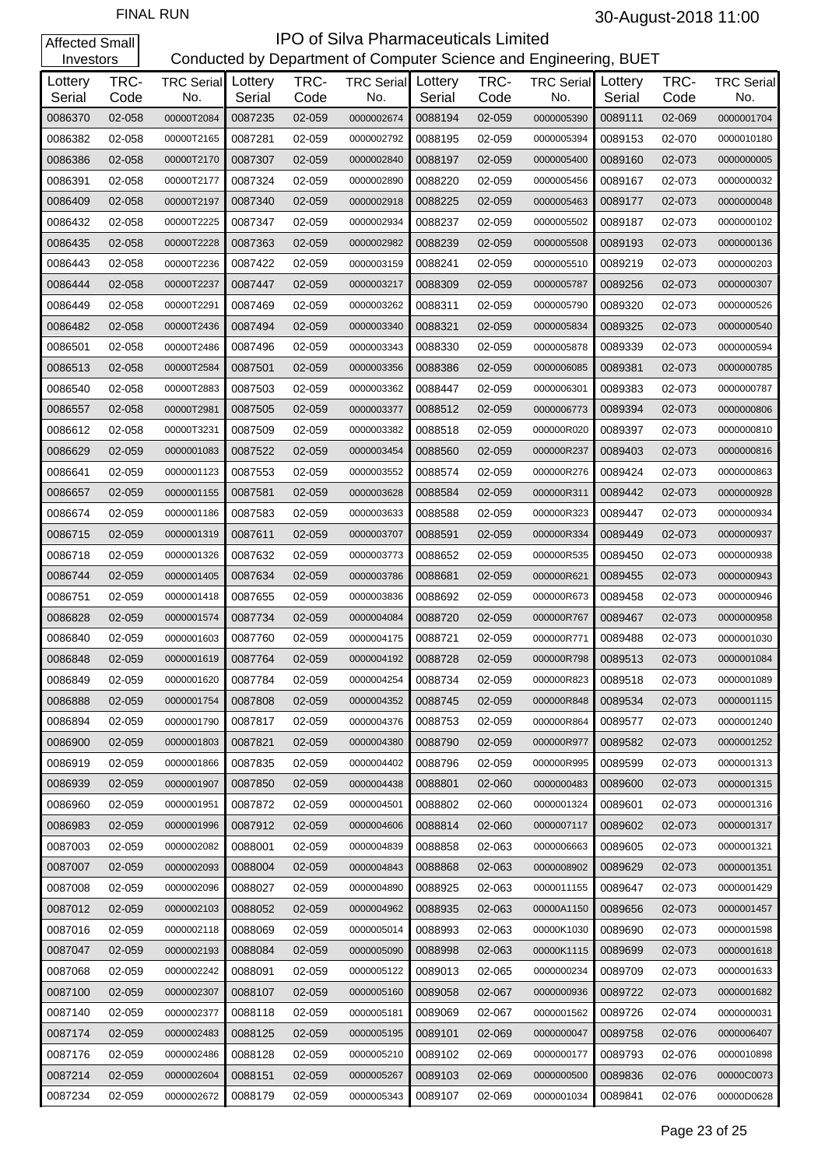| Investors         |              |                                  |         |              | Conducted by Department of Computer Science and Engineering, BUET |                   |              |                          |                   |              |                          |
|-------------------|--------------|----------------------------------|---------|--------------|-------------------------------------------------------------------|-------------------|--------------|--------------------------|-------------------|--------------|--------------------------|
| Lottery<br>Serial | TRC-<br>Code | <b>TRC Serial</b> Lottery<br>No. | Serial  | TRC-<br>Code | <b>TRC Serial</b><br>No.                                          | Lottery<br>Serial | TRC-<br>Code | <b>TRC Serial</b><br>No. | Lottery<br>Serial | TRC-<br>Code | <b>TRC Serial</b><br>No. |
| 0086370           | 02-058       | 00000T2084                       | 0087235 | 02-059       | 0000002674                                                        | 0088194           | 02-059       | 0000005390               | 0089111           | 02-069       | 0000001704               |
| 0086382           | 02-058       | 00000T2165                       | 0087281 | 02-059       | 0000002792                                                        | 0088195           | 02-059       | 0000005394               | 0089153           | 02-070       | 0000010180               |
| 0086386           | 02-058       | 00000T2170                       | 0087307 | 02-059       | 0000002840                                                        | 0088197           | 02-059       | 0000005400               | 0089160           | 02-073       | 0000000005               |
| 0086391           | 02-058       | 00000T2177                       | 0087324 | 02-059       | 0000002890                                                        | 0088220           | 02-059       | 0000005456               | 0089167           | 02-073       | 0000000032               |
| 0086409           | 02-058       | 00000T2197                       | 0087340 | 02-059       | 0000002918                                                        | 0088225           | 02-059       | 0000005463               | 0089177           | 02-073       | 0000000048               |
| 0086432           | 02-058       | 00000T2225                       | 0087347 | 02-059       | 0000002934                                                        | 0088237           | 02-059       | 0000005502               | 0089187           | 02-073       | 0000000102               |
| 0086435           | 02-058       | 00000T2228                       | 0087363 | 02-059       | 0000002982                                                        | 0088239           | 02-059       | 0000005508               | 0089193           | 02-073       | 0000000136               |
| 0086443           | 02-058       | 00000T2236                       | 0087422 | 02-059       | 0000003159                                                        | 0088241           | 02-059       | 0000005510               | 0089219           | 02-073       | 0000000203               |
| 0086444           | 02-058       | 00000T2237                       | 0087447 | 02-059       | 0000003217                                                        | 0088309           | 02-059       | 0000005787               | 0089256           | 02-073       | 0000000307               |
| 0086449           | 02-058       | 00000T2291                       | 0087469 | 02-059       | 0000003262                                                        | 0088311           | 02-059       | 0000005790               | 0089320           | 02-073       | 0000000526               |
| 0086482           | 02-058       | 00000T2436                       | 0087494 | 02-059       | 0000003340                                                        | 0088321           | 02-059       | 0000005834               | 0089325           | 02-073       | 0000000540               |
| 0086501           | 02-058       | 00000T2486                       | 0087496 | 02-059       | 0000003343                                                        | 0088330           | 02-059       | 0000005878               | 0089339           | 02-073       | 0000000594               |
| 0086513           | 02-058       | 00000T2584                       | 0087501 | 02-059       | 0000003356                                                        | 0088386           | 02-059       | 0000006085               | 0089381           | 02-073       | 0000000785               |
| 0086540           | 02-058       | 00000T2883                       | 0087503 | 02-059       | 0000003362                                                        | 0088447           | 02-059       | 0000006301               | 0089383           | 02-073       | 0000000787               |
| 0086557           | 02-058       | 00000T2981                       | 0087505 | 02-059       | 0000003377                                                        | 0088512           | 02-059       | 0000006773               | 0089394           | 02-073       | 0000000806               |
| 0086612           | 02-058       | 00000T3231                       | 0087509 | 02-059       | 0000003382                                                        | 0088518           | 02-059       | 000000R020               | 0089397           | 02-073       | 0000000810               |
| 0086629           | 02-059       | 0000001083                       | 0087522 | 02-059       | 0000003454                                                        | 0088560           | 02-059       | 000000R237               | 0089403           | 02-073       | 0000000816               |
| 0086641           | 02-059       | 0000001123                       | 0087553 | 02-059       | 0000003552                                                        | 0088574           | 02-059       | 000000R276               | 0089424           | 02-073       | 0000000863               |
| 0086657           | 02-059       | 0000001155                       | 0087581 | 02-059       | 0000003628                                                        | 0088584           | 02-059       | 000000R311               | 0089442           | 02-073       | 0000000928               |
| 0086674           | 02-059       | 0000001186                       | 0087583 | 02-059       | 0000003633                                                        | 0088588           | 02-059       | 000000R323               | 0089447           | 02-073       | 0000000934               |
| 0086715           | 02-059       | 0000001319                       | 0087611 | 02-059       | 0000003707                                                        | 0088591           | 02-059       | 000000R334               | 0089449           | 02-073       | 0000000937               |
| 0086718           | 02-059       | 0000001326                       | 0087632 | 02-059       | 0000003773                                                        | 0088652           | 02-059       | 000000R535               | 0089450           | 02-073       | 0000000938               |
| 0086744           | 02-059       | 0000001405                       | 0087634 | 02-059       | 0000003786                                                        | 0088681           | 02-059       | 000000R621               | 0089455           | 02-073       | 0000000943               |
| 0086751           | 02-059       | 0000001418                       | 0087655 | 02-059       | 0000003836                                                        | 0088692           | 02-059       | 000000R673               | 0089458           | 02-073       | 0000000946               |
| 0086828           | 02-059       | 0000001574                       | 0087734 | 02-059       | 0000004084                                                        | 0088720           | 02-059       | 000000R767               | 0089467           | 02-073       | 0000000958               |
| 0086840           | 02-059       | 0000001603                       | 0087760 | 02-059       | 0000004175                                                        | 0088721           | 02-059       | 000000R771               | 0089488           | 02-073       | 0000001030               |
| 0086848           | 02-059       | 0000001619                       | 0087764 | 02-059       | 0000004192                                                        | 0088728           | 02-059       | 000000R798               | 0089513           | 02-073       | 0000001084               |
| 0086849           | 02-059       | 0000001620                       | 0087784 | 02-059       | 0000004254                                                        | 0088734           | 02-059       | 000000R823               | 0089518           | 02-073       | 0000001089               |
| 0086888           | 02-059       | 0000001754                       | 0087808 | 02-059       | 0000004352                                                        | 0088745           | 02-059       | 000000R848               | 0089534           | 02-073       | 0000001115               |
| 0086894           | 02-059       | 0000001790                       | 0087817 | 02-059       | 0000004376                                                        | 0088753           | 02-059       | 000000R864               | 0089577           | 02-073       | 0000001240               |
| 0086900           | 02-059       | 0000001803                       | 0087821 | 02-059       | 0000004380                                                        | 0088790           | 02-059       | 000000R977               | 0089582           | 02-073       | 0000001252               |
| 0086919           | 02-059       | 0000001866                       | 0087835 | 02-059       | 0000004402                                                        | 0088796           | 02-059       | 000000R995               | 0089599           | 02-073       | 0000001313               |
| 0086939           | 02-059       | 0000001907                       | 0087850 | 02-059       | 0000004438                                                        | 0088801           | 02-060       | 0000000483               | 0089600           | 02-073       | 0000001315               |
| 0086960           | 02-059       | 0000001951                       | 0087872 | 02-059       | 0000004501                                                        | 0088802           | 02-060       | 0000001324               | 0089601           | 02-073       | 0000001316               |
| 0086983           | 02-059       | 0000001996                       | 0087912 | 02-059       | 0000004606                                                        | 0088814           | 02-060       | 0000007117               | 0089602           | 02-073       | 0000001317               |
| 0087003           | 02-059       | 0000002082                       | 0088001 | 02-059       | 0000004839                                                        | 0088858           | 02-063       | 0000006663               | 0089605           | 02-073       | 0000001321               |
| 0087007           | 02-059       | 0000002093                       | 0088004 | 02-059       | 0000004843                                                        | 0088868           | 02-063       | 0000008902               | 0089629           | 02-073       | 0000001351               |
| 0087008           | 02-059       | 0000002096                       | 0088027 | 02-059       | 0000004890                                                        | 0088925           | 02-063       | 0000011155               | 0089647           | 02-073       | 0000001429               |
| 0087012           | 02-059       | 0000002103                       | 0088052 | 02-059       | 0000004962                                                        | 0088935           | 02-063       | 00000A1150               | 0089656           | 02-073       | 0000001457               |
| 0087016           | 02-059       | 0000002118                       | 0088069 | 02-059       | 0000005014                                                        | 0088993           | 02-063       | 00000K1030               | 0089690           | 02-073       | 0000001598               |
| 0087047           | 02-059       | 0000002193                       | 0088084 | 02-059       | 0000005090                                                        | 0088998           | 02-063       | 00000K1115               | 0089699           | 02-073       | 0000001618               |
| 0087068           | 02-059       | 0000002242                       | 0088091 | 02-059       | 0000005122                                                        | 0089013           | 02-065       | 0000000234               | 0089709           | 02-073       | 0000001633               |
| 0087100           | 02-059       | 0000002307                       | 0088107 | 02-059       | 0000005160                                                        | 0089058           | 02-067       | 0000000936               | 0089722           | 02-073       | 0000001682               |
| 0087140           | 02-059       | 0000002377                       | 0088118 | 02-059       | 0000005181                                                        | 0089069           | 02-067       | 0000001562               | 0089726           | 02-074       | 0000000031               |
| 0087174           | 02-059       | 0000002483                       | 0088125 | 02-059       | 0000005195                                                        | 0089101           | 02-069       | 0000000047               | 0089758           | 02-076       | 0000006407               |
| 0087176           | 02-059       | 0000002486                       | 0088128 | 02-059       | 0000005210                                                        | 0089102           | 02-069       | 0000000177               | 0089793           | 02-076       | 0000010898               |
| 0087214           | 02-059       | 0000002604                       | 0088151 | 02-059       | 0000005267                                                        | 0089103           | 02-069       | 0000000500               | 0089836           | 02-076       | 00000C0073               |
| 0087234           | 02-059       | 0000002672                       | 0088179 | 02-059       | 0000005343                                                        | 0089107           | 02-069       | 0000001034               | 0089841           | 02-076       | 00000D0628               |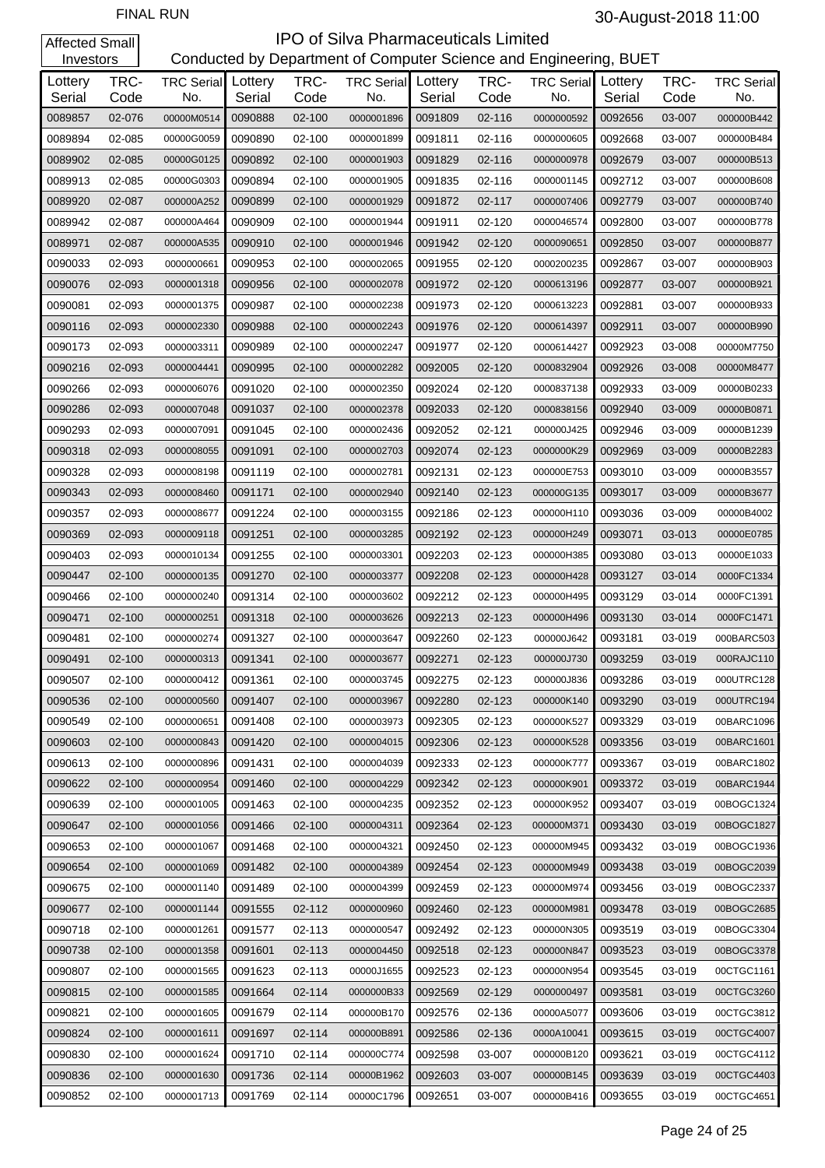| Investors         |              |                                  |         |              | Conducted by Department of Computer Science and Engineering, BUET |                   |              |                          |                   |              |                          |
|-------------------|--------------|----------------------------------|---------|--------------|-------------------------------------------------------------------|-------------------|--------------|--------------------------|-------------------|--------------|--------------------------|
| Lottery<br>Serial | TRC-<br>Code | <b>TRC Serial</b> Lottery<br>No. | Serial  | TRC-<br>Code | <b>TRC Serial</b><br>No.                                          | Lottery<br>Serial | TRC-<br>Code | <b>TRC Serial</b><br>No. | Lottery<br>Serial | TRC-<br>Code | <b>TRC Serial</b><br>No. |
| 0089857           | 02-076       | 00000M0514                       | 0090888 | 02-100       | 0000001896                                                        | 0091809           | 02-116       | 0000000592               | 0092656           | 03-007       | 000000B442               |
| 0089894           | 02-085       | 00000G0059                       | 0090890 | 02-100       | 0000001899                                                        | 0091811           | 02-116       | 0000000605               | 0092668           | 03-007       | 000000B484               |
| 0089902           | 02-085       | 00000G0125                       | 0090892 | 02-100       | 0000001903                                                        | 0091829           | 02-116       | 0000000978               | 0092679           | 03-007       | 000000B513               |
| 0089913           | 02-085       | 00000G0303                       | 0090894 | 02-100       | 0000001905                                                        | 0091835           | 02-116       | 0000001145               | 0092712           | 03-007       | 000000B608               |
| 0089920           | 02-087       | 000000A252                       | 0090899 | 02-100       | 0000001929                                                        | 0091872           | 02-117       | 0000007406               | 0092779           | 03-007       | 000000B740               |
| 0089942           | 02-087       | 000000A464                       | 0090909 | 02-100       | 0000001944                                                        | 0091911           | 02-120       | 0000046574               | 0092800           | 03-007       | 000000B778               |
| 0089971           | 02-087       | 000000A535                       | 0090910 | 02-100       | 0000001946                                                        | 0091942           | 02-120       | 0000090651               | 0092850           | 03-007       | 000000B877               |
| 0090033           | 02-093       | 0000000661                       | 0090953 | 02-100       | 0000002065                                                        | 0091955           | 02-120       | 0000200235               | 0092867           | 03-007       | 000000B903               |
| 0090076           | 02-093       | 0000001318                       | 0090956 | 02-100       | 0000002078                                                        | 0091972           | 02-120       | 0000613196               | 0092877           | 03-007       | 000000B921               |
| 0090081           | 02-093       | 0000001375                       | 0090987 | 02-100       | 0000002238                                                        | 0091973           | 02-120       | 0000613223               | 0092881           | 03-007       | 000000B933               |
| 0090116           | 02-093       | 0000002330                       | 0090988 | 02-100       | 0000002243                                                        | 0091976           | 02-120       | 0000614397               | 0092911           | 03-007       | 000000B990               |
| 0090173           | 02-093       | 0000003311                       | 0090989 | 02-100       | 0000002247                                                        | 0091977           | 02-120       | 0000614427               | 0092923           | 03-008       | 00000M7750               |
| 0090216           | 02-093       | 0000004441                       | 0090995 | 02-100       | 0000002282                                                        | 0092005           | 02-120       | 0000832904               | 0092926           | 03-008       | 00000M8477               |
| 0090266           | 02-093       | 0000006076                       | 0091020 | 02-100       | 0000002350                                                        | 0092024           | 02-120       | 0000837138               | 0092933           | 03-009       | 00000B0233               |
| 0090286           | 02-093       | 0000007048                       | 0091037 | 02-100       | 0000002378                                                        | 0092033           | 02-120       | 0000838156               | 0092940           | 03-009       | 00000B0871               |
| 0090293           | 02-093       | 0000007091                       | 0091045 | 02-100       | 0000002436                                                        | 0092052           | 02-121       | 000000J425               | 0092946           | 03-009       | 00000B1239               |
| 0090318           | 02-093       | 0000008055                       | 0091091 | 02-100       | 0000002703                                                        | 0092074           | 02-123       | 0000000K29               | 0092969           | 03-009       | 00000B2283               |
| 0090328           | 02-093       | 0000008198                       | 0091119 | 02-100       | 0000002781                                                        | 0092131           | 02-123       | 000000E753               | 0093010           | 03-009       | 00000B3557               |
| 0090343           | 02-093       | 0000008460                       | 0091171 | 02-100       | 0000002940                                                        | 0092140           | 02-123       | 000000G135               | 0093017           | 03-009       | 00000B3677               |
| 0090357           | 02-093       | 0000008677                       | 0091224 | 02-100       | 0000003155                                                        | 0092186           | 02-123       | 000000H110               | 0093036           | 03-009       | 00000B4002               |
| 0090369           | 02-093       | 0000009118                       | 0091251 | 02-100       | 0000003285                                                        | 0092192           | 02-123       | 000000H249               | 0093071           | 03-013       | 00000E0785               |
| 0090403           | 02-093       | 0000010134                       | 0091255 | 02-100       | 0000003301                                                        | 0092203           | 02-123       | 000000H385               | 0093080           | 03-013       | 00000E1033               |
| 0090447           | 02-100       | 0000000135                       | 0091270 | 02-100       | 0000003377                                                        | 0092208           | 02-123       | 000000H428               | 0093127           | 03-014       | 0000FC1334               |
| 0090466           | 02-100       | 0000000240                       | 0091314 | 02-100       | 0000003602                                                        | 0092212           | 02-123       | 000000H495               | 0093129           | 03-014       | 0000FC1391               |
| 0090471           | 02-100       | 0000000251                       | 0091318 | 02-100       | 0000003626                                                        | 0092213           | 02-123       | 000000H496               | 0093130           | 03-014       | 0000FC1471               |
| 0090481           | 02-100       | 0000000274                       | 0091327 | 02-100       | 0000003647                                                        | 0092260           | 02-123       | 000000J642               | 0093181           | 03-019       | 000BARC503               |
| 0090491           | 02-100       | 0000000313                       | 0091341 | 02-100       | 0000003677                                                        | 0092271           | 02-123       | 000000J730               | 0093259           | 03-019       | 000RAJC110               |
| 0090507           | 02-100       | 0000000412                       | 0091361 | 02-100       | 0000003745                                                        | 0092275           | 02-123       | 000000J836               | 0093286           | 03-019       | 000UTRC128               |
| 0090536           | 02-100       | 0000000560                       | 0091407 | 02-100       | 0000003967                                                        | 0092280           | 02-123       | 000000K140               | 0093290           | 03-019       | 000UTRC194               |
| 0090549           | 02-100       | 0000000651                       | 0091408 | $02 - 100$   | 0000003973                                                        | 0092305           | 02-123       | 000000K527               | 0093329           | 03-019       | 00BARC1096               |
| 0090603           | 02-100       | 0000000843                       | 0091420 | 02-100       | 0000004015                                                        | 0092306           | 02-123       | 000000K528               | 0093356           | 03-019       | 00BARC1601               |
| 0090613           | 02-100       | 0000000896                       | 0091431 | 02-100       | 0000004039                                                        | 0092333           | 02-123       | 000000K777               | 0093367           | 03-019       | 00BARC1802               |
| 0090622           | 02-100       | 0000000954                       | 0091460 | 02-100       | 0000004229                                                        | 0092342           | 02-123       | 000000K901               | 0093372           | 03-019       | 00BARC1944               |
| 0090639           | 02-100       | 0000001005                       | 0091463 | 02-100       | 0000004235                                                        | 0092352           | 02-123       | 000000K952               | 0093407           | 03-019       | 00BOGC1324               |
| 0090647           | 02-100       | 0000001056                       | 0091466 | $02 - 100$   | 0000004311                                                        | 0092364           | 02-123       | 000000M371               | 0093430           | 03-019       | 00BOGC1827               |
| 0090653           | 02-100       | 0000001067                       | 0091468 | 02-100       | 0000004321                                                        | 0092450           | 02-123       | 000000M945               | 0093432           | 03-019       | 00BOGC1936               |
| 0090654           | 02-100       | 0000001069                       | 0091482 | 02-100       | 0000004389                                                        | 0092454           | 02-123       | 000000M949               | 0093438           | 03-019       | 00BOGC2039               |
| 0090675           | 02-100       | 0000001140                       | 0091489 | 02-100       | 0000004399                                                        | 0092459           | 02-123       | 000000M974               | 0093456           | 03-019       | 00BOGC2337               |
| 0090677           | 02-100       | 0000001144                       | 0091555 | 02-112       | 0000000960                                                        | 0092460           | 02-123       | 000000M981               | 0093478           | 03-019       | 00BOGC2685               |
| 0090718           | 02-100       | 0000001261                       | 0091577 | 02-113       | 0000000547                                                        | 0092492           | 02-123       | 000000N305               | 0093519           | 03-019       | 00BOGC3304               |
| 0090738           | 02-100       | 0000001358                       | 0091601 | 02-113       | 0000004450                                                        | 0092518           | 02-123       | 000000N847               | 0093523           | 03-019       | 00BOGC3378               |
| 0090807           | 02-100       | 0000001565                       | 0091623 | 02-113       | 00000J1655                                                        | 0092523           | 02-123       | 000000N954               | 0093545           | 03-019       | 00CTGC1161               |
| 0090815           | 02-100       | 0000001585                       | 0091664 | 02-114       | 0000000B33                                                        | 0092569           | 02-129       | 0000000497               | 0093581           | 03-019       | 00CTGC3260               |
| 0090821           | 02-100       | 0000001605                       | 0091679 | 02-114       | 000000B170                                                        | 0092576           | 02-136       | 00000A5077               | 0093606           | 03-019       | 00CTGC3812               |
| 0090824           | 02-100       | 0000001611                       | 0091697 | 02-114       | 000000B891                                                        | 0092586           | 02-136       | 0000A10041               | 0093615           | 03-019       | 00CTGC4007               |
| 0090830           | 02-100       | 0000001624                       | 0091710 | 02-114       | 000000C774                                                        | 0092598           | 03-007       | 000000B120               | 0093621           | 03-019       | 00CTGC4112               |
| 0090836           | 02-100       | 0000001630                       | 0091736 | 02-114       | 00000B1962                                                        | 0092603           | 03-007       | 000000B145               | 0093639           | 03-019       | 00CTGC4403               |
| 0090852           | 02-100       | 0000001713                       | 0091769 | 02-114       | 00000C1796                                                        | 0092651           | 03-007       | 000000B416               | 0093655           | 03-019       | 00CTGC4651               |